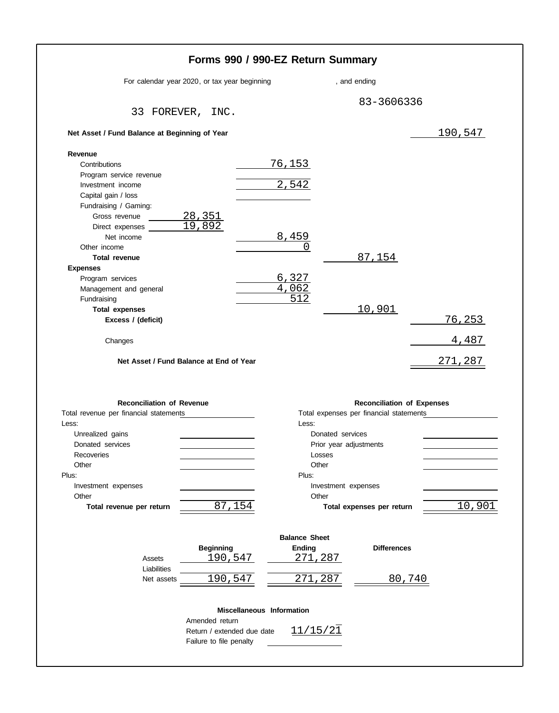|                                                                     | Forms 990 / 990-EZ Return Summary             |                           |                        |                                         |                         |
|---------------------------------------------------------------------|-----------------------------------------------|---------------------------|------------------------|-----------------------------------------|-------------------------|
|                                                                     | For calendar year 2020, or tax year beginning |                           |                        | , and ending                            |                         |
|                                                                     |                                               |                           |                        | 83-3606336                              |                         |
|                                                                     | 33 FOREVER, INC.                              |                           |                        |                                         |                         |
| Net Asset / Fund Balance at Beginning of Year                       |                                               |                           |                        |                                         | <u> 190,547</u>         |
| Revenue                                                             |                                               |                           |                        |                                         |                         |
| Contributions                                                       |                                               | 76, 153                   |                        |                                         |                         |
| Program service revenue                                             |                                               |                           |                        |                                         |                         |
| Investment income                                                   |                                               | 2,542                     |                        |                                         |                         |
| Capital gain / loss                                                 |                                               |                           |                        |                                         |                         |
| Fundraising / Gaming:                                               |                                               |                           |                        |                                         |                         |
| Gross revenue                                                       | <u>28,351</u>                                 |                           |                        |                                         |                         |
| Direct expenses                                                     | 19,892                                        |                           |                        |                                         |                         |
| Net income                                                          |                                               | 8,459                     |                        |                                         |                         |
| Other income                                                        |                                               |                           | $\left( \right)$       |                                         |                         |
| <b>Total revenue</b>                                                |                                               |                           |                        | 87,154                                  |                         |
| <b>Expenses</b>                                                     |                                               |                           |                        |                                         |                         |
| Program services                                                    |                                               | 6,327                     |                        |                                         |                         |
| Management and general                                              |                                               | 4,062                     |                        |                                         |                         |
| Fundraising                                                         |                                               |                           | $\overline{512}$       |                                         |                         |
| <b>Total expenses</b>                                               |                                               |                           |                        | 10,901                                  |                         |
| Excess / (deficit)                                                  |                                               |                           |                        |                                         | <u>76,253</u>           |
|                                                                     |                                               |                           |                        |                                         |                         |
| Changes<br>Net Asset / Fund Balance at End of Year                  |                                               |                           |                        |                                         | <u>4,487</u><br>271,287 |
| <b>Reconciliation of Revenue</b>                                    |                                               |                           |                        | <b>Reconciliation of Expenses</b>       |                         |
|                                                                     |                                               |                           |                        | Total expenses per financial statements |                         |
|                                                                     |                                               |                           | Less:                  |                                         |                         |
| Total revenue per financial statements<br>Less:<br>Unrealized gains |                                               |                           | Donated services       |                                         |                         |
| Donated services                                                    |                                               |                           | Prior year adjustments |                                         |                         |
| Recoveries                                                          |                                               |                           | Losses                 |                                         |                         |
| Other                                                               |                                               |                           | Other                  |                                         |                         |
| Plus:                                                               |                                               |                           | Plus:                  |                                         |                         |
| Investment expenses                                                 |                                               |                           | Investment expenses    |                                         |                         |
| Other<br>Total revenue per return                                   | 87,154                                        |                           | Other                  | Total expenses per return               |                         |
|                                                                     |                                               |                           |                        |                                         |                         |
|                                                                     |                                               |                           | <b>Balance Sheet</b>   |                                         | 10,901                  |
|                                                                     | <b>Beginning</b>                              |                           | <b>Ending</b>          | <b>Differences</b>                      |                         |
| Assets                                                              | 190,547                                       |                           | 271,287                |                                         |                         |
| Liabilities<br>Net assets                                           | 190,547                                       |                           | 271<br>, 287           | 80,740                                  |                         |
|                                                                     |                                               | Miscellaneous Information |                        |                                         |                         |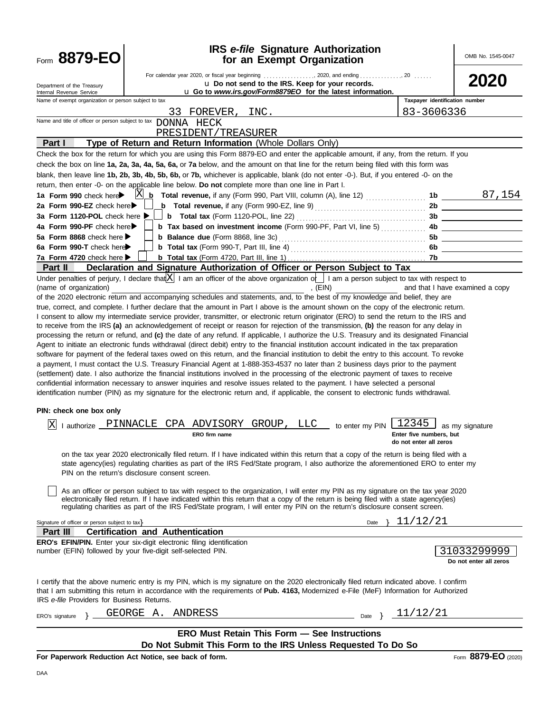| Form 8879-EO                                                                                                                                   | <b>IRS</b> e-file Signature Authorization<br>for an Exempt Organization                                                                                                                                                                                                                                                                                                                                                                                                                                                                                                                                                                                                                                                                                                                                                                                                                                                                                                                                                                                                                                                                                                                                                                                                                                                                                                                                                                                                                                                                                                         |                                                            | OMB No. 1545-0047                     |
|------------------------------------------------------------------------------------------------------------------------------------------------|---------------------------------------------------------------------------------------------------------------------------------------------------------------------------------------------------------------------------------------------------------------------------------------------------------------------------------------------------------------------------------------------------------------------------------------------------------------------------------------------------------------------------------------------------------------------------------------------------------------------------------------------------------------------------------------------------------------------------------------------------------------------------------------------------------------------------------------------------------------------------------------------------------------------------------------------------------------------------------------------------------------------------------------------------------------------------------------------------------------------------------------------------------------------------------------------------------------------------------------------------------------------------------------------------------------------------------------------------------------------------------------------------------------------------------------------------------------------------------------------------------------------------------------------------------------------------------|------------------------------------------------------------|---------------------------------------|
| Department of the Treasury<br>Internal Revenue Service                                                                                         | U Do not send to the IRS. Keep for your records.<br>u Go to www.irs.gov/Form8879EO for the latest information.                                                                                                                                                                                                                                                                                                                                                                                                                                                                                                                                                                                                                                                                                                                                                                                                                                                                                                                                                                                                                                                                                                                                                                                                                                                                                                                                                                                                                                                                  |                                                            | <b>2020</b>                           |
| Name of exempt organization or person subject to tax                                                                                           | 33 FOREVER, INC.<br>Name and title of officer or person subject to tax DONNA HECK                                                                                                                                                                                                                                                                                                                                                                                                                                                                                                                                                                                                                                                                                                                                                                                                                                                                                                                                                                                                                                                                                                                                                                                                                                                                                                                                                                                                                                                                                               | Taxpayer identification number<br>83-3606336               |                                       |
| Part I                                                                                                                                         | PRESIDENT/TREASURER<br>Type of Return and Return Information (Whole Dollars Only)<br>Check the box for the return for which you are using this Form 8879-EO and enter the applicable amount, if any, from the return. If you                                                                                                                                                                                                                                                                                                                                                                                                                                                                                                                                                                                                                                                                                                                                                                                                                                                                                                                                                                                                                                                                                                                                                                                                                                                                                                                                                    |                                                            |                                       |
|                                                                                                                                                | check the box on line 1a, 2a, 3a, 4a, 5a, 6a, or 7a below, and the amount on that line for the return being filed with this form was<br>blank, then leave line 1b, 2b, 3b, 4b, 5b, 6b, or 7b, whichever is applicable, blank (do not enter -0-). But, if you entered -0- on the<br>return, then enter -0- on the applicable line below. Do not complete more than one line in Part I.                                                                                                                                                                                                                                                                                                                                                                                                                                                                                                                                                                                                                                                                                                                                                                                                                                                                                                                                                                                                                                                                                                                                                                                           |                                                            |                                       |
| 1a Form 990 check here<br>2a Form 990-EZ check here<br>3a Form 1120-POL check here ▶<br>4a Form 990-PF check here<br>5a Form 8868 check here ▶ | X<br><b>b</b> Total revenue, if any (Form 990, Part VIII, column (A), line 12)<br><b>b</b> Total revenue, if any (Form 990-EZ, line 9) $\ldots$ $\ldots$ $\ldots$ $\ldots$ $\ldots$ 2b $\ldots$<br>b Tax based on investment income (Form 990-PF, Part VI, line 5)  4b                                                                                                                                                                                                                                                                                                                                                                                                                                                                                                                                                                                                                                                                                                                                                                                                                                                                                                                                                                                                                                                                                                                                                                                                                                                                                                          | 1b<br>5b                                                   | 87,154                                |
| 6a Form 990-T check here<br>7a Form 4720 check here ▶<br>Part II                                                                               | Declaration and Signature Authorization of Officer or Person Subject to Tax                                                                                                                                                                                                                                                                                                                                                                                                                                                                                                                                                                                                                                                                                                                                                                                                                                                                                                                                                                                                                                                                                                                                                                                                                                                                                                                                                                                                                                                                                                     | 7b                                                         |                                       |
| (name of organization)                                                                                                                         | , (EIN)<br>of the 2020 electronic return and accompanying schedules and statements, and, to the best of my knowledge and belief, they are<br>true, correct, and complete. I further declare that the amount in Part I above is the amount shown on the copy of the electronic return.<br>I consent to allow my intermediate service provider, transmitter, or electronic return originator (ERO) to send the return to the IRS and<br>to receive from the IRS (a) an acknowledgement of receipt or reason for rejection of the transmission, (b) the reason for any delay in<br>processing the return or refund, and (c) the date of any refund. If applicable, I authorize the U.S. Treasury and its designated Financial<br>Agent to initiate an electronic funds withdrawal (direct debit) entry to the financial institution account indicated in the tax preparation<br>software for payment of the federal taxes owed on this return, and the financial institution to debit the entry to this account. To revoke<br>a payment, I must contact the U.S. Treasury Financial Agent at 1-888-353-4537 no later than 2 business days prior to the payment<br>(settlement) date. I also authorize the financial institutions involved in the processing of the electronic payment of taxes to receive<br>confidential information necessary to answer inquiries and resolve issues related to the payment. I have selected a personal<br>identification number (PIN) as my signature for the electronic return and, if applicable, the consent to electronic funds withdrawal. |                                                            | and that I have examined a copy       |
| PIN: check one box only                                                                                                                        |                                                                                                                                                                                                                                                                                                                                                                                                                                                                                                                                                                                                                                                                                                                                                                                                                                                                                                                                                                                                                                                                                                                                                                                                                                                                                                                                                                                                                                                                                                                                                                                 |                                                            |                                       |
|                                                                                                                                                | $\boxed{\text{X}}$ I authorize PINNACLE CPA ADVISORY GROUP, LLC to enter my PIN $\boxed{1}$<br>ERO firm name                                                                                                                                                                                                                                                                                                                                                                                                                                                                                                                                                                                                                                                                                                                                                                                                                                                                                                                                                                                                                                                                                                                                                                                                                                                                                                                                                                                                                                                                    | 12345<br>Enter five numbers, but<br>do not enter all zeros | ⊥ as my signature                     |
|                                                                                                                                                | on the tax year 2020 electronically filed return. If I have indicated within this return that a copy of the return is being filed with a<br>state agency(ies) regulating charities as part of the IRS Fed/State program, I also authorize the aforementioned ERO to enter my<br>PIN on the return's disclosure consent screen.                                                                                                                                                                                                                                                                                                                                                                                                                                                                                                                                                                                                                                                                                                                                                                                                                                                                                                                                                                                                                                                                                                                                                                                                                                                  |                                                            |                                       |
|                                                                                                                                                | As an officer or person subject to tax with respect to the organization, I will enter my PIN as my signature on the tax year 2020<br>electronically filed return. If I have indicated within this return that a copy of the return is being filed with a state agency(ies)<br>regulating charities as part of the IRS Fed/State program, I will enter my PIN on the return's disclosure consent screen.                                                                                                                                                                                                                                                                                                                                                                                                                                                                                                                                                                                                                                                                                                                                                                                                                                                                                                                                                                                                                                                                                                                                                                         |                                                            |                                       |
| Signature of officer or person subject to tax}<br>Part III                                                                                     | Date<br><b>Certification and Authentication</b>                                                                                                                                                                                                                                                                                                                                                                                                                                                                                                                                                                                                                                                                                                                                                                                                                                                                                                                                                                                                                                                                                                                                                                                                                                                                                                                                                                                                                                                                                                                                 | 11/12/21                                                   |                                       |
|                                                                                                                                                | <b>ERO's EFIN/PIN.</b> Enter your six-digit electronic filing identification<br>number (EFIN) followed by your five-digit self-selected PIN.                                                                                                                                                                                                                                                                                                                                                                                                                                                                                                                                                                                                                                                                                                                                                                                                                                                                                                                                                                                                                                                                                                                                                                                                                                                                                                                                                                                                                                    |                                                            | 31033299999<br>Do not enter all zeros |
| IRS e-file Providers for Business Returns.                                                                                                     | I certify that the above numeric entry is my PIN, which is my signature on the 2020 electronically filed return indicated above. I confirm<br>that I am submitting this return in accordance with the requirements of Pub. 4163, Modernized e-File (MeF) Information for Authorized                                                                                                                                                                                                                                                                                                                                                                                                                                                                                                                                                                                                                                                                                                                                                                                                                                                                                                                                                                                                                                                                                                                                                                                                                                                                                             |                                                            |                                       |
| ERO's signature                                                                                                                                | GEORGE A.<br>ANDRESS<br>Date                                                                                                                                                                                                                                                                                                                                                                                                                                                                                                                                                                                                                                                                                                                                                                                                                                                                                                                                                                                                                                                                                                                                                                                                                                                                                                                                                                                                                                                                                                                                                    | 11/12/21                                                   |                                       |
|                                                                                                                                                | ERO Must Retain This Form - See Instructions                                                                                                                                                                                                                                                                                                                                                                                                                                                                                                                                                                                                                                                                                                                                                                                                                                                                                                                                                                                                                                                                                                                                                                                                                                                                                                                                                                                                                                                                                                                                    |                                                            |                                       |
|                                                                                                                                                | Do Not Submit This Form to the IRS Unless Requested To Do So<br>For Paperwork Reduction Act Notice, see back of form.                                                                                                                                                                                                                                                                                                                                                                                                                                                                                                                                                                                                                                                                                                                                                                                                                                                                                                                                                                                                                                                                                                                                                                                                                                                                                                                                                                                                                                                           |                                                            | Form 8879-EO (2020)                   |
|                                                                                                                                                |                                                                                                                                                                                                                                                                                                                                                                                                                                                                                                                                                                                                                                                                                                                                                                                                                                                                                                                                                                                                                                                                                                                                                                                                                                                                                                                                                                                                                                                                                                                                                                                 |                                                            |                                       |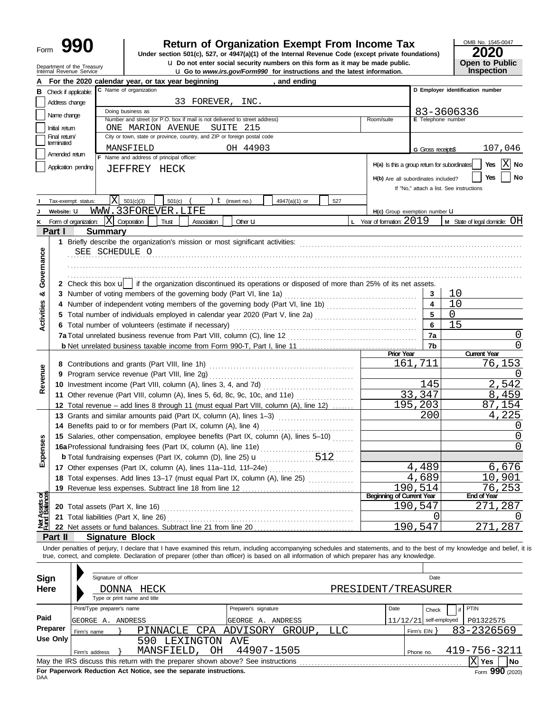| Form | 990 |
|------|-----|
|------|-----|

## **990 2020 2010 2020 2020 2020 2020 2020 2020 2020 2020 2020 2020 2020 2020 2020 2020 2020 2020 2020 2020 2020 2020 2020 2020 2020 2020 2020 2020 2020 2020 2020**

u **Do not enter social security numbers on this form as it may be made public. Open to Public**

OMB No. 1545-0047 **Inspection**

|                                | Department of the Treasury<br>Internal Revenue Service |                                                                                                                                                                            | U Do not enter social security numbers on this form as it may be made public.<br>U Go to www.irs.gov/Form990 for instructions and the latest information. |                                              |                               | <b>Open to Public</b><br>Inspection      |
|--------------------------------|--------------------------------------------------------|----------------------------------------------------------------------------------------------------------------------------------------------------------------------------|-----------------------------------------------------------------------------------------------------------------------------------------------------------|----------------------------------------------|-------------------------------|------------------------------------------|
|                                |                                                        | For the 2020 calendar year, or tax year beginning                                                                                                                          | , and ending                                                                                                                                              |                                              |                               |                                          |
|                                | <b>B</b> Check if applicable:                          | C Name of organization                                                                                                                                                     |                                                                                                                                                           |                                              |                               | D Employer identification number         |
|                                | Address change                                         | 33 FOREVER, INC.                                                                                                                                                           |                                                                                                                                                           |                                              |                               |                                          |
|                                | Name change                                            | Doing business as                                                                                                                                                          |                                                                                                                                                           |                                              |                               | 83-3606336                               |
|                                |                                                        | Number and street (or P.O. box if mail is not delivered to street address)                                                                                                 |                                                                                                                                                           | Room/suite                                   | E Telephone number            |                                          |
|                                | Initial return                                         | ONE MARION AVENUE<br>SUITE 215                                                                                                                                             |                                                                                                                                                           |                                              |                               |                                          |
|                                | Final return<br>terminated                             | City or town, state or province, country, and ZIP or foreign postal code                                                                                                   |                                                                                                                                                           |                                              |                               |                                          |
|                                | Amended return                                         | MANSFIELD                                                                                                                                                                  | OH 44903                                                                                                                                                  |                                              | G Gross receipts\$            | 107,046                                  |
|                                |                                                        | F Name and address of principal officer:                                                                                                                                   |                                                                                                                                                           | H(a) Is this a group return for subordinates |                               | $ X $ No<br>Yes                          |
|                                | Application pending                                    | JEFFREY HECK                                                                                                                                                               |                                                                                                                                                           |                                              |                               | Yes<br>No                                |
|                                |                                                        |                                                                                                                                                                            |                                                                                                                                                           | H(b) Are all subordinates included?          |                               | If "No," attach a list. See instructions |
|                                |                                                        |                                                                                                                                                                            |                                                                                                                                                           |                                              |                               |                                          |
|                                | Tax-exempt status:                                     | ΙX<br>501(c)(3)<br>501(c)<br>$t$ (insert no.)                                                                                                                              | 4947(a)(1) or<br>527                                                                                                                                      |                                              |                               |                                          |
|                                | Website: U                                             | WWW.33FOREVER.LIFE                                                                                                                                                         |                                                                                                                                                           | H(c) Group exemption number U                |                               |                                          |
| ĸ                              | Form of organization:                                  | $ X $ Corporation<br>Trust<br>Association                                                                                                                                  | Other <b>U</b>                                                                                                                                            | L Year of formation: $2019$                  |                               | <b>M</b> State of legal domicile: $OH$   |
|                                | Part I                                                 | <b>Summary</b>                                                                                                                                                             |                                                                                                                                                           |                                              |                               |                                          |
|                                |                                                        |                                                                                                                                                                            |                                                                                                                                                           |                                              |                               |                                          |
|                                |                                                        | SEE SCHEDULE O                                                                                                                                                             |                                                                                                                                                           |                                              |                               |                                          |
| Governance                     |                                                        |                                                                                                                                                                            |                                                                                                                                                           |                                              |                               |                                          |
|                                |                                                        |                                                                                                                                                                            |                                                                                                                                                           |                                              |                               |                                          |
|                                |                                                        | 2 Check this box $\mathsf{u}$   if the organization discontinued its operations or disposed of more than 25% of its net assets.                                            |                                                                                                                                                           |                                              |                               |                                          |
| ఱ                              |                                                        | 3 Number of voting members of the governing body (Part VI, line 1a)                                                                                                        |                                                                                                                                                           |                                              | 3                             | 10                                       |
|                                |                                                        | 4 Number of independent voting members of the governing body (Part VI, line 1b)                                                                                            |                                                                                                                                                           |                                              | $\overline{\mathbf{4}}$       | 10                                       |
| <b>Activities</b>              |                                                        |                                                                                                                                                                            |                                                                                                                                                           |                                              |                               | $\Omega$                                 |
|                                |                                                        | 6 Total number of volunteers (estimate if necessary)                                                                                                                       |                                                                                                                                                           |                                              | 6                             | 15                                       |
|                                |                                                        |                                                                                                                                                                            |                                                                                                                                                           |                                              | 7a                            | 0                                        |
|                                |                                                        |                                                                                                                                                                            |                                                                                                                                                           |                                              | 7b                            | 0                                        |
|                                |                                                        |                                                                                                                                                                            | <b>Prior Year</b>                                                                                                                                         | 161,711                                      | <b>Current Year</b><br>76,153 |                                          |
|                                |                                                        |                                                                                                                                                                            |                                                                                                                                                           |                                              | $\left( \right)$              |                                          |
| Revenue                        | 9                                                      |                                                                                                                                                                            |                                                                                                                                                           |                                              | 145                           | 2,542                                    |
|                                |                                                        |                                                                                                                                                                            |                                                                                                                                                           |                                              | 33,347                        | 8,459                                    |
|                                |                                                        | 11 Other revenue (Part VIII, column (A), lines 5, 6d, 8c, 9c, 10c, and 11e)                                                                                                |                                                                                                                                                           |                                              | 195,203                       | 87,154                                   |
|                                |                                                        | 12 Total revenue - add lines 8 through 11 (must equal Part VIII, column (A), line 12)<br>13 Grants and similar amounts paid (Part IX, column (A), lines 1-3)               |                                                                                                                                                           |                                              | 200                           | 4,225                                    |
|                                |                                                        |                                                                                                                                                                            |                                                                                                                                                           |                                              |                               | O                                        |
|                                |                                                        | 14 Benefits paid to or for members (Part IX, column (A), line 4)<br>15 Salaries, other compensation, employee benefits (Part IX, column (A), lines 5-10)                   |                                                                                                                                                           |                                              |                               | 0                                        |
| nses                           |                                                        | 16a Professional fundraising fees (Part IX, column (A), line 11e)                                                                                                          |                                                                                                                                                           |                                              | ∩                             |                                          |
|                                |                                                        |                                                                                                                                                                            |                                                                                                                                                           |                                              |                               |                                          |
| Exper                          |                                                        |                                                                                                                                                                            |                                                                                                                                                           |                                              | 4,489                         | 6,676                                    |
|                                |                                                        | 18 Total expenses. Add lines 13-17 (must equal Part IX, column (A), line 25) [                                                                                             |                                                                                                                                                           |                                              | 4,689                         | 10,901                                   |
|                                |                                                        |                                                                                                                                                                            |                                                                                                                                                           |                                              | 190,514                       | 76,253                                   |
|                                |                                                        |                                                                                                                                                                            |                                                                                                                                                           | <b>Beginning of Current Year</b>             |                               | <b>End of Year</b>                       |
| Net Assets or<br>Fund Balances |                                                        |                                                                                                                                                                            |                                                                                                                                                           |                                              | 190,547                       | 287<br>271                               |
|                                |                                                        | 21 Total liabilities (Part X, line 26)                                                                                                                                     |                                                                                                                                                           |                                              | O                             | $\left( \right)$                         |
|                                |                                                        |                                                                                                                                                                            |                                                                                                                                                           |                                              | 190,547                       | 287<br>271                               |
|                                | Part II                                                | <b>Signature Block</b>                                                                                                                                                     |                                                                                                                                                           |                                              |                               |                                          |
|                                |                                                        | Under penalties of perjury, I declare that I have examined this return, including accompanying schedules and statements, and to the best of my knowledge and belief, it is |                                                                                                                                                           |                                              |                               |                                          |
|                                |                                                        | true, correct, and complete. Declaration of preparer (other than officer) is based on all information of which preparer has any knowledge.                                 |                                                                                                                                                           |                                              |                               |                                          |
|                                |                                                        |                                                                                                                                                                            |                                                                                                                                                           |                                              |                               |                                          |
| Sign                           |                                                        | Signature of officer                                                                                                                                                       |                                                                                                                                                           |                                              | Date                          |                                          |
| <b>Here</b>                    |                                                        | DONNA HECK                                                                                                                                                                 |                                                                                                                                                           | PRESIDENT/TREASURER                          |                               |                                          |
|                                |                                                        | Type or print name and title                                                                                                                                               |                                                                                                                                                           |                                              |                               |                                          |
|                                |                                                        | Print/Type preparer's name                                                                                                                                                 | Preparer's signature                                                                                                                                      | Date                                         | Check                         | PTIN<br>if                               |
| Paid                           |                                                        | GEORGE A. ANDRESS                                                                                                                                                          | GEORGE A. ANDRESS                                                                                                                                         |                                              | $11/12/21$ self-employed      | P01322575                                |
|                                | <b>Preparer</b><br>Firm's name                         | PINNACLE                                                                                                                                                                   | CPA ADVISORY GROUP,<br><b>LLC</b>                                                                                                                         |                                              | Firm's $EIN$ }                | 83-2326569                               |
|                                | <b>Use Only</b>                                        | 590<br>LEXINGTON AVE                                                                                                                                                       |                                                                                                                                                           |                                              |                               |                                          |
|                                | Firm's address                                         | OH<br>MANSFIELD,                                                                                                                                                           | 44907-1505                                                                                                                                                |                                              | Phone no.                     | 419-756-3211                             |
|                                |                                                        |                                                                                                                                                                            |                                                                                                                                                           |                                              |                               | $ X $ Yes<br><b>No</b>                   |

**For Paperwork Reduction Act Notice, see the separate instructions.**<br>DAA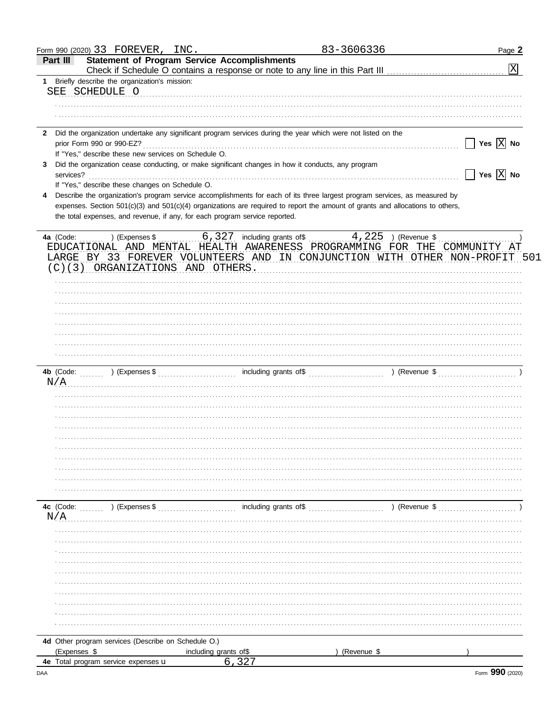|              | Form 990 (2020) 33 FOREVER, INC.                                                                                                                                                            |                       | 83-3606336                                                                                 | Page 2                                          |
|--------------|---------------------------------------------------------------------------------------------------------------------------------------------------------------------------------------------|-----------------------|--------------------------------------------------------------------------------------------|-------------------------------------------------|
|              | <b>Statement of Program Service Accomplishments</b><br>Part III                                                                                                                             |                       |                                                                                            | $\boxed{\text{X}}$                              |
|              | 1 Briefly describe the organization's mission:                                                                                                                                              |                       |                                                                                            |                                                 |
|              | SEE SCHEDULE O COMMUNICATIONS CONTINUES.                                                                                                                                                    |                       |                                                                                            |                                                 |
|              |                                                                                                                                                                                             |                       |                                                                                            |                                                 |
|              |                                                                                                                                                                                             |                       |                                                                                            |                                                 |
|              |                                                                                                                                                                                             |                       |                                                                                            |                                                 |
| $\mathbf{2}$ | Did the organization undertake any significant program services during the year which were not listed on the                                                                                |                       |                                                                                            |                                                 |
|              |                                                                                                                                                                                             |                       |                                                                                            | $\boxed{\phantom{1}}$ Yes $\boxed{\text{X}}$ No |
|              | If "Yes," describe these new services on Schedule O.                                                                                                                                        |                       |                                                                                            |                                                 |
|              | Did the organization cease conducting, or make significant changes in how it conducts, any program                                                                                          |                       |                                                                                            |                                                 |
|              | services?                                                                                                                                                                                   |                       |                                                                                            | $\Box$ Yes $\boxed{\text{X}}$ No                |
|              | If "Yes," describe these changes on Schedule O.                                                                                                                                             |                       |                                                                                            |                                                 |
| 4            | Describe the organization's program service accomplishments for each of its three largest program services, as measured by                                                                  |                       |                                                                                            |                                                 |
|              | expenses. Section 501(c)(3) and 501(c)(4) organizations are required to report the amount of grants and allocations to others,                                                              |                       |                                                                                            |                                                 |
|              | the total expenses, and revenue, if any, for each program service reported.                                                                                                                 |                       |                                                                                            |                                                 |
|              |                                                                                                                                                                                             |                       |                                                                                            |                                                 |
|              | EDUCATIONAL AND MENTAL HEALTH AWARENESS PROGRAMMING FOR THE COMMUNITY AT<br>LARGE BY 33 FOREVER VOLUNTEERS AND IN CONJUNCTION WITH OTHER NON-PROFIT 501<br>(C)(3) ORGANIZATIONS AND OTHERS. |                       |                                                                                            |                                                 |
|              |                                                                                                                                                                                             |                       |                                                                                            |                                                 |
|              |                                                                                                                                                                                             |                       |                                                                                            |                                                 |
|              |                                                                                                                                                                                             |                       |                                                                                            |                                                 |
|              |                                                                                                                                                                                             |                       |                                                                                            |                                                 |
|              |                                                                                                                                                                                             |                       |                                                                                            |                                                 |
|              |                                                                                                                                                                                             |                       |                                                                                            |                                                 |
|              |                                                                                                                                                                                             |                       |                                                                                            |                                                 |
|              |                                                                                                                                                                                             |                       |                                                                                            |                                                 |
|              |                                                                                                                                                                                             |                       |                                                                                            |                                                 |
|              |                                                                                                                                                                                             |                       |                                                                                            |                                                 |
|              |                                                                                                                                                                                             |                       |                                                                                            |                                                 |
|              | N/A                                                                                                                                                                                         |                       |                                                                                            |                                                 |
|              |                                                                                                                                                                                             |                       |                                                                                            |                                                 |
|              |                                                                                                                                                                                             |                       |                                                                                            |                                                 |
|              |                                                                                                                                                                                             |                       |                                                                                            |                                                 |
|              |                                                                                                                                                                                             |                       |                                                                                            |                                                 |
|              |                                                                                                                                                                                             |                       |                                                                                            |                                                 |
|              |                                                                                                                                                                                             |                       |                                                                                            |                                                 |
|              |                                                                                                                                                                                             |                       |                                                                                            |                                                 |
|              |                                                                                                                                                                                             |                       |                                                                                            |                                                 |
|              |                                                                                                                                                                                             |                       |                                                                                            |                                                 |
|              |                                                                                                                                                                                             |                       |                                                                                            |                                                 |
|              | 4c (Code: ) (Expenses \$                                                                                                                                                                    |                       | $\sim$ including grants of $\frac{1}{2}$ (Revenue $\frac{1}{2}$ ) (Revenue $\frac{1}{2}$ ) |                                                 |
|              | N/A                                                                                                                                                                                         |                       |                                                                                            |                                                 |
|              |                                                                                                                                                                                             |                       |                                                                                            |                                                 |
|              |                                                                                                                                                                                             |                       |                                                                                            |                                                 |
|              |                                                                                                                                                                                             |                       |                                                                                            |                                                 |
|              |                                                                                                                                                                                             |                       |                                                                                            |                                                 |
|              |                                                                                                                                                                                             |                       |                                                                                            |                                                 |
|              |                                                                                                                                                                                             |                       |                                                                                            |                                                 |
|              |                                                                                                                                                                                             |                       |                                                                                            |                                                 |
|              |                                                                                                                                                                                             |                       |                                                                                            |                                                 |
|              |                                                                                                                                                                                             |                       |                                                                                            |                                                 |
|              |                                                                                                                                                                                             |                       |                                                                                            |                                                 |
|              |                                                                                                                                                                                             |                       |                                                                                            |                                                 |
|              |                                                                                                                                                                                             |                       |                                                                                            |                                                 |
|              | 4d Other program services (Describe on Schedule O.)                                                                                                                                         |                       |                                                                                            |                                                 |
|              | (Expenses \$                                                                                                                                                                                | including grants of\$ | (Revenue \$                                                                                |                                                 |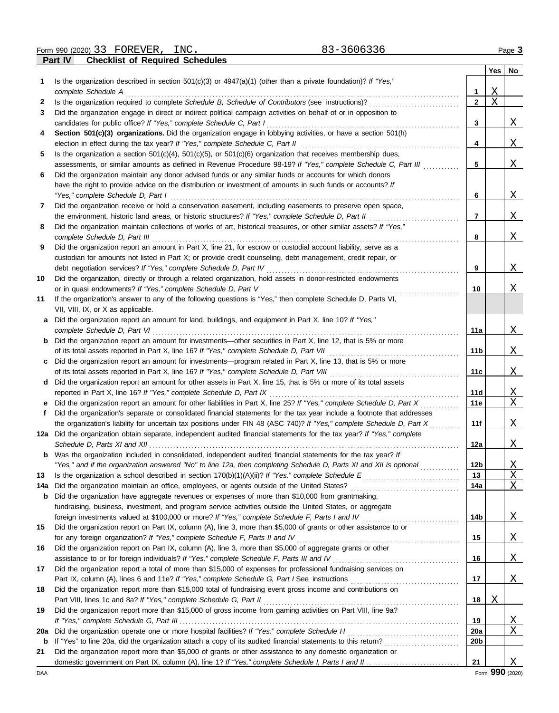|             |                                                                                                                                                                               |                 | Yes      | No                        |
|-------------|-------------------------------------------------------------------------------------------------------------------------------------------------------------------------------|-----------------|----------|---------------------------|
|             | Is the organization described in section $501(c)(3)$ or $4947(a)(1)$ (other than a private foundation)? If "Yes,"                                                             |                 |          |                           |
|             | complete Schedule A                                                                                                                                                           | 1               | <u>X</u> |                           |
| 2           |                                                                                                                                                                               | $\overline{2}$  | $\rm X$  |                           |
| 3           | Did the organization engage in direct or indirect political campaign activities on behalf of or in opposition to                                                              |                 |          |                           |
|             | candidates for public office? If "Yes," complete Schedule C, Part I                                                                                                           | 3               |          | Χ                         |
| 4           | Section 501(c)(3) organizations. Did the organization engage in lobbying activities, or have a section 501(h)                                                                 |                 |          |                           |
|             | election in effect during the tax year? If "Yes," complete Schedule C, Part II                                                                                                | 4               |          | Χ                         |
| 5           | Is the organization a section $501(c)(4)$ , $501(c)(5)$ , or $501(c)(6)$ organization that receives membership dues,                                                          |                 |          |                           |
|             | assessments, or similar amounts as defined in Revenue Procedure 98-19? If "Yes," complete Schedule C, Part III                                                                | 5               |          | Χ                         |
| 6           | Did the organization maintain any donor advised funds or any similar funds or accounts for which donors                                                                       |                 |          |                           |
|             | have the right to provide advice on the distribution or investment of amounts in such funds or accounts? If                                                                   |                 |          |                           |
|             | "Yes," complete Schedule D, Part I                                                                                                                                            | 6               |          | $\mathbf{X}$              |
| 7           | Did the organization receive or hold a conservation easement, including easements to preserve open space,                                                                     |                 |          |                           |
|             | the environment, historic land areas, or historic structures? If "Yes," complete Schedule D, Part II                                                                          | $\overline{7}$  |          | $\mathbf{X}$              |
| 8           | Did the organization maintain collections of works of art, historical treasures, or other similar assets? If "Yes,"                                                           |                 |          |                           |
|             | complete Schedule D, Part III                                                                                                                                                 | 8               |          | Χ                         |
| 9           | Did the organization report an amount in Part X, line 21, for escrow or custodial account liability, serve as a                                                               |                 |          |                           |
|             | custodian for amounts not listed in Part X; or provide credit counseling, debt management, credit repair, or                                                                  |                 |          |                           |
|             | debt negotiation services? If "Yes," complete Schedule D, Part IV                                                                                                             | 9               |          | Χ                         |
| 10          | Did the organization, directly or through a related organization, hold assets in donor-restricted endowments                                                                  | 10              |          | Χ                         |
|             | or in quasi endowments? If "Yes," complete Schedule D, Part V<br>If the organization's answer to any of the following questions is "Yes," then complete Schedule D, Parts VI, |                 |          |                           |
| 11          | VII, VIII, IX, or X as applicable.                                                                                                                                            |                 |          |                           |
| a           | Did the organization report an amount for land, buildings, and equipment in Part X, line 10? If "Yes,"                                                                        |                 |          |                           |
|             | complete Schedule D, Part VI                                                                                                                                                  | 11a             |          | <u>X</u>                  |
| b           | Did the organization report an amount for investments—other securities in Part X, line 12, that is 5% or more                                                                 |                 |          |                           |
|             |                                                                                                                                                                               | 11b             |          | Χ                         |
| c           | Did the organization report an amount for investments—program related in Part X, line 13, that is 5% or more                                                                  |                 |          |                           |
|             |                                                                                                                                                                               | 11c             |          | Χ                         |
| d           | Did the organization report an amount for other assets in Part X, line 15, that is 5% or more of its total assets                                                             |                 |          |                           |
|             | reported in Part X, line 16? If "Yes," complete Schedule D, Part IX                                                                                                           | 11d             |          | <u>X</u>                  |
|             | Did the organization report an amount for other liabilities in Part X, line 25? If "Yes," complete Schedule D, Part X                                                         | 11e             |          | X                         |
| f           | Did the organization's separate or consolidated financial statements for the tax year include a footnote that addresses                                                       |                 |          |                           |
|             | the organization's liability for uncertain tax positions under FIN 48 (ASC 740)? If "Yes," complete Schedule D, Part X                                                        | 11f             |          | Χ                         |
|             | 12a Did the organization obtain separate, independent audited financial statements for the tax year? If "Yes," complete                                                       |                 |          |                           |
|             |                                                                                                                                                                               | 12a             |          | $\mathbf{X}$              |
|             | Was the organization included in consolidated, independent audited financial statements for the tax year? If                                                                  |                 |          |                           |
|             | "Yes," and if the organization answered "No" to line 12a, then completing Schedule D, Parts XI and XII is optional                                                            | 12 <sub>b</sub> |          | <u>X</u>                  |
| 13          |                                                                                                                                                                               | 13              |          | $\mathbf X$               |
| 14a         | Did the organization maintain an office, employees, or agents outside of the United States?                                                                                   | 14a             |          | Χ                         |
| b           | Did the organization have aggregate revenues or expenses of more than \$10,000 from grantmaking,                                                                              |                 |          |                           |
|             | fundraising, business, investment, and program service activities outside the United States, or aggregate                                                                     |                 |          |                           |
|             |                                                                                                                                                                               | 14b             |          | $\mathbf{X}$              |
| 15          | Did the organization report on Part IX, column (A), line 3, more than \$5,000 of grants or other assistance to or                                                             |                 |          |                           |
|             | for any foreign organization? If "Yes," complete Schedule F, Parts II and IV                                                                                                  | 15              |          | $\boldsymbol{\mathrm{X}}$ |
| 16          | Did the organization report on Part IX, column (A), line 3, more than \$5,000 of aggregate grants or other                                                                    |                 |          |                           |
|             | assistance to or for foreign individuals? If "Yes," complete Schedule F, Parts III and IV                                                                                     | 16              |          | X                         |
| 17          | Did the organization report a total of more than \$15,000 of expenses for professional fundraising services on                                                                |                 |          |                           |
|             |                                                                                                                                                                               | 17              |          | Χ                         |
| 18          | Did the organization report more than \$15,000 total of fundraising event gross income and contributions on                                                                   |                 |          |                           |
|             | Part VIII, lines 1c and 8a? If "Yes," complete Schedule G, Part II                                                                                                            | 18              | Χ        |                           |
| 19          | Did the organization report more than \$15,000 of gross income from gaming activities on Part VIII, line 9a?                                                                  |                 |          |                           |
|             |                                                                                                                                                                               | 19              |          | <u>X</u>                  |
| 20a         | Did the organization operate one or more hospital facilities? If "Yes," complete Schedule H                                                                                   | <b>20a</b>      |          | Χ                         |
| $\mathbf b$ |                                                                                                                                                                               | 20 <sub>b</sub> |          |                           |
| 21          | Did the organization report more than \$5,000 of grants or other assistance to any domestic organization or                                                                   |                 |          |                           |
|             |                                                                                                                                                                               | 21              |          | Χ                         |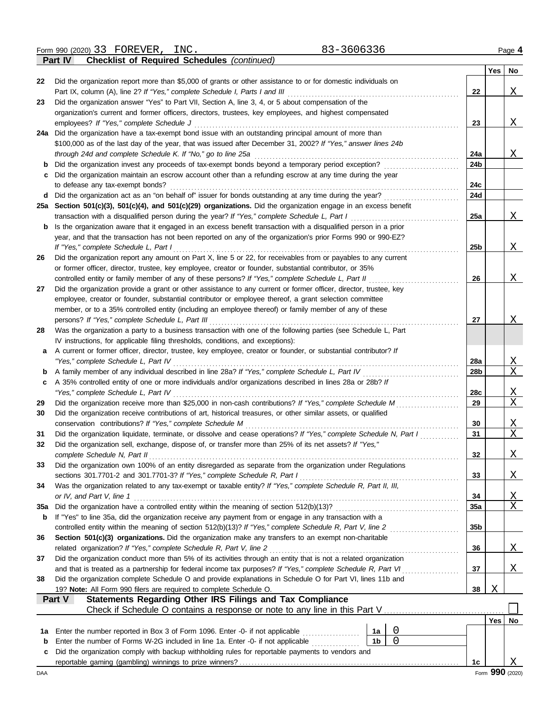| Form 990 (2020) 3<br>33 | FOREVER, | TNC. | 3606336 |
|-------------------------|----------|------|---------|
|                         |          |      |         |

|     | 83-3606336<br>Form 990 (2020) 33 FOREVER, INC.                                                                                                                                              |           |     | Page 4          |
|-----|---------------------------------------------------------------------------------------------------------------------------------------------------------------------------------------------|-----------|-----|-----------------|
|     | <b>Checklist of Required Schedules (continued)</b><br>Part IV                                                                                                                               |           |     |                 |
|     |                                                                                                                                                                                             |           | Yes | No              |
| 22  | Did the organization report more than \$5,000 of grants or other assistance to or for domestic individuals on                                                                               |           |     |                 |
|     |                                                                                                                                                                                             | 22        |     | X               |
| 23  | Did the organization answer "Yes" to Part VII, Section A, line 3, 4, or 5 about compensation of the                                                                                         |           |     |                 |
|     | organization's current and former officers, directors, trustees, key employees, and highest compensated                                                                                     |           |     |                 |
|     |                                                                                                                                                                                             | 23        |     | X               |
|     | 24a Did the organization have a tax-exempt bond issue with an outstanding principal amount of more than                                                                                     |           |     |                 |
|     | \$100,000 as of the last day of the year, that was issued after December 31, 2002? If "Yes," answer lines 24b                                                                               |           |     |                 |
|     |                                                                                                                                                                                             | 24a       |     | X               |
| b   | Did the organization invest any proceeds of tax-exempt bonds beyond a temporary period exception?                                                                                           | 24b       |     |                 |
| c   | Did the organization maintain an escrow account other than a refunding escrow at any time during the year                                                                                   |           |     |                 |
|     | to defease any tax-exempt bonds?                                                                                                                                                            | 24c       |     |                 |
| d   |                                                                                                                                                                                             | 24d       |     |                 |
|     | 25a Section 501(c)(3), 501(c)(4), and 501(c)(29) organizations. Did the organization engage in an excess benefit                                                                            |           |     |                 |
|     | transaction with a disqualified person during the year? If "Yes," complete Schedule L, Part I                                                                                               | 25a       |     | X               |
| b   | Is the organization aware that it engaged in an excess benefit transaction with a disqualified person in a prior                                                                            |           |     |                 |
|     | year, and that the transaction has not been reported on any of the organization's prior Forms 990 or 990-EZ?                                                                                |           |     |                 |
|     | If "Yes," complete Schedule L, Part I                                                                                                                                                       | 25b       |     | X               |
| 26  | Did the organization report any amount on Part X, line 5 or 22, for receivables from or payables to any current                                                                             |           |     |                 |
|     | or former officer, director, trustee, key employee, creator or founder, substantial contributor, or 35%                                                                                     |           |     |                 |
|     | controlled entity or family member of any of these persons? If "Yes," complete Schedule L, Part II                                                                                          | 26        |     | X               |
| 27  | Did the organization provide a grant or other assistance to any current or former officer, director, trustee, key                                                                           |           |     |                 |
|     | employee, creator or founder, substantial contributor or employee thereof, a grant selection committee                                                                                      |           |     |                 |
|     | member, or to a 35% controlled entity (including an employee thereof) or family member of any of these                                                                                      |           |     |                 |
|     |                                                                                                                                                                                             | 27        |     | <u>X</u>        |
| 28  | Was the organization a party to a business transaction with one of the following parties (see Schedule L, Part                                                                              |           |     |                 |
|     | IV instructions, for applicable filing thresholds, conditions, and exceptions):                                                                                                             |           |     |                 |
| а   | A current or former officer, director, trustee, key employee, creator or founder, or substantial contributor? If                                                                            |           |     |                 |
|     |                                                                                                                                                                                             | 28a       |     | <u>X</u>        |
| b   |                                                                                                                                                                                             | 28b       |     | X               |
| c   | A 35% controlled entity of one or more individuals and/or organizations described in lines 28a or 28b? If                                                                                   |           |     |                 |
|     |                                                                                                                                                                                             | 28c       |     | <u>X</u>        |
| 29  | Did the organization receive more than \$25,000 in non-cash contributions? If "Yes," complete Schedule M                                                                                    | 29        |     | X               |
| 30  | Did the organization receive contributions of art, historical treasures, or other similar assets, or qualified                                                                              |           |     |                 |
|     | conservation contributions? If "Yes," complete Schedule M                                                                                                                                   | 30        |     | Χ               |
| 31  | Did the organization liquidate, terminate, or dissolve and cease operations? If "Yes," complete Schedule N, Part I                                                                          | 31        |     | Χ               |
| 32  | Did the organization sell, exchange, dispose of, or transfer more than 25% of its net assets? If "Yes,"                                                                                     |           |     |                 |
|     |                                                                                                                                                                                             | 32        |     |                 |
| 33  | complete Schedule N, Part II<br>Did the organization own 100% of an entity disregarded as separate from the organization under Regulations                                                  |           |     | <u>X</u>        |
|     |                                                                                                                                                                                             | 33        |     |                 |
| 34  | sections 301.7701-2 and 301.7701-3? If "Yes," complete Schedule R, Part I<br>Was the organization related to any tax-exempt or taxable entity? If "Yes," complete Schedule R, Part II, III, |           |     | <u>X</u>        |
|     |                                                                                                                                                                                             |           |     |                 |
|     | or IV, and Part V, line 1                                                                                                                                                                   | 34<br>35a |     | <u>X</u><br>X   |
| 35a | If "Yes" to line 35a, did the organization receive any payment from or engage in any transaction with a                                                                                     |           |     |                 |
| b   |                                                                                                                                                                                             | 35b       |     |                 |
| 36  | Section 501(c)(3) organizations. Did the organization make any transfers to an exempt non-charitable                                                                                        |           |     |                 |
|     |                                                                                                                                                                                             |           |     |                 |
|     | related organization? If "Yes," complete Schedule R, Part V, line 2<br>Did the organization conduct more than 5% of its activities through an entity that is not a related organization     | 36        |     | <u>X</u>        |
| 37  |                                                                                                                                                                                             |           |     |                 |
|     | and that is treated as a partnership for federal income tax purposes? If "Yes," complete Schedule R, Part VI                                                                                | 37        |     | X               |
| 38  | Did the organization complete Schedule O and provide explanations in Schedule O for Part VI, lines 11b and                                                                                  |           |     |                 |
|     | 19? Note: All Form 990 filers are required to complete Schedule O.                                                                                                                          | 38        | Χ   |                 |
|     | Statements Regarding Other IRS Filings and Tax Compliance<br>Part V                                                                                                                         |           |     |                 |
|     |                                                                                                                                                                                             |           |     |                 |
|     |                                                                                                                                                                                             |           | Yes | No              |
| 1a  | $\overline{0}$<br>Enter the number reported in Box 3 of Form 1096. Enter -0- if not applicable<br>1a                                                                                        |           |     |                 |
| b   | $\Omega$<br>1 <sub>b</sub><br>Enter the number of Forms W-2G included in line 1a. Enter -0- if not applicable                                                                               |           |     |                 |
| c   | Did the organization comply with backup withholding rules for reportable payments to vendors and                                                                                            |           |     |                 |
|     |                                                                                                                                                                                             | 1c        |     | X               |
| DAA |                                                                                                                                                                                             |           |     | Form 990 (2020) |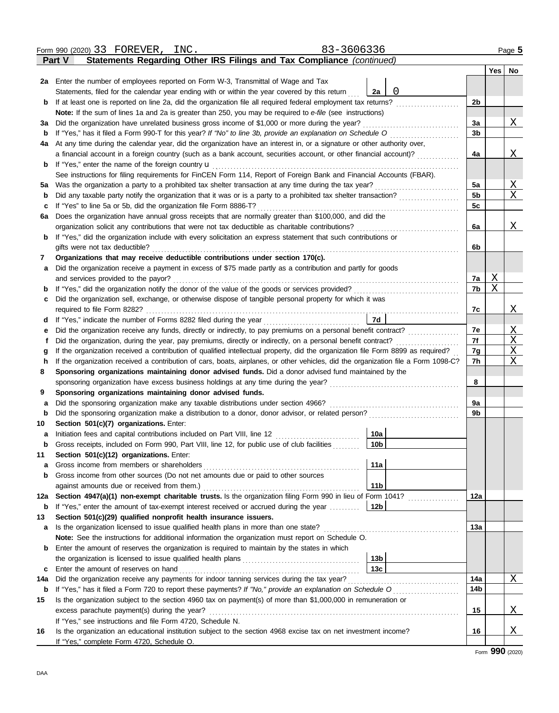|     | 83-3606336<br>Form 990 (2020) 33 FOREVER,<br>INC                                                                                                                                                                                           |                 |                |   | Page 5        |
|-----|--------------------------------------------------------------------------------------------------------------------------------------------------------------------------------------------------------------------------------------------|-----------------|----------------|---|---------------|
|     | Statements Regarding Other IRS Filings and Tax Compliance (continued)<br>Part V                                                                                                                                                            |                 |                |   |               |
|     |                                                                                                                                                                                                                                            |                 |                |   | $Yes \mid No$ |
|     | 2a Enter the number of employees reported on Form W-3, Transmittal of Wage and Tax                                                                                                                                                         |                 |                |   |               |
|     | Statements, filed for the calendar year ending with or within the year covered by this return                                                                                                                                              | 0<br>2a         |                |   |               |
| b   | If at least one is reported on line 2a, did the organization file all required federal employment tax returns?                                                                                                                             |                 | 2b             |   |               |
|     | Note: If the sum of lines 1a and 2a is greater than 250, you may be required to e-file (see instructions)                                                                                                                                  |                 |                |   |               |
| За  | Did the organization have unrelated business gross income of \$1,000 or more during the year?                                                                                                                                              |                 | 3a             |   | Χ             |
| b   | If "Yes," has it filed a Form 990-T for this year? If "No" to line 3b, provide an explanation on Schedule O                                                                                                                                |                 | 3 <sub>b</sub> |   |               |
| 4a  | At any time during the calendar year, did the organization have an interest in, or a signature or other authority over,                                                                                                                    |                 |                |   |               |
|     | a financial account in a foreign country (such as a bank account, securities account, or other financial account)?                                                                                                                         |                 | 4a             |   | Χ             |
| b   | If "Yes," enter the name of the foreign country <b>u</b>                                                                                                                                                                                   |                 |                |   |               |
|     | See instructions for filing requirements for FinCEN Form 114, Report of Foreign Bank and Financial Accounts (FBAR).                                                                                                                        |                 |                |   |               |
| 5а  | Was the organization a party to a prohibited tax shelter transaction at any time during the tax year?                                                                                                                                      | .               | 5a             |   | Χ             |
| b   | Did any taxable party notify the organization that it was or is a party to a prohibited tax shelter transaction?                                                                                                                           |                 | 5 <sub>b</sub> |   | Χ             |
| c   | If "Yes" to line 5a or 5b, did the organization file Form 8886-T?                                                                                                                                                                          |                 | 5c             |   |               |
| 6a  | Does the organization have annual gross receipts that are normally greater than \$100,000, and did the                                                                                                                                     |                 |                |   |               |
|     | organization solicit any contributions that were not tax deductible as charitable contributions?                                                                                                                                           |                 | 6a             |   | Χ             |
| b   | If "Yes," did the organization include with every solicitation an express statement that such contributions or                                                                                                                             |                 |                |   |               |
|     | gifts were not tax deductible?                                                                                                                                                                                                             |                 | 6b             |   |               |
| 7   | Organizations that may receive deductible contributions under section 170(c).                                                                                                                                                              |                 |                |   |               |
| a   | Did the organization receive a payment in excess of \$75 made partly as a contribution and partly for goods                                                                                                                                |                 |                |   |               |
|     | and services provided to the payor?                                                                                                                                                                                                        |                 | 7a             | X |               |
| b   | If "Yes," did the organization notify the donor of the value of the goods or services provided?                                                                                                                                            |                 | 7b             | X |               |
| c   | Did the organization sell, exchange, or otherwise dispose of tangible personal property for which it was                                                                                                                                   |                 |                |   |               |
|     | required to file Form 8282?                                                                                                                                                                                                                |                 | 7c             |   | Χ             |
| d   | If "Yes," indicate the number of Forms 8282 filed during the year                                                                                                                                                                          | 7d              |                |   |               |
| е   | Did the organization receive any funds, directly or indirectly, to pay premiums on a personal benefit contract?                                                                                                                            |                 | 7e             |   | Χ<br>X        |
| f   | Did the organization, during the year, pay premiums, directly or indirectly, on a personal benefit contract?                                                                                                                               |                 | 7f             |   | Χ             |
| g   | If the organization received a contribution of qualified intellectual property, did the organization file Form 8899 as required?                                                                                                           |                 | 7g<br>7h       |   | X             |
| h   | If the organization received a contribution of cars, boats, airplanes, or other vehicles, did the organization file a Form 1098-C?<br>Sponsoring organizations maintaining donor advised funds. Did a donor advised fund maintained by the |                 |                |   |               |
| 8   | sponsoring organization have excess business holdings at any time during the year?                                                                                                                                                         |                 | 8              |   |               |
| 9   | Sponsoring organizations maintaining donor advised funds.                                                                                                                                                                                  |                 |                |   |               |
| a   | Did the sponsoring organization make any taxable distributions under section 4966?                                                                                                                                                         |                 | 9a             |   |               |
| b   | Did the sponsoring organization make a distribution to a donor, donor advisor, or related person?                                                                                                                                          |                 | 9b             |   |               |
| 10  | Section 501(c)(7) organizations. Enter:                                                                                                                                                                                                    |                 |                |   |               |
|     | Initiation fees and capital contributions included on Part VIII, line 12 [11][11][11][11][11][11][11][11][11]                                                                                                                              | 10a             |                |   |               |
| b   | Gross receipts, included on Form 990, Part VIII, line 12, for public use of club facilities                                                                                                                                                | 10 <sub>b</sub> |                |   |               |
| 11  | Section 501(c)(12) organizations. Enter:                                                                                                                                                                                                   |                 |                |   |               |
| a   | Gross income from members or shareholders                                                                                                                                                                                                  | 11a             |                |   |               |
| b   | Gross income from other sources (Do not net amounts due or paid to other sources                                                                                                                                                           |                 |                |   |               |
|     | against amounts due or received from them.)                                                                                                                                                                                                | 11 <sub>b</sub> |                |   |               |
| 12a | Section 4947(a)(1) non-exempt charitable trusts. Is the organization filing Form 990 in lieu of Form 1041?                                                                                                                                 |                 | 12a            |   |               |
| b   | If "Yes," enter the amount of tax-exempt interest received or accrued during the year                                                                                                                                                      | 12b             |                |   |               |
| 13  | Section 501(c)(29) qualified nonprofit health insurance issuers.                                                                                                                                                                           |                 |                |   |               |
| a   | Is the organization licensed to issue qualified health plans in more than one state?                                                                                                                                                       |                 | 13а            |   |               |
|     | Note: See the instructions for additional information the organization must report on Schedule O.                                                                                                                                          |                 |                |   |               |
| b   | Enter the amount of reserves the organization is required to maintain by the states in which                                                                                                                                               |                 |                |   |               |
|     |                                                                                                                                                                                                                                            | 13b             |                |   |               |
| c   | Enter the amount of reserves on hand                                                                                                                                                                                                       | 13c             |                |   |               |
| 14a | Did the organization receive any payments for indoor tanning services during the tax year?                                                                                                                                                 |                 | 14a            |   | Χ             |
| b   | If "Yes," has it filed a Form 720 to report these payments? If "No," provide an explanation on Schedule O                                                                                                                                  |                 | 14b            |   |               |
| 15  | Is the organization subject to the section 4960 tax on payment(s) of more than \$1,000,000 in remuneration or                                                                                                                              |                 |                |   |               |
|     | excess parachute payment(s) during the year?                                                                                                                                                                                               |                 | 15             |   | Χ             |
|     | If "Yes," see instructions and file Form 4720, Schedule N.                                                                                                                                                                                 |                 |                |   |               |
| 16  | Is the organization an educational institution subject to the section 4968 excise tax on net investment income?                                                                                                                            |                 | 16             |   | Χ             |
|     | If "Yes," complete Form 4720, Schedule O.                                                                                                                                                                                                  |                 |                |   |               |

Form **990** (2020)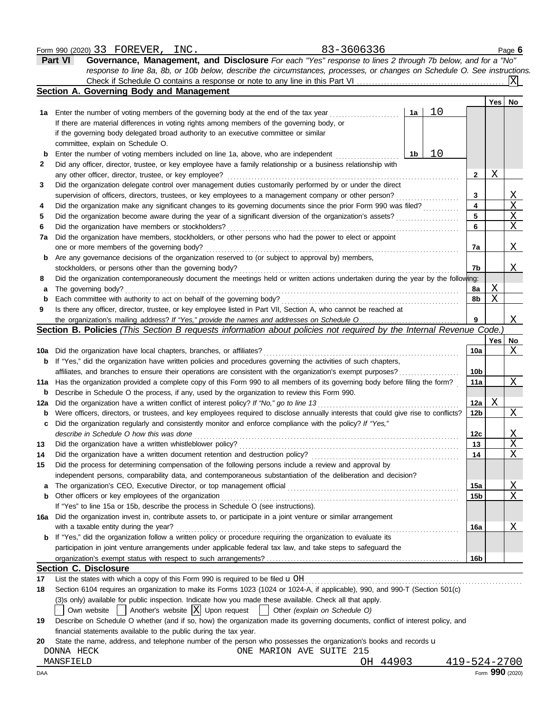#### Form 990 (2020) 33 FOREVER, INC. 2010 12:336 23-3606336 Page **6**

| <b>Part VI</b> | Governance, Management, and Disclosure For each "Yes" response to lines 2 through 7b below, and for a "No"                |
|----------------|---------------------------------------------------------------------------------------------------------------------------|
|                | response to line 8a, 8b, or 10b below, describe the circumstances, processes, or changes on Schedule O. See instructions. |
|                |                                                                                                                           |
|                |                                                                                                                           |

|     | <b>Section A. Governing Body and Management</b>                                                                                     |    |    |                 |     |              |
|-----|-------------------------------------------------------------------------------------------------------------------------------------|----|----|-----------------|-----|--------------|
|     |                                                                                                                                     |    |    |                 | Yes | No           |
| 1a  | Enter the number of voting members of the governing body at the end of the tax year                                                 | 1a | 10 |                 |     |              |
|     | If there are material differences in voting rights among members of the governing body, or                                          |    |    |                 |     |              |
|     | if the governing body delegated broad authority to an executive committee or similar                                                |    |    |                 |     |              |
|     | committee, explain on Schedule O.                                                                                                   |    |    |                 |     |              |
| b   | Enter the number of voting members included on line 1a, above, who are independent                                                  | 1b | 10 |                 |     |              |
| 2   | Did any officer, director, trustee, or key employee have a family relationship or a business relationship with                      |    |    |                 |     |              |
|     | any other officer, director, trustee, or key employee?                                                                              |    |    | 2               | Χ   |              |
| 3   | Did the organization delegate control over management duties customarily performed by or under the direct                           |    |    |                 |     |              |
|     | supervision of officers, directors, trustees, or key employees to a management company or other person?                             |    |    | 3               |     | Χ            |
| 4   | Did the organization make any significant changes to its governing documents since the prior Form 990 was filed?                    |    |    | 4               |     | X            |
| 5   | Did the organization become aware during the year of a significant diversion of the organization's assets?                          |    |    | 5               |     | X            |
| 6   | Did the organization have members or stockholders?                                                                                  |    |    | 6               |     | Χ            |
| 7a  | Did the organization have members, stockholders, or other persons who had the power to elect or appoint                             |    |    |                 |     |              |
|     | one or more members of the governing body?                                                                                          |    |    | 7a              |     | Χ            |
| b   | Are any governance decisions of the organization reserved to (or subject to approval by) members,                                   |    |    |                 |     |              |
|     | stockholders, or persons other than the governing body?                                                                             |    |    | 7b              |     | Χ            |
| 8   | Did the organization contemporaneously document the meetings held or written actions undertaken during the year by the following:   |    |    |                 |     |              |
| а   | The governing body?                                                                                                                 |    |    | 8a              | Χ   |              |
| b   | Each committee with authority to act on behalf of the governing body?                                                               |    |    | 8b              | Χ   |              |
| 9   | Is there any officer, director, trustee, or key employee listed in Part VII, Section A, who cannot be reached at                    |    |    |                 |     |              |
|     | the organization's mailing address? If "Yes," provide the names and addresses on Schedule O                                         |    |    | 9               |     | Χ            |
|     | Section B. Policies (This Section B requests information about policies not required by the Internal Revenue Code.)                 |    |    |                 |     |              |
|     |                                                                                                                                     |    |    |                 | Yes | No           |
| 10a | Did the organization have local chapters, branches, or affiliates?                                                                  |    |    | 10a             |     | X            |
| b   | If "Yes," did the organization have written policies and procedures governing the activities of such chapters,                      |    |    |                 |     |              |
|     | affiliates, and branches to ensure their operations are consistent with the organization's exempt purposes?                         |    |    | 10 <sub>b</sub> |     |              |
| 11a | Has the organization provided a complete copy of this Form 990 to all members of its governing body before filing the form?         |    |    | 11a             |     | Χ            |
| b   | Describe in Schedule O the process, if any, used by the organization to review this Form 990.                                       |    |    |                 |     |              |
| 12a | Did the organization have a written conflict of interest policy? If "No," go to line 13                                             |    |    | 12a             | Χ   |              |
| b   | Were officers, directors, or trustees, and key employees required to disclose annually interests that could give rise to conflicts? |    |    | 12b             |     | Χ            |
| c   | Did the organization regularly and consistently monitor and enforce compliance with the policy? If "Yes,"                           |    |    |                 |     |              |
|     | describe in Schedule O how this was done                                                                                            |    |    | 12c             |     | Χ            |
| 13  | Did the organization have a written whistleblower policy?                                                                           |    |    | 13              |     | Χ            |
| 14  | Did the organization have a written document retention and destruction policy?                                                      |    |    | 14              |     | X            |
| 15  | Did the process for determining compensation of the following persons include a review and approval by                              |    |    |                 |     |              |
|     | independent persons, comparability data, and contemporaneous substantiation of the deliberation and decision?                       |    |    |                 |     |              |
|     | The organization's CEO, Executive Director, or top management official                                                              |    |    | 15a             |     | $\mathbf{X}$ |
| b   | Other officers or key employees of the organization                                                                                 |    |    | 15 <sub>b</sub> |     | Χ            |
|     | If "Yes" to line 15a or 15b, describe the process in Schedule O (see instructions).                                                 |    |    |                 |     |              |
|     | 16a Did the organization invest in, contribute assets to, or participate in a joint venture or similar arrangement                  |    |    |                 |     |              |
|     | with a taxable entity during the year?                                                                                              |    |    | 16a             |     | Χ            |
|     | <b>b</b> If "Yes," did the organization follow a written policy or procedure requiring the organization to evaluate its             |    |    |                 |     |              |
|     | participation in joint venture arrangements under applicable federal tax law, and take steps to safeguard the                       |    |    |                 |     |              |
|     |                                                                                                                                     |    |    | 16b             |     |              |
|     | <b>Section C. Disclosure</b>                                                                                                        |    |    |                 |     |              |
| 17  | List the states with which a copy of this Form 990 is required to be filed uOH                                                      |    |    |                 |     |              |
| 18  | Section 6104 requires an organization to make its Forms 1023 (1024 or 1024-A, if applicable), 990, and 990-T (Section 501(c)        |    |    |                 |     |              |

Section 6104 requires an organization to make its Forms 1023 (1024 or 1024-A, if applicable), 990, and 990-T (Section 501(c)

(3)s only) available for public inspection. Indicate how you made these available. Check all that apply.

Own website **Another's website**   $\boxed{\text{X}}$  Upon request **C** Other *(explain on Schedule O)* 

**19** Describe on Schedule O whether (and if so, how) the organization made its governing documents, conflict of interest policy, and financial statements available to the public during the tax year.

**20** State the name, address, and telephone number of the person who possesses the organization's books and records  $\bf u$ 

DONNA HECK ONE MARION AVE SUITE 215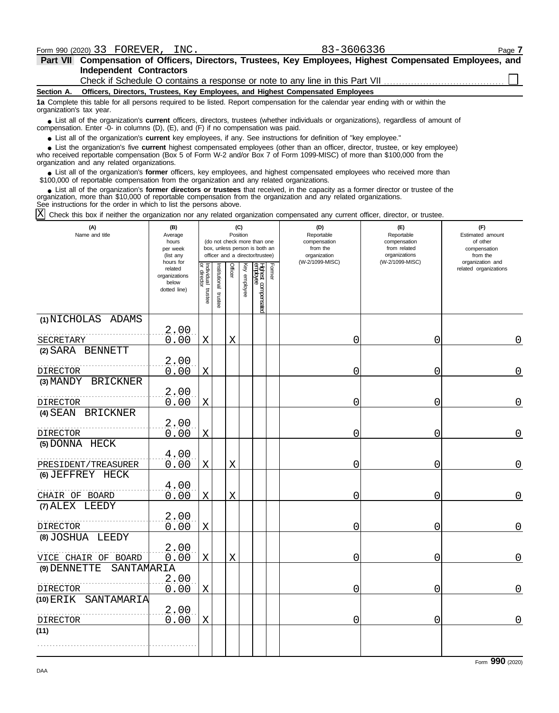**Independent Contractors Part VII Compensation of Officers, Directors, Trustees, Key Employees, Highest Compensated Employees, and** Check if Schedule O contains a response or note to any line in this Part VII

**Section A. Officers, Directors, Trustees, Key Employees, and Highest Compensated Employees**

**1a** Complete this table for all persons required to be listed. Report compensation for the calendar year ending with or within the organization's tax year.

■ List all of the organization's **current** officers, directors, trustees (whether individuals or organizations), regardless of amount of the organization Enter -0- in columns (D), (E), and (E) if no compensation was paid compensation. Enter -0- in columns (D), (E), and (F) if no compensation was paid.

● List all of the organization's **current** key employees, if any. See instructions for definition of "key employee."

who received reportable compensation (Box 5 of Form W-2 and/or Box 7 of Form 1099-MISC) of more than \$100,000 from the organization and any related organizations. ■ List the organization's five **current** highest compensated employees (other than an officer, director, trustee, or key employee)<br>
a received reportable compensation (Box 5 of Form W-2 and/or Box 7 of Form 1099-MISC) of

• List all of the organization's **former** officers, key employees, and highest compensated employees who received more than<br>00,000 of reportable compensation from the erganization and any related erganizations. \$100,000 of reportable compensation from the organization and any related organizations.

■ List all of the organization's **former directors or trustees** that received, in the capacity as a former director or trustee of the<br>enization, more than \$10,000 of reportable compensation from the organization and any r organization, more than \$10,000 of reportable compensation from the organization and any related organizations. See instructions for the order in which to list the persons above.

 $\text{X}$  Check this box if neither the organization nor any related organization compensated any current officer, director, or trustee.

| (A)<br>Name and title      | (B)<br>Average<br>hours<br>per week<br>(list any               | (C)<br>Position<br>(do not check more than one<br>box, unless person is both an<br>officer and a director/trustee) |                       |             |              |                                |        | (D)<br>Reportable<br>compensation<br>from the<br>organization | (E)<br>Reportable<br>compensation<br>from related<br>organizations | (F)<br>Estimated amount<br>of other<br>compensation<br>from the |
|----------------------------|----------------------------------------------------------------|--------------------------------------------------------------------------------------------------------------------|-----------------------|-------------|--------------|--------------------------------|--------|---------------------------------------------------------------|--------------------------------------------------------------------|-----------------------------------------------------------------|
|                            | hours for<br>related<br>organizations<br>below<br>dotted line) | Individual trustee<br>or director                                                                                  | Institutional trustee | Officer     | Key employee | Hghest compensated<br>employee | Former | (W-2/1099-MISC)                                               | (W-2/1099-MISC)                                                    | organization and<br>related organizations                       |
| (1) NICHOLAS ADAMS         |                                                                |                                                                                                                    |                       |             |              |                                |        |                                                               |                                                                    |                                                                 |
| SECRETARY                  | 2.00<br>0.00                                                   | X                                                                                                                  |                       | X           |              |                                |        | 0                                                             | 0                                                                  | 0                                                               |
| (2) SARA BENNETT           |                                                                |                                                                                                                    |                       |             |              |                                |        |                                                               |                                                                    |                                                                 |
| DIRECTOR                   | 2,00<br>0.00                                                   | $\mathbf X$                                                                                                        |                       |             |              |                                |        | 0                                                             | 0                                                                  | 0                                                               |
| (3) MANDY BRICKNER         |                                                                |                                                                                                                    |                       |             |              |                                |        |                                                               |                                                                    |                                                                 |
| DIRECTOR                   | 2.00<br>0.00                                                   | $\mathbf X$                                                                                                        |                       |             |              |                                |        | 0                                                             | 0                                                                  | 0                                                               |
| (4) SEAN BRICKNER          |                                                                |                                                                                                                    |                       |             |              |                                |        |                                                               |                                                                    |                                                                 |
| DIRECTOR                   | 2.00<br>0.00                                                   | X                                                                                                                  |                       |             |              |                                |        | 0                                                             | 0                                                                  | 0                                                               |
| (5) DONNA HECK             |                                                                |                                                                                                                    |                       |             |              |                                |        |                                                               |                                                                    |                                                                 |
| PRESIDENT/TREASURER        | 4.00<br>0.00                                                   | X                                                                                                                  |                       | X           |              |                                |        | 0                                                             | 0                                                                  | 0                                                               |
| (6) JEFFREY HECK           |                                                                |                                                                                                                    |                       |             |              |                                |        |                                                               |                                                                    |                                                                 |
| CHAIR OF BOARD             | 4.00<br>0.00                                                   | X                                                                                                                  |                       | X           |              |                                |        | 0                                                             | 0                                                                  | 0                                                               |
| (7) ALEX LEEDY             |                                                                |                                                                                                                    |                       |             |              |                                |        |                                                               |                                                                    |                                                                 |
| DIRECTOR                   | 2.00<br>0.00                                                   | $\mathbf X$                                                                                                        |                       |             |              |                                |        | 0                                                             | 0                                                                  | 0                                                               |
| (8) JOSHUA LEEDY           |                                                                |                                                                                                                    |                       |             |              |                                |        |                                                               |                                                                    |                                                                 |
| VICE CHAIR OF BOARD        | 2.00<br>0.00                                                   | X                                                                                                                  |                       | $\mathbf X$ |              |                                |        | 0                                                             | $\Omega$                                                           | 0                                                               |
| SANTAMARIA<br>(9) DENNETTE |                                                                |                                                                                                                    |                       |             |              |                                |        |                                                               |                                                                    |                                                                 |
| DIRECTOR                   | 2.00<br>0.00                                                   | $\mathbf X$                                                                                                        |                       |             |              |                                |        | 0                                                             | 0                                                                  | 0                                                               |
| (10) ERIK<br>SANTAMARIA    |                                                                |                                                                                                                    |                       |             |              |                                |        |                                                               |                                                                    |                                                                 |
| DIRECTOR                   | 2,00<br>0.00                                                   | $\mathbf X$                                                                                                        |                       |             |              |                                |        | 0                                                             | 0                                                                  | $\Omega$                                                        |
| (11)                       |                                                                |                                                                                                                    |                       |             |              |                                |        |                                                               |                                                                    |                                                                 |
|                            |                                                                |                                                                                                                    |                       |             |              |                                |        |                                                               |                                                                    |                                                                 |

Form **990** (2020)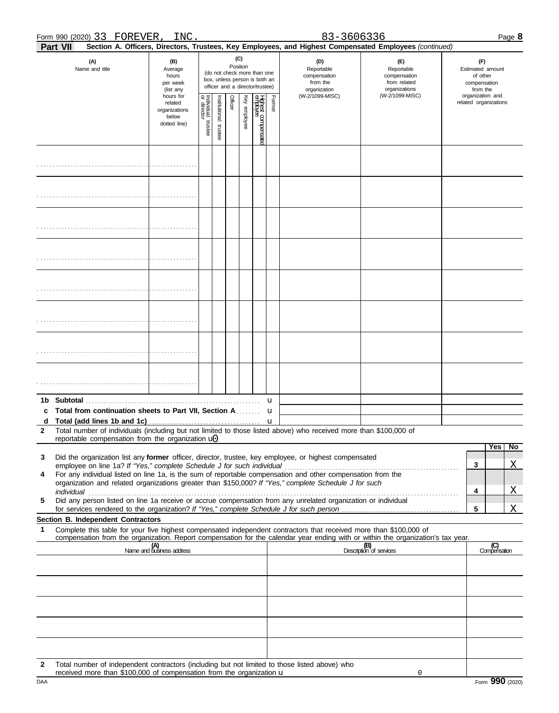#### Form 990 (2020) 33 FOREVER, INC. 2010 12:336 2010 12:34 Page **8**

| Part VII                                                                                                                                                                                                                  |                                                                |                                   |                                                                                                                    |         |              |                                |             | Section A. Officers, Directors, Trustees, Key Employees, and Highest Compensated Employees (continued) |                                                                    |                                                                 |                                           |                         |
|---------------------------------------------------------------------------------------------------------------------------------------------------------------------------------------------------------------------------|----------------------------------------------------------------|-----------------------------------|--------------------------------------------------------------------------------------------------------------------|---------|--------------|--------------------------------|-------------|--------------------------------------------------------------------------------------------------------|--------------------------------------------------------------------|-----------------------------------------------------------------|-------------------------------------------|-------------------------|
| (A)<br>Name and title                                                                                                                                                                                                     | (B)<br>Average<br>hours<br>per week<br>(list any               |                                   | (C)<br>Position<br>(do not check more than one<br>box, unless person is both an<br>officer and a director/trustee) |         |              |                                |             | (D)<br>Reportable<br>compensation<br>from the<br>organization                                          | (E)<br>Reportable<br>compensation<br>from related<br>organizations | (F)<br>Estimated amount<br>of other<br>compensation<br>from the |                                           |                         |
|                                                                                                                                                                                                                           | hours for<br>related<br>organizations<br>below<br>dotted line) | Individual trustee<br>or director | nstitutional trustee                                                                                               | Officer | Key employee | Highest compensate<br>employee | Former      | (W-2/1099-MISC)                                                                                        | (W-2/1099-MISC)                                                    |                                                                 | organization and<br>related organizations |                         |
|                                                                                                                                                                                                                           |                                                                |                                   |                                                                                                                    |         |              |                                |             |                                                                                                        |                                                                    |                                                                 |                                           |                         |
|                                                                                                                                                                                                                           |                                                                |                                   |                                                                                                                    |         |              |                                |             |                                                                                                        |                                                                    |                                                                 |                                           |                         |
|                                                                                                                                                                                                                           |                                                                |                                   |                                                                                                                    |         |              |                                |             |                                                                                                        |                                                                    |                                                                 |                                           |                         |
|                                                                                                                                                                                                                           |                                                                |                                   |                                                                                                                    |         |              |                                |             |                                                                                                        |                                                                    |                                                                 |                                           |                         |
|                                                                                                                                                                                                                           |                                                                |                                   |                                                                                                                    |         |              |                                |             |                                                                                                        |                                                                    |                                                                 |                                           |                         |
|                                                                                                                                                                                                                           |                                                                |                                   |                                                                                                                    |         |              |                                |             |                                                                                                        |                                                                    |                                                                 |                                           |                         |
|                                                                                                                                                                                                                           |                                                                |                                   |                                                                                                                    |         |              |                                |             |                                                                                                        |                                                                    |                                                                 |                                           |                         |
|                                                                                                                                                                                                                           |                                                                |                                   |                                                                                                                    |         |              |                                |             |                                                                                                        |                                                                    |                                                                 |                                           |                         |
| 1b.<br>Total from continuation sheets to Part VII, Section A                                                                                                                                                              |                                                                |                                   |                                                                                                                    |         |              |                                | u<br>u<br>u |                                                                                                        |                                                                    |                                                                 |                                           |                         |
| Total number of individuals (including but not limited to those listed above) who received more than \$100,000 of<br>2                                                                                                    |                                                                |                                   |                                                                                                                    |         |              |                                |             |                                                                                                        |                                                                    |                                                                 |                                           |                         |
| reportable compensation from the organization $\mathbf{u}$                                                                                                                                                                |                                                                |                                   |                                                                                                                    |         |              |                                |             |                                                                                                        |                                                                    |                                                                 |                                           | Yes<br><b>No</b>        |
| Did the organization list any former officer, director, trustee, key employee, or highest compensated<br>3<br>employee on line 1a? If "Yes," complete Schedule J for such individual                                      |                                                                |                                   |                                                                                                                    |         |              |                                |             |                                                                                                        |                                                                    |                                                                 | 3                                         | Χ                       |
| For any individual listed on line 1a, is the sum of reportable compensation and other compensation from the<br>4<br>organization and related organizations greater than \$150,000? If "Yes," complete Schedule J for such |                                                                |                                   |                                                                                                                    |         |              |                                |             |                                                                                                        |                                                                    |                                                                 |                                           |                         |
| individual<br>Did any person listed on line 1a receive or accrue compensation from any unrelated organization or individual<br>5                                                                                          |                                                                |                                   |                                                                                                                    |         |              |                                |             |                                                                                                        |                                                                    |                                                                 | 4                                         | $\overline{\mathrm{X}}$ |
| for services rendered to the organization? If "Yes," complete Schedule J for such person.                                                                                                                                 |                                                                |                                   |                                                                                                                    |         |              |                                |             |                                                                                                        |                                                                    |                                                                 | 5                                         | Χ                       |
| Section B. Independent Contractors<br>Complete this table for your five highest compensated independent contractors that received more than \$100,000 of<br>1                                                             |                                                                |                                   |                                                                                                                    |         |              |                                |             |                                                                                                        |                                                                    |                                                                 |                                           |                         |
| compensation from the organization. Report compensation for the calendar year ending with or within the organization's tax year.                                                                                          |                                                                |                                   |                                                                                                                    |         |              |                                |             |                                                                                                        |                                                                    |                                                                 |                                           |                         |
|                                                                                                                                                                                                                           | (A)<br>Name and business address                               |                                   |                                                                                                                    |         |              |                                |             |                                                                                                        | (B)<br>Description of services                                     |                                                                 |                                           | (C)<br>Compensation     |
|                                                                                                                                                                                                                           |                                                                |                                   |                                                                                                                    |         |              |                                |             |                                                                                                        |                                                                    |                                                                 |                                           |                         |
|                                                                                                                                                                                                                           |                                                                |                                   |                                                                                                                    |         |              |                                |             |                                                                                                        |                                                                    |                                                                 |                                           |                         |
|                                                                                                                                                                                                                           |                                                                |                                   |                                                                                                                    |         |              |                                |             |                                                                                                        |                                                                    |                                                                 |                                           |                         |
|                                                                                                                                                                                                                           |                                                                |                                   |                                                                                                                    |         |              |                                |             |                                                                                                        |                                                                    |                                                                 |                                           |                         |
|                                                                                                                                                                                                                           |                                                                |                                   |                                                                                                                    |         |              |                                |             |                                                                                                        |                                                                    |                                                                 |                                           |                         |
| Total number of independent contractors (including but not limited to those listed above) who<br>2                                                                                                                        |                                                                |                                   |                                                                                                                    |         |              |                                |             |                                                                                                        |                                                                    |                                                                 |                                           |                         |

0

received more than  $$100,000$  of compensation from the organization  $\Box$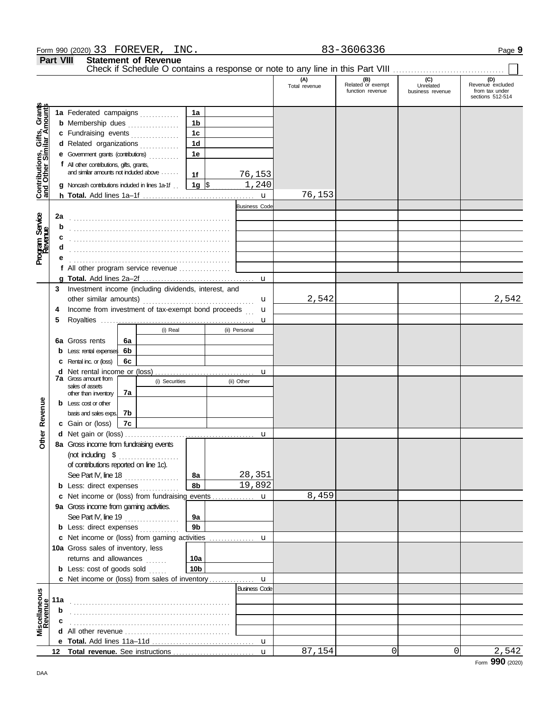#### Form 990 (2020) 33 FOREVER, INC. 2010 12:336 2010 12:45 Page **9**

**Part VIII Statement of Revenue**

|                                                                  | <b>Part VIII</b> |                                           | Statement of Revenue<br>Check if Schedule O contains a response or note to any line in this Part VIII |                |   |                      |                      |                                              |                                      |                                                               |
|------------------------------------------------------------------|------------------|-------------------------------------------|-------------------------------------------------------------------------------------------------------|----------------|---|----------------------|----------------------|----------------------------------------------|--------------------------------------|---------------------------------------------------------------|
|                                                                  |                  |                                           |                                                                                                       |                |   |                      | (A)<br>Total revenue | (B)<br>Related or exempt<br>function revenue | (C)<br>Unrelated<br>business revenue | (D)<br>Revenue excluded<br>from tax under<br>sections 512-514 |
| <b>Contributions, Gifts, Grants</b><br>and Other Similar Amounts |                  |                                           | 1a Federated campaigns                                                                                | 1a             |   |                      |                      |                                              |                                      |                                                               |
|                                                                  |                  |                                           | <b>b</b> Membership dues                                                                              | 1 <sub>b</sub> |   |                      |                      |                                              |                                      |                                                               |
|                                                                  |                  |                                           | c Fundraising events                                                                                  | 1 <sub>c</sub> |   |                      |                      |                                              |                                      |                                                               |
|                                                                  |                  |                                           | d Related organizations                                                                               | 1 <sub>d</sub> |   |                      |                      |                                              |                                      |                                                               |
|                                                                  |                  |                                           |                                                                                                       | 1e             |   |                      |                      |                                              |                                      |                                                               |
|                                                                  |                  | f All other contributions, gifts, grants, |                                                                                                       |                |   |                      |                      |                                              |                                      |                                                               |
|                                                                  |                  |                                           | and similar amounts not induded above                                                                 | 1f             |   | 76,153               |                      |                                              |                                      |                                                               |
|                                                                  |                  |                                           | <b>g</b> Noncash contributions included in lines 1a-1f                                                | 1g $\sqrt{3}$  |   | $\overline{1,240}$   |                      |                                              |                                      |                                                               |
|                                                                  |                  |                                           |                                                                                                       |                |   | $\mathbf{u}$         | 76,153               |                                              |                                      |                                                               |
|                                                                  |                  |                                           |                                                                                                       |                |   | <b>Business Code</b> |                      |                                              |                                      |                                                               |
|                                                                  | 2a               |                                           |                                                                                                       |                |   |                      |                      |                                              |                                      |                                                               |
| Program Service<br>Revenue                                       | b                |                                           |                                                                                                       |                |   |                      |                      |                                              |                                      |                                                               |
|                                                                  |                  |                                           |                                                                                                       |                |   |                      |                      |                                              |                                      |                                                               |
|                                                                  |                  |                                           |                                                                                                       |                |   |                      |                      |                                              |                                      |                                                               |
|                                                                  |                  |                                           |                                                                                                       |                |   |                      |                      |                                              |                                      |                                                               |
|                                                                  |                  |                                           | f All other program service revenue                                                                   |                |   |                      |                      |                                              |                                      |                                                               |
|                                                                  |                  |                                           |                                                                                                       |                |   | u                    |                      |                                              |                                      |                                                               |
|                                                                  |                  |                                           | 3 Investment income (including dividends, interest, and                                               |                |   |                      |                      |                                              |                                      |                                                               |
|                                                                  |                  |                                           |                                                                                                       |                |   | u                    | 2,542                |                                              |                                      | 2,542                                                         |
|                                                                  | 4                |                                           | Income from investment of tax-exempt bond proceeds                                                    |                |   | u                    |                      |                                              |                                      |                                                               |
|                                                                  | 5                |                                           |                                                                                                       |                |   | u                    |                      |                                              |                                      |                                                               |
|                                                                  |                  |                                           | (i) Real                                                                                              |                |   | (ii) Personal        |                      |                                              |                                      |                                                               |
|                                                                  |                  | 6a Gross rents                            | 6a                                                                                                    |                |   |                      |                      |                                              |                                      |                                                               |
|                                                                  | b                | Less: rental expenses 6b                  |                                                                                                       |                |   |                      |                      |                                              |                                      |                                                               |
|                                                                  |                  | <b>c</b> Rental inc. or (loss)            | 6с                                                                                                    |                |   |                      |                      |                                              |                                      |                                                               |
|                                                                  |                  | <b>7a</b> Gross amount from               |                                                                                                       |                |   | u                    |                      |                                              |                                      |                                                               |
|                                                                  |                  | sales of assets                           | (i) Securities                                                                                        |                |   | (ii) Other           |                      |                                              |                                      |                                                               |
|                                                                  |                  | other than inventory                      | 7a                                                                                                    |                |   |                      |                      |                                              |                                      |                                                               |
|                                                                  |                  | $\mathbf b$ Less: cost or other           |                                                                                                       |                |   |                      |                      |                                              |                                      |                                                               |
| <b>Other Revenue</b>                                             |                  | basis and sales exps.                     | 7b                                                                                                    |                |   |                      |                      |                                              |                                      |                                                               |
|                                                                  |                  | c Gain or (loss)                          | 7c                                                                                                    |                |   |                      |                      |                                              |                                      |                                                               |
|                                                                  |                  |                                           |                                                                                                       |                |   | u                    |                      |                                              |                                      |                                                               |
|                                                                  |                  |                                           | 8a Gross income from fundraising events                                                               |                |   |                      |                      |                                              |                                      |                                                               |
|                                                                  |                  |                                           |                                                                                                       |                |   |                      |                      |                                              |                                      |                                                               |
|                                                                  |                  | of contributions reported on line 1c).    |                                                                                                       |                |   |                      |                      |                                              |                                      |                                                               |
|                                                                  |                  | See Part IV, line 18                      | . <b>.</b> .                                                                                          | 8a<br>8b       |   | 28,351<br>19,892     |                      |                                              |                                      |                                                               |
|                                                                  |                  |                                           | <b>b</b> Less: direct expenses                                                                        |                |   |                      | 8,459                |                                              |                                      |                                                               |
|                                                                  | c                | 9a Gross income from gaming activities.   | Net income or (loss) from fundraising events                                                          |                |   | u                    |                      |                                              |                                      |                                                               |
|                                                                  |                  |                                           | See Part IV, line 19                                                                                  | 9а             |   |                      |                      |                                              |                                      |                                                               |
|                                                                  |                  |                                           | <b>b</b> Less: direct expenses                                                                        | 9 <sub>b</sub> |   |                      |                      |                                              |                                      |                                                               |
|                                                                  |                  |                                           | c Net income or (loss) from gaming activities                                                         |                |   | u                    |                      |                                              |                                      |                                                               |
|                                                                  |                  | <b>10a</b> Gross sales of inventory, less |                                                                                                       |                | . |                      |                      |                                              |                                      |                                                               |
|                                                                  |                  | returns and allowances                    |                                                                                                       | 10a            |   |                      |                      |                                              |                                      |                                                               |
|                                                                  |                  | <b>b</b> Less: $cost$ of goods $sol$      |                                                                                                       | 10b            |   |                      |                      |                                              |                                      |                                                               |
|                                                                  |                  |                                           | <b>c</b> Net income or (loss) from sales of inventory                                                 |                |   | u                    |                      |                                              |                                      |                                                               |
|                                                                  |                  |                                           |                                                                                                       |                |   | <b>Business Code</b> |                      |                                              |                                      |                                                               |
|                                                                  | 11a              |                                           |                                                                                                       |                |   |                      |                      |                                              |                                      |                                                               |
|                                                                  | b                |                                           |                                                                                                       |                |   |                      |                      |                                              |                                      |                                                               |
| Miscellaneous<br>Revenue                                         |                  |                                           |                                                                                                       |                |   |                      |                      |                                              |                                      |                                                               |
|                                                                  |                  |                                           |                                                                                                       |                |   |                      |                      |                                              |                                      |                                                               |
|                                                                  |                  |                                           |                                                                                                       |                |   | u                    |                      |                                              |                                      |                                                               |
|                                                                  |                  |                                           |                                                                                                       |                |   | u                    | 87,154               | 0                                            | 0                                    | 2,542                                                         |
|                                                                  |                  |                                           |                                                                                                       |                |   |                      |                      |                                              |                                      |                                                               |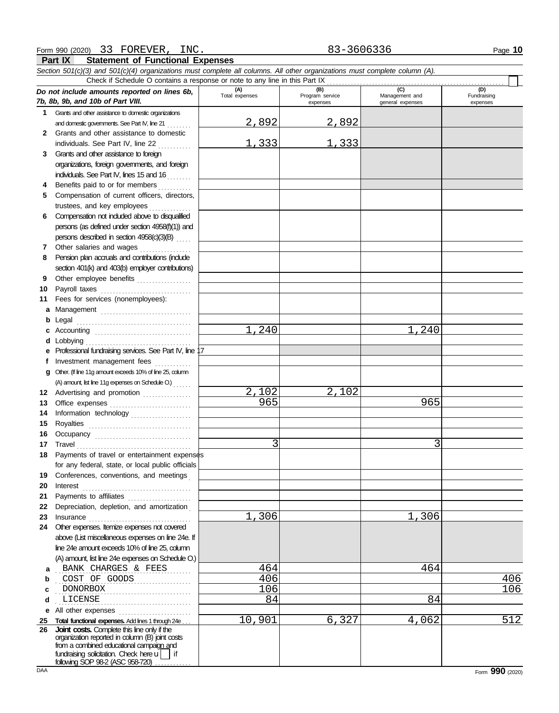**Part IX Statement of Functional Expenses**

|              | Section 501(c)(3) and 501(c)(4) organizations must complete all columns. All other organizations must complete column (A).<br>Check if Schedule O contains a response or note to any line in this Part IX                            |                       |                                    |                                           |                                |
|--------------|--------------------------------------------------------------------------------------------------------------------------------------------------------------------------------------------------------------------------------------|-----------------------|------------------------------------|-------------------------------------------|--------------------------------|
|              | Do not include amounts reported on lines 6b,<br>7b, 8b, 9b, and 10b of Part VIII.                                                                                                                                                    | (A)<br>Total expenses | (B)<br>Program service<br>expenses | (C)<br>Management and<br>general expenses | (D)<br>Fundraising<br>expenses |
| 1.           | Grants and other assistance to domestic organizations                                                                                                                                                                                |                       |                                    |                                           |                                |
|              | and domestic governments. See Part IV, line 21                                                                                                                                                                                       | 2,892                 | 2,892                              |                                           |                                |
| $\mathbf{2}$ | Grants and other assistance to domestic                                                                                                                                                                                              |                       |                                    |                                           |                                |
|              | individuals. See Part IV, line 22                                                                                                                                                                                                    | 1,333                 | 1,333                              |                                           |                                |
| 3            | Grants and other assistance to foreign                                                                                                                                                                                               |                       |                                    |                                           |                                |
|              | organizations, foreign governments, and foreign                                                                                                                                                                                      |                       |                                    |                                           |                                |
|              | individuals. See Part IV, lines 15 and 16                                                                                                                                                                                            |                       |                                    |                                           |                                |
| 4            | Benefits paid to or for members                                                                                                                                                                                                      |                       |                                    |                                           |                                |
| 5            | Compensation of current officers, directors,                                                                                                                                                                                         |                       |                                    |                                           |                                |
|              | trustees, and key employees                                                                                                                                                                                                          |                       |                                    |                                           |                                |
| 6            | Compensation not included above to disqualified                                                                                                                                                                                      |                       |                                    |                                           |                                |
|              | persons (as defined under section 4958(f)(1)) and                                                                                                                                                                                    |                       |                                    |                                           |                                |
|              | persons described in section 4958(c)(3)(B)                                                                                                                                                                                           |                       |                                    |                                           |                                |
| 7            | Other salaries and wages                                                                                                                                                                                                             |                       |                                    |                                           |                                |
| 8            | Pension plan accruals and contributions (indude                                                                                                                                                                                      |                       |                                    |                                           |                                |
|              | section 401(k) and 403(b) employer contributions)                                                                                                                                                                                    |                       |                                    |                                           |                                |
| 9            | Other employee benefits                                                                                                                                                                                                              |                       |                                    |                                           |                                |
| 10           | Payroll taxes                                                                                                                                                                                                                        |                       |                                    |                                           |                                |
| 11           | Fees for services (nonemployees):                                                                                                                                                                                                    |                       |                                    |                                           |                                |
| a            | Management                                                                                                                                                                                                                           |                       |                                    |                                           |                                |
| b            | Legal                                                                                                                                                                                                                                |                       |                                    |                                           |                                |
| c            |                                                                                                                                                                                                                                      | 1,240                 |                                    | 1,240                                     |                                |
| d            | Lobbying                                                                                                                                                                                                                             |                       |                                    |                                           |                                |
| е            | Professional fundraising services. See Part IV, line 17                                                                                                                                                                              |                       |                                    |                                           |                                |
| f            | Investment management fees                                                                                                                                                                                                           |                       |                                    |                                           |                                |
| a            | Other. (If line 11g amount exceeds 10% of line 25, column                                                                                                                                                                            |                       |                                    |                                           |                                |
|              | (A) amount, list line 11g expenses on Schedule O.) [11]                                                                                                                                                                              |                       |                                    |                                           |                                |
|              | 12 Advertising and promotion                                                                                                                                                                                                         | 2,102                 | 2,102                              |                                           |                                |
| 13           |                                                                                                                                                                                                                                      | 965                   |                                    | 965                                       |                                |
| 14           | Information technology                                                                                                                                                                                                               |                       |                                    |                                           |                                |
| 15           | Royalties                                                                                                                                                                                                                            |                       |                                    |                                           |                                |
| 16           |                                                                                                                                                                                                                                      |                       |                                    |                                           |                                |
| 17           | Travel <b>contract and the contract of the contract of the contract of the contract of the contract of the contract of the contract of the contract of the contract of the contract of the contract of the contract of the contr</b> | 3                     |                                    | 3                                         |                                |
|              | 18 Payments of travel or entertainment expenses                                                                                                                                                                                      |                       |                                    |                                           |                                |
|              | for any federal, state, or local public officials                                                                                                                                                                                    |                       |                                    |                                           |                                |
| 19           | Conferences, conventions, and meetings                                                                                                                                                                                               |                       |                                    |                                           |                                |
| 20           | Interest                                                                                                                                                                                                                             |                       |                                    |                                           |                                |
| 21           | Payments to affiliates                                                                                                                                                                                                               |                       |                                    |                                           |                                |
| 22           | Depreciation, depletion, and amortization                                                                                                                                                                                            |                       |                                    |                                           |                                |
| 23           | Insurance                                                                                                                                                                                                                            | 1,306                 |                                    | 1,306                                     |                                |
| 24           | Other expenses. Itemize expenses not covered                                                                                                                                                                                         |                       |                                    |                                           |                                |
|              | above (List miscellaneous expenses on line 24e. If                                                                                                                                                                                   |                       |                                    |                                           |                                |
|              | line 24e amount exceeds 10% of line 25, column                                                                                                                                                                                       |                       |                                    |                                           |                                |
|              | (A) amount, list line 24e expenses on Schedule O.)                                                                                                                                                                                   |                       |                                    |                                           |                                |
| a            | BANK CHARGES & FEES                                                                                                                                                                                                                  | 464                   |                                    | 464                                       |                                |
| b            | COST OF GOODS                                                                                                                                                                                                                        | 406                   |                                    |                                           | 406                            |
| c            | <b>DONORBOX</b>                                                                                                                                                                                                                      | 106                   |                                    |                                           | 106                            |
| d            | LICENSE                                                                                                                                                                                                                              | 84                    |                                    | 84                                        |                                |
| е            |                                                                                                                                                                                                                                      |                       |                                    |                                           |                                |
|              | 25 Total functional expenses. Add lines 1 through 24e                                                                                                                                                                                | 10,901                | 6,327                              | 4,062                                     | 512                            |
|              | 26 Joint costs. Complete this line only if the<br>organization reported in column (B) joint costs<br>from a combined educational campaign and<br>fundraising solicitation. Check here $\overline{u}$   if                            |                       |                                    |                                           |                                |
|              | following SOP 98-2 (ASC 958-720)                                                                                                                                                                                                     |                       |                                    |                                           |                                |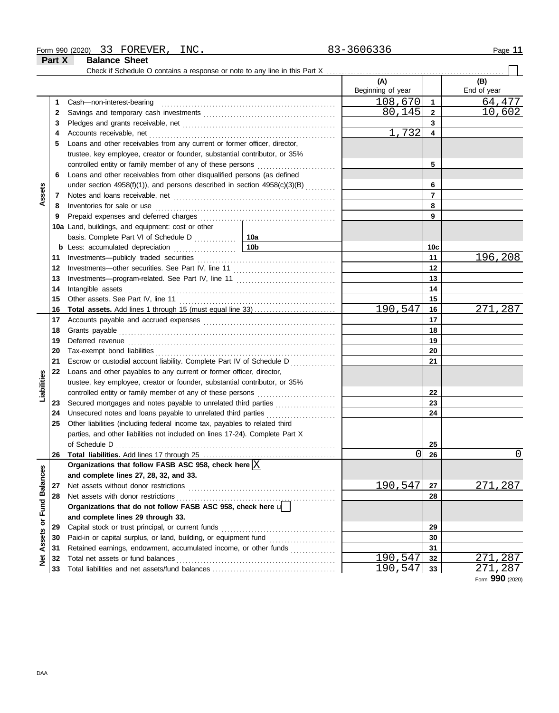| Form 990 (2020) | 33 | FOREVER | INC. | $606336$<br>, , ,<br>3000330 | Page |
|-----------------|----|---------|------|------------------------------|------|
|                 |    |         |      |                              |      |

**Part X Balance Sheet** 

|                             |    | Check if Schedule O contains a response or note to any line in this Part X                                       |                 |                          |                         |                        |
|-----------------------------|----|------------------------------------------------------------------------------------------------------------------|-----------------|--------------------------|-------------------------|------------------------|
|                             |    |                                                                                                                  |                 | (A)<br>Beginning of year |                         | (B)<br>End of year     |
|                             | 1  | Cash-non-interest-bearing                                                                                        |                 | 108,670                  | $\mathbf{1}$            | 64,477                 |
|                             | 2  |                                                                                                                  |                 | 80,145                   | $\mathbf{2}$            | 10,602                 |
|                             | 3  |                                                                                                                  |                 |                          | $\mathbf{3}$            |                        |
|                             | 4  |                                                                                                                  |                 | 1,732                    | $\overline{\mathbf{4}}$ |                        |
|                             | 5  | Loans and other receivables from any current or former officer, director,                                        |                 |                          |                         |                        |
|                             |    | trustee, key employee, creator or founder, substantial contributor, or 35%                                       |                 |                          |                         |                        |
|                             |    | controlled entity or family member of any of these persons                                                       |                 |                          | 5                       |                        |
|                             | 6  | Loans and other receivables from other disqualified persons (as defined                                          |                 |                          |                         |                        |
|                             |    | under section $4958(f)(1)$ ), and persons described in section $4958(c)(3)(B)$                                   |                 |                          | 6                       |                        |
| Assets                      | 7  |                                                                                                                  |                 |                          | $\overline{7}$          |                        |
|                             | 8  | Inventories for sale or use                                                                                      |                 |                          | 8                       |                        |
|                             | 9  |                                                                                                                  |                 |                          | 9                       |                        |
|                             |    | 10a Land, buildings, and equipment: cost or other                                                                |                 |                          |                         |                        |
|                             |    |                                                                                                                  |                 |                          |                         |                        |
|                             |    |                                                                                                                  | 10 <sub>b</sub> |                          | 10c                     |                        |
|                             | 11 |                                                                                                                  |                 |                          | 11                      | 196,208                |
|                             | 12 |                                                                                                                  |                 |                          | 12                      |                        |
|                             | 13 |                                                                                                                  |                 |                          | 13                      |                        |
|                             | 14 |                                                                                                                  |                 |                          | 14                      |                        |
|                             | 15 |                                                                                                                  |                 |                          | 15                      |                        |
|                             | 16 | <b>Total assets.</b> Add lines 1 through 15 (must equal line 33)                                                 |                 | 190,547                  | 16                      | 271,287                |
|                             | 17 |                                                                                                                  |                 |                          | 17                      |                        |
|                             | 18 |                                                                                                                  |                 |                          | 18                      |                        |
|                             | 19 |                                                                                                                  |                 | 19                       |                         |                        |
|                             | 20 |                                                                                                                  |                 |                          | 20                      |                        |
|                             | 21 | Escrow or custodial account liability. Complete Part IV of Schedule D                                            |                 |                          | 21                      |                        |
|                             | 22 | Loans and other payables to any current or former officer, director,                                             |                 |                          |                         |                        |
| Liabilities                 |    | trustee, key employee, creator or founder, substantial contributor, or 35%                                       |                 |                          |                         |                        |
|                             |    |                                                                                                                  |                 |                          | 22                      |                        |
|                             | 23 |                                                                                                                  |                 |                          | 23                      |                        |
|                             | 24 | Unsecured notes and loans payable to unrelated third parties                                                     |                 |                          | 24                      |                        |
|                             | 25 | Other liabilities (including federal income tax, payables to related third                                       |                 |                          |                         |                        |
|                             |    | parties, and other liabilities not included on lines 17-24). Complete Part X                                     |                 |                          |                         |                        |
|                             |    | of Schedule D $\ldots$ $\ldots$ $\ldots$ $\ldots$ $\ldots$ $\ldots$ $\ldots$ $\ldots$ $\ldots$ $\ldots$ $\ldots$ |                 |                          | 25                      |                        |
|                             | 26 |                                                                                                                  |                 | UI                       | 26                      | U                      |
|                             |    | Organizations that follow FASB ASC 958, check here $ \mathbf{X} $                                                |                 |                          |                         |                        |
|                             |    | and complete lines 27, 28, 32, and 33.                                                                           |                 |                          |                         |                        |
|                             | 27 | Net assets without donor restrictions                                                                            |                 | 190,547                  | 27                      | 271,287                |
|                             | 28 |                                                                                                                  |                 |                          | 28                      |                        |
|                             |    | Organizations that do not follow FASB ASC 958, check here U                                                      |                 |                          |                         |                        |
|                             |    | and complete lines 29 through 33.                                                                                |                 |                          |                         |                        |
|                             | 29 |                                                                                                                  |                 |                          | 29                      |                        |
|                             | 30 |                                                                                                                  |                 |                          | 30                      |                        |
| Net Assets or Fund Balances | 31 | Retained earnings, endowment, accumulated income, or other funds                                                 |                 |                          | 31                      |                        |
|                             | 32 | Total net assets or fund balances                                                                                |                 | 190,547                  | 32                      | 287<br>27 <sub>1</sub> |
|                             | 33 |                                                                                                                  |                 | 190,547                  | 33                      | 287<br>27 <sub>1</sub> |

Form **990** (2020)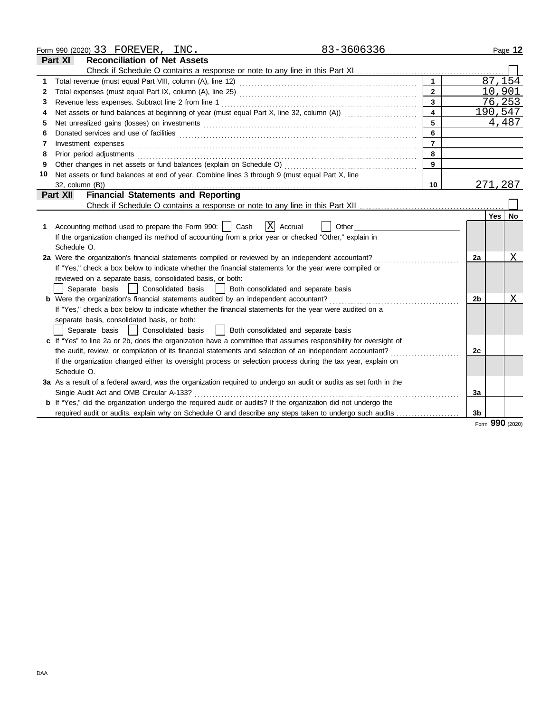|              | 83-3606336<br>Form 990 (2020) 33 FOREVER, INC.                                                                                                                                                                                 |                |    |          | Page 12 |
|--------------|--------------------------------------------------------------------------------------------------------------------------------------------------------------------------------------------------------------------------------|----------------|----|----------|---------|
|              | <b>Part XI</b><br><b>Reconciliation of Net Assets</b>                                                                                                                                                                          |                |    |          |         |
|              |                                                                                                                                                                                                                                |                |    |          |         |
| 1            |                                                                                                                                                                                                                                |                |    | 87,154   |         |
| $\mathbf{2}$ |                                                                                                                                                                                                                                | $\overline{2}$ |    | 10,901   |         |
| 3            |                                                                                                                                                                                                                                | $\overline{3}$ |    | 76,253   |         |
| 4            | Net assets or fund balances at beginning of year (must equal Part X, line 32, column (A))                                                                                                                                      |                |    | 190,547  |         |
| 5            | Net unrealized gains (losses) on investments [11] matter contracts and the state of the state of the state of the state of the state of the state of the state of the state of the state of the state of the state of the stat | 5              |    |          | 4,487   |
| 6            |                                                                                                                                                                                                                                | 6              |    |          |         |
| 7            | Investment expenses                                                                                                                                                                                                            | $\overline{7}$ |    |          |         |
| 8            | Prior period adjustments                                                                                                                                                                                                       | 8              |    |          |         |
| 9            | Other changes in net assets or fund balances (explain on Schedule O)                                                                                                                                                           | 9              |    |          |         |
| 10           | Net assets or fund balances at end of year. Combine lines 3 through 9 (must equal Part X, line                                                                                                                                 |                |    |          |         |
|              |                                                                                                                                                                                                                                | 10             |    | 271,287  |         |
|              | <b>Financial Statements and Reporting</b><br><b>Part XII</b>                                                                                                                                                                   |                |    |          |         |
|              |                                                                                                                                                                                                                                |                |    |          |         |
|              |                                                                                                                                                                                                                                |                |    | Yes   No |         |
| 1            | X Accrual<br>Accounting method used to prepare the Form 990:     Cash<br>Other                                                                                                                                                 |                |    |          |         |
|              | If the organization changed its method of accounting from a prior year or checked "Other," explain in                                                                                                                          |                |    |          |         |
|              | Schedule O.                                                                                                                                                                                                                    |                |    |          |         |
|              | 2a Were the organization's financial statements compiled or reviewed by an independent accountant?                                                                                                                             |                | 2a |          | Χ       |
|              | If "Yes," check a box below to indicate whether the financial statements for the year were compiled or                                                                                                                         |                |    |          |         |
|              | reviewed on a separate basis, consolidated basis, or both:                                                                                                                                                                     |                |    |          |         |
|              | Separate basis<br>Consolidated basis<br>Both consolidated and separate basis                                                                                                                                                   |                |    |          |         |
|              | <b>b</b> Were the organization's financial statements audited by an independent accountant?                                                                                                                                    |                | 2b |          | Χ       |
|              | If "Yes," check a box below to indicate whether the financial statements for the year were audited on a                                                                                                                        |                |    |          |         |
|              | separate basis, consolidated basis, or both:                                                                                                                                                                                   |                |    |          |         |
|              | Both consolidated and separate basis<br>Separate basis<br>Consolidated basis                                                                                                                                                   |                |    |          |         |
|              | c If "Yes" to line 2a or 2b, does the organization have a committee that assumes responsibility for oversight of                                                                                                               |                |    |          |         |
|              | the audit, review, or compilation of its financial statements and selection of an independent accountant?                                                                                                                      |                | 2c |          |         |
|              | If the organization changed either its oversight process or selection process during the tax year, explain on                                                                                                                  |                |    |          |         |
|              | Schedule O.                                                                                                                                                                                                                    |                |    |          |         |
|              | 3a As a result of a federal award, was the organization required to undergo an audit or audits as set forth in the                                                                                                             |                |    |          |         |
|              | Single Audit Act and OMB Circular A-133?                                                                                                                                                                                       |                | 3a |          |         |
|              | <b>b</b> If "Yes," did the organization undergo the required audit or audits? If the organization did not undergo the                                                                                                          |                |    |          |         |
|              | required audit or audits, explain why on Schedule O and describe any steps taken to undergo such audits                                                                                                                        |                | 3b |          |         |
|              |                                                                                                                                                                                                                                |                |    | Ω۵Ω      |         |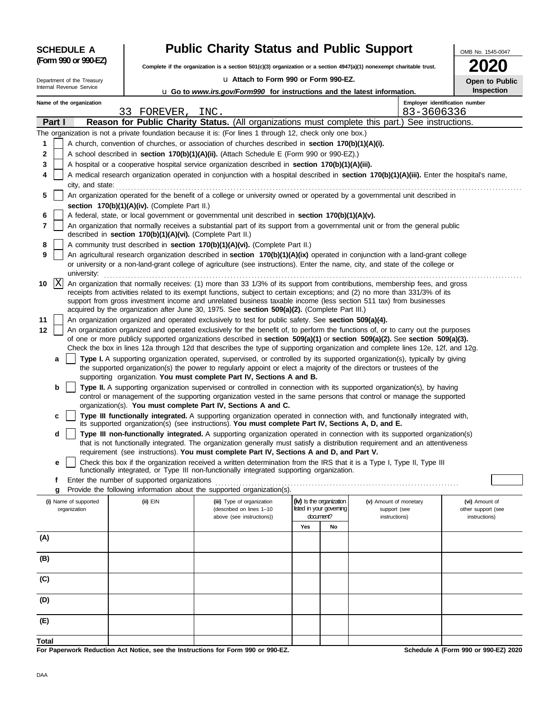| <b>SCHEDULE A</b>                     |                                                                                                   | <b>Public Charity Status and Public Support</b>                                                                                                                                                                                                                |                                                      |    |                                        | OMB No. 1545-0047                    |  |  |
|---------------------------------------|---------------------------------------------------------------------------------------------------|----------------------------------------------------------------------------------------------------------------------------------------------------------------------------------------------------------------------------------------------------------------|------------------------------------------------------|----|----------------------------------------|--------------------------------------|--|--|
| (Form 990 or 990-EZ)                  |                                                                                                   | Complete if the organization is a section $501(c)(3)$ organization or a section $4947(a)(1)$ nonexempt charitable trust.                                                                                                                                       |                                                      |    |                                        |                                      |  |  |
| Department of the Treasury            |                                                                                                   | U Attach to Form 990 or Form 990-EZ.                                                                                                                                                                                                                           |                                                      |    |                                        | Open to Public                       |  |  |
| Internal Revenue Service              |                                                                                                   | U Go to www.irs.gov/Form990 for instructions and the latest information.                                                                                                                                                                                       |                                                      |    |                                        | <b>Inspection</b>                    |  |  |
| Name of the organization              | 33 FOREVER,                                                                                       | INC.                                                                                                                                                                                                                                                           |                                                      |    | 83-3606336                             | Employer identification number       |  |  |
| Part I                                |                                                                                                   | Reason for Public Charity Status. (All organizations must complete this part.) See instructions.                                                                                                                                                               |                                                      |    |                                        |                                      |  |  |
| 1                                     |                                                                                                   | The organization is not a private foundation because it is: (For lines 1 through 12, check only one box.)                                                                                                                                                      |                                                      |    |                                        |                                      |  |  |
| 2                                     |                                                                                                   | A church, convention of churches, or association of churches described in section 170(b)(1)(A)(i).<br>A school described in section 170(b)(1)(A)(ii). (Attach Schedule E (Form 990 or 990-EZ).)                                                                |                                                      |    |                                        |                                      |  |  |
| 3                                     | A hospital or a cooperative hospital service organization described in section 170(b)(1)(A)(iii). |                                                                                                                                                                                                                                                                |                                                      |    |                                        |                                      |  |  |
| 4<br>city, and state:                 |                                                                                                   | A medical research organization operated in conjunction with a hospital described in section 170(b)(1)(A)(iii). Enter the hospital's name,                                                                                                                     |                                                      |    |                                        |                                      |  |  |
| 5                                     |                                                                                                   | An organization operated for the benefit of a college or university owned or operated by a governmental unit described in                                                                                                                                      |                                                      |    |                                        |                                      |  |  |
|                                       | section 170(b)(1)(A)(iv). (Complete Part II.)                                                     |                                                                                                                                                                                                                                                                |                                                      |    |                                        |                                      |  |  |
| 6<br>7                                |                                                                                                   | A federal, state, or local government or governmental unit described in section 170(b)(1)(A)(v).<br>An organization that normally receives a substantial part of its support from a governmental unit or from the general public                               |                                                      |    |                                        |                                      |  |  |
|                                       | described in section 170(b)(1)(A)(vi). (Complete Part II.)                                        |                                                                                                                                                                                                                                                                |                                                      |    |                                        |                                      |  |  |
| 8<br>9                                |                                                                                                   | A community trust described in section 170(b)(1)(A)(vi). (Complete Part II.)<br>An agricultural research organization described in section 170(b)(1)(A)(ix) operated in conjunction with a land-grant college                                                  |                                                      |    |                                        |                                      |  |  |
| university:                           |                                                                                                   | or university or a non-land-grant college of agriculture (see instructions). Enter the name, city, and state of the college or                                                                                                                                 |                                                      |    |                                        |                                      |  |  |
| ΙX<br>10                              |                                                                                                   | An organization that normally receives: (1) more than 33 1/3% of its support from contributions, membership fees, and gross<br>receipts from activities related to its exempt functions, subject to certain exceptions; and (2) no more than 331/3% of its     |                                                      |    |                                        |                                      |  |  |
|                                       |                                                                                                   | support from gross investment income and unrelated business taxable income (less section 511 tax) from businesses                                                                                                                                              |                                                      |    |                                        |                                      |  |  |
| 11                                    |                                                                                                   | acquired by the organization after June 30, 1975. See section 509(a)(2). (Complete Part III.)<br>An organization organized and operated exclusively to test for public safety. See section 509(a)(4).                                                          |                                                      |    |                                        |                                      |  |  |
| 12                                    |                                                                                                   | An organization organized and operated exclusively for the benefit of, to perform the functions of, or to carry out the purposes                                                                                                                               |                                                      |    |                                        |                                      |  |  |
|                                       |                                                                                                   | of one or more publicly supported organizations described in section 509(a)(1) or section 509(a)(2). See section 509(a)(3).<br>Check the box in lines 12a through 12d that describes the type of supporting organization and complete lines 12e, 12f, and 12g. |                                                      |    |                                        |                                      |  |  |
| a                                     |                                                                                                   | Type I. A supporting organization operated, supervised, or controlled by its supported organization(s), typically by giving                                                                                                                                    |                                                      |    |                                        |                                      |  |  |
|                                       |                                                                                                   | the supported organization(s) the power to regularly appoint or elect a majority of the directors or trustees of the<br>supporting organization. You must complete Part IV, Sections A and B.                                                                  |                                                      |    |                                        |                                      |  |  |
| b                                     |                                                                                                   | Type II. A supporting organization supervised or controlled in connection with its supported organization(s), by having                                                                                                                                        |                                                      |    |                                        |                                      |  |  |
|                                       |                                                                                                   | control or management of the supporting organization vested in the same persons that control or manage the supported<br>organization(s). You must complete Part IV, Sections A and C.                                                                          |                                                      |    |                                        |                                      |  |  |
| c                                     |                                                                                                   | Type III functionally integrated. A supporting organization operated in connection with, and functionally integrated with,                                                                                                                                     |                                                      |    |                                        |                                      |  |  |
| d                                     |                                                                                                   | its supported organization(s) (see instructions). You must complete Part IV, Sections A, D, and E.<br>Type III non-functionally integrated. A supporting organization operated in connection with its supported organization(s)                                |                                                      |    |                                        |                                      |  |  |
|                                       |                                                                                                   | that is not functionally integrated. The organization generally must satisfy a distribution requirement and an attentiveness<br>requirement (see instructions). You must complete Part IV, Sections A and D, and Part V.                                       |                                                      |    |                                        |                                      |  |  |
| е                                     |                                                                                                   | Check this box if the organization received a written determination from the IRS that it is a Type I, Type II, Type III                                                                                                                                        |                                                      |    |                                        |                                      |  |  |
| f                                     | Enter the number of supported organizations                                                       | functionally integrated, or Type III non-functionally integrated supporting organization.                                                                                                                                                                      |                                                      |    |                                        |                                      |  |  |
| g                                     |                                                                                                   | Provide the following information about the supported organization(s).                                                                                                                                                                                         |                                                      |    |                                        |                                      |  |  |
| (i) Name of supported<br>organization | (ii) EIN                                                                                          | (iii) Type of organization<br>(described on lines 1-10                                                                                                                                                                                                         | (iv) Is the organization<br>listed in your governing |    | (v) Amount of monetary<br>support (see | (vi) Amount of<br>other support (see |  |  |
|                                       |                                                                                                   | above (see instructions))                                                                                                                                                                                                                                      | document?                                            |    | instructions)                          | instructions)                        |  |  |
| (A)                                   |                                                                                                   |                                                                                                                                                                                                                                                                | Yes                                                  | No |                                        |                                      |  |  |
|                                       |                                                                                                   |                                                                                                                                                                                                                                                                |                                                      |    |                                        |                                      |  |  |
| (B)                                   |                                                                                                   |                                                                                                                                                                                                                                                                |                                                      |    |                                        |                                      |  |  |
| (C)                                   |                                                                                                   |                                                                                                                                                                                                                                                                |                                                      |    |                                        |                                      |  |  |
| (D)                                   |                                                                                                   |                                                                                                                                                                                                                                                                |                                                      |    |                                        |                                      |  |  |
| (E)                                   |                                                                                                   |                                                                                                                                                                                                                                                                |                                                      |    |                                        |                                      |  |  |
| Total                                 |                                                                                                   |                                                                                                                                                                                                                                                                |                                                      |    |                                        |                                      |  |  |

**For Paperwork Reduction Act Notice, see the Instructions for Form 990 or 990-EZ.**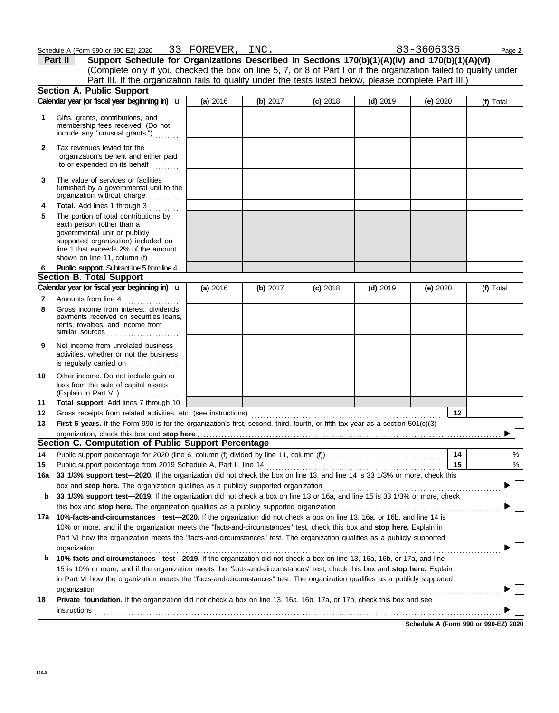Schedule A (Form 990 or 990-EZ) 2020 Page **2** 33 FOREVER, **Part II Support Schedule for Organizations Described in Sections 170(b)(1)(A)(iv) and 170(b)(1)(A)(vi)** (Complete only if you checked the box on line 5, 7, or 8 of Part I or if the organization failed to qualify under Part III. If the organization fails to qualify under the tests listed below, please complete Part III.) **Section A. Public Support Calendar year (or fiscal year beginning in) <b>u** | (a) 2016 | (b) 2017 | (c) 2018 | (d) 2019 | (e) 2020 | (f) Total **(a)** 2016 **(b)** 2017 **(c)** 2018 **(d)** 2019 **(e)** 2020 **1** Gifts, grants, contributions, and membership fees received. (Do not include any "unusual grants.") . . . . . . . . **2** Tax revenues levied for the organization's benefit and either paid to or expended on its behalf ......... **3** The value of services or facilities furnished by a governmental unit to the organization without charge **Total.** Add lines 1 through 3 .......... **4** The portion of total contributions by **5** each person (other than a governmental unit or publicly supported organization) included on line 1 that exceeds 2% of the amount shown on line 11, column (f)  $\ldots$ **Public support.** Subtract line 5 from line 4. **6 Section B. Total Support Calendar year (or fiscal year beginning in) <b>u** (a) 2016 (b) 2017 (c) 2018 (d) 2019 (e) 2020 (f) Total **(a)** 2016 u **(b)** 2017 **(c)** 2018 **(d)** 2019 **(e)** 2020 **7** Amounts from line 4 **8** Gross income from interest, dividends, payments received on securities loans, rents, royalties, and income from similar sources . . . . . . . . . . . . . . . . . . . . . . . . **9** Net income from unrelated business activities, whether or not the business is regularly carried on ................. **10** Other income. Do not include gain or loss from the sale of capital assets (Explain in Part VI.) . . . . . . . . . . . . . . . . . **11 Total support.** Add lines 7 through 10 **12 12** Gross receipts from related activities, etc. (see instructions) . . . . . . . . . . . . . . . . . . . . . . . . . . . . . . . . . . . . . . . . . . . . . . . . . . . . . . . . . . . . . . . First 5 years. If the Form 990 is for the organization's first, second, third, fourth, or fifth tax year as a section 501(c)(3) **13** organization, check this box and stop here Ь **Section C. Computation of Public Support Percentage 14** % **14** Public support percentage for 2020 (line 6, column (f) divided by line 11, column (f)) . . . . . . . . . . . . . . . . . . . . . . . . . . . . . . . . . . . . . . Public support percentage from 2019 Schedule A, Part II, line 14 . . . . . . . . . . . . . . . . . . . . . . . . . . . . . . . . . . . . . . . . . . . . . . . . . . . . . . . . . . **15 15** %

**16a 33 1/3% support test—2020.** If the organization did not check the box on line 13, and line 14 is 33 1/3% or more, check this box and **stop here.** The organization qualifies as a publicly supported organization . . . . . . . . . . . . . . . . . . . . . . . . . . . . . . . . . . . . . . . . . . . . . . . . . . . . . . . . . . .

**b 33 1/3% support test—2019.** If the organization did not check a box on line 13 or 16a, and line 15 is 33 1/3% or more, check this box and **stop here.** The organization qualifies as a publicly supported organization . . . . . . . . . . . . . . . . . . . . . . . . . . . . . . . . . . . . . . . . . . . . . . . . . . . . . . **17a 10%-facts-and-circumstances test—2020.** If the organization did not check a box on line 13, 16a, or 16b, and line 14 is 10% or more, and if the organization meets the "facts-and-circumstances" test, check this box and **stop here.** Explain in Part VI how the organization meets the "facts-and-circumstances" test. The organization qualifies as a publicly supported **b 10%-facts-and-circumstances test—2019.** If the organization did not check a box on line 13, 16a, 16b, or 17a, and line in Part VI how the organization meets the "facts-and-circumstances" test. The organization qualifies as a publicly supported 15 is 10% or more, and if the organization meets the "facts-and-circumstances" test, check this box and **stop here.** Explain organization . . . . . . . . . . . . . . . . . . . . . . . . . . . . . . . . . . . . . . . . . . . . . . . . . . . . . . . . . . . . . . . . . . . . . . . . . . . . . . . . . . . . . . . . . . . . . . . . . . . . . . . . . . . . . . . . . . . . . . . . . . . . . . . . . . . . . .

**18 Private foundation.** If the organization did not check a box on line 13, 16a, 16b, 17a, or 17b, check this box and see organization . . . . . . . . . . . . . . . . . . . . . . . . . . . . . . . . . . . . . . . . . . . . . . . . . . . . . . . . . . . . . . . . . . . . . . . . . . . . . . . . . . . . . . . . . . . . . . . . . . . . . . . . . . . . . . . . . . . . . . . . . . . . . . . . . . . . . . **instructions** 

**Schedule A (Form 990 or 990-EZ) 2020**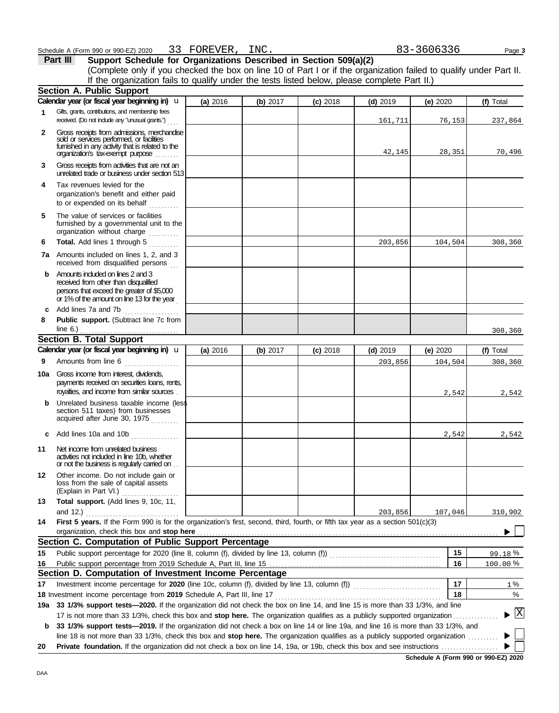|              | (Complete only if you checked the box on line 10 of Part I or if the organization failed to qualify under Part II.<br>If the organization fails to qualify under the tests listed below, please complete Part II.)                                               |          |          |          |            |          |           |
|--------------|------------------------------------------------------------------------------------------------------------------------------------------------------------------------------------------------------------------------------------------------------------------|----------|----------|----------|------------|----------|-----------|
|              | <b>Section A. Public Support</b>                                                                                                                                                                                                                                 |          |          |          |            |          |           |
|              | Calendar year (or fiscal year beginning in) u                                                                                                                                                                                                                    | (a) 2016 | (b) 2017 | (c) 2018 | $(d)$ 2019 | (e) 2020 | (f) Total |
| 1            | Gifts, grants, contributions, and membership fees<br>received. (Do not include any "unusual grants.")                                                                                                                                                            |          |          |          | 161,711    | 76,153   | 237,864   |
| $\mathbf{2}$ | Gross receipts from admissions, merchandise<br>sold or services performed, or facilities<br>fumished in any activity that is related to the<br>organization's tax-exempt purpose                                                                                 |          |          |          | 42,145     | 28,351   | 70,496    |
| 3            | Gross receipts from activities that are not an<br>unrelated trade or business under section 513                                                                                                                                                                  |          |          |          |            |          |           |
| 4            | Tax revenues levied for the<br>organization's benefit and either paid<br>to or expended on its behalf                                                                                                                                                            |          |          |          |            |          |           |
| 5            | The value of services or facilities<br>furnished by a governmental unit to the<br>organization without charge                                                                                                                                                    |          |          |          |            |          |           |
| 6            | Total. Add lines 1 through 5                                                                                                                                                                                                                                     |          |          |          | 203,856    | 104,504  | 308,360   |
|              | 7a Amounts included on lines 1, 2, and 3<br>received from disqualified persons                                                                                                                                                                                   |          |          |          |            |          |           |
|              | <b>b</b> Amounts included on lines 2 and 3<br>received from other than disqualified<br>persons that exceed the greater of \$5,000<br>or 1% of the amount on line 13 for the year                                                                                 |          |          |          |            |          |           |
|              | c Add lines 7a and 7b                                                                                                                                                                                                                                            |          |          |          |            |          |           |
| 8            | Public support. (Subtract line 7c from<br>line 6.) $\ldots$ $\ldots$ $\ldots$ $\ldots$ $\ldots$                                                                                                                                                                  |          |          |          |            |          | 308,360   |
|              | Section B. Total Support                                                                                                                                                                                                                                         |          |          |          |            |          |           |
|              | Calendar year (or fiscal year beginning in) u                                                                                                                                                                                                                    | (a) 2016 | (b) 2017 | (c) 2018 | $(d)$ 2019 | (e) 2020 | (f) Total |
| 9            | Amounts from line 6                                                                                                                                                                                                                                              |          |          |          | 203,856    | 104,504  | 308,360   |
| 10a          | Gross income from interest, dividends,<br>payments received on securities loans, rents,<br>royalties, and income from similar sources                                                                                                                            |          |          |          |            | 2,542    | 2,542     |
|              | <b>b</b> Unrelated business taxable income (less<br>section 511 taxes) from businesses<br>acquired after June 30, 1975                                                                                                                                           |          |          |          |            |          |           |
|              | <b>c</b> Add lines 10a and 10b $\ldots$                                                                                                                                                                                                                          |          |          |          |            | 2,542    | 2,542     |
| 11           | Net income from unrelated business<br>activities not included in line 10b, whether<br>or not the business is regularly carried on                                                                                                                                |          |          |          |            |          |           |
| 12           | Other income. Do not include gain or<br>loss from the sale of capital assets<br>(Explain in Part VI.)                                                                                                                                                            |          |          |          |            |          |           |
| 13           | Total support. (Add lines 9, 10c, 11,<br>and 12.)                                                                                                                                                                                                                |          |          |          | 203,856    | 107,046  | 310,902   |
| 14           | .<br>First 5 years. If the Form 990 is for the organization's first, second, third, fourth, or fifth tax year as a section 501(c)(3)<br>organization, check this box and stop here                                                                               |          |          |          |            |          |           |
|              | Section C. Computation of Public Support Percentage                                                                                                                                                                                                              |          |          |          |            |          |           |
| 15           |                                                                                                                                                                                                                                                                  |          |          |          |            | 15       | 99.18%    |
| 16           |                                                                                                                                                                                                                                                                  |          |          |          |            | 16       | 100.00%   |
|              | Section D. Computation of Investment Income Percentage                                                                                                                                                                                                           |          |          |          |            |          |           |
| 17           |                                                                                                                                                                                                                                                                  |          |          |          |            | 17       | 1 %       |
|              | 18 Investment income percentage from 2019 Schedule A, Part III, line 17                                                                                                                                                                                          |          |          |          |            | 18       | %         |
|              | 19a 33 1/3% support tests-2020. If the organization did not check the box on line 14, and line 15 is more than 33 1/3%, and line                                                                                                                                 |          |          |          |            |          |           |
| b            | 17 is not more than 33 1/3%, check this box and stop here. The organization qualifies as a publicly supported organization.<br>33 1/3% support tests-2019. If the organization did not check a box on line 14 or line 19a, and line 16 is more than 33 1/3%, and |          |          |          |            |          | X         |
|              | line 18 is not more than 33 1/3%, check this box and stop here. The organization qualifies as a publicly supported organization                                                                                                                                  |          |          |          |            |          |           |
| 20           |                                                                                                                                                                                                                                                                  |          |          |          |            |          |           |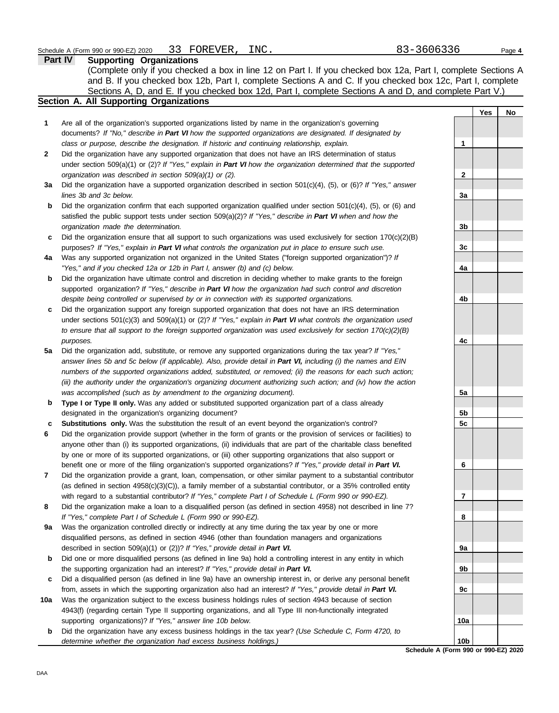|     | Part IV<br><b>Supporting Organizations</b>                                                                          |                                      |     |    |
|-----|---------------------------------------------------------------------------------------------------------------------|--------------------------------------|-----|----|
|     | (Complete only if you checked a box in line 12 on Part I. If you checked box 12a, Part I, complete Sections A       |                                      |     |    |
|     | and B. If you checked box 12b, Part I, complete Sections A and C. If you checked box 12c, Part I, complete          |                                      |     |    |
|     | Sections A, D, and E. If you checked box 12d, Part I, complete Sections A and D, and complete Part V.)              |                                      |     |    |
|     | Section A. All Supporting Organizations                                                                             |                                      |     |    |
|     |                                                                                                                     |                                      | Yes | No |
| 1   | Are all of the organization's supported organizations listed by name in the organization's governing                |                                      |     |    |
|     | documents? If "No," describe in Part VI how the supported organizations are designated. If designated by            |                                      |     |    |
|     | class or purpose, describe the designation. If historic and continuing relationship, explain.                       | 1                                    |     |    |
| 2   | Did the organization have any supported organization that does not have an IRS determination of status              |                                      |     |    |
|     | under section 509(a)(1) or (2)? If "Yes," explain in Part VI how the organization determined that the supported     |                                      |     |    |
|     | organization was described in section 509(a)(1) or (2).                                                             | 2                                    |     |    |
| За  | Did the organization have a supported organization described in section $501(c)(4)$ , (5), or (6)? If "Yes," answer |                                      |     |    |
|     | lines 3b and 3c below.                                                                                              | 3a                                   |     |    |
| b   | Did the organization confirm that each supported organization qualified under section 501(c)(4), (5), or (6) and    |                                      |     |    |
|     | satisfied the public support tests under section 509(a)(2)? If "Yes," describe in Part VI when and how the          |                                      |     |    |
|     | organization made the determination.                                                                                | 3b                                   |     |    |
| c   | Did the organization ensure that all support to such organizations was used exclusively for section $170(c)(2)(B)$  |                                      |     |    |
|     | purposes? If "Yes," explain in Part VI what controls the organization put in place to ensure such use.              | 3 <sub>c</sub>                       |     |    |
| 4a  | Was any supported organization not organized in the United States ("foreign supported organization")? If            |                                      |     |    |
|     | "Yes," and if you checked 12a or 12b in Part I, answer (b) and (c) below.                                           | 4a                                   |     |    |
| b   | Did the organization have ultimate control and discretion in deciding whether to make grants to the foreign         |                                      |     |    |
|     | supported organization? If "Yes," describe in Part VI how the organization had such control and discretion          |                                      |     |    |
|     | despite being controlled or supervised by or in connection with its supported organizations.                        | 4b                                   |     |    |
| c   | Did the organization support any foreign supported organization that does not have an IRS determination             |                                      |     |    |
|     | under sections $501(c)(3)$ and $509(a)(1)$ or (2)? If "Yes," explain in Part VI what controls the organization used |                                      |     |    |
|     | to ensure that all support to the foreign supported organization was used exclusively for section 170(c)(2)(B)      |                                      |     |    |
|     | purposes.                                                                                                           | 4c                                   |     |    |
| 5a  | Did the organization add, substitute, or remove any supported organizations during the tax year? If "Yes,"          |                                      |     |    |
|     | answer lines 5b and 5c below (if applicable). Also, provide detail in Part VI, including (i) the names and EIN      |                                      |     |    |
|     | numbers of the supported organizations added, substituted, or removed; (ii) the reasons for each such action;       |                                      |     |    |
|     | (iii) the authority under the organization's organizing document authorizing such action; and (iv) how the action   |                                      |     |    |
|     | was accomplished (such as by amendment to the organizing document).                                                 | 5a                                   |     |    |
| b   | Type I or Type II only. Was any added or substituted supported organization part of a class already                 |                                      |     |    |
|     | designated in the organization's organizing document?                                                               | 5b                                   |     |    |
| c   | Substitutions only. Was the substitution the result of an event beyond the organization's control?                  | 5c                                   |     |    |
| 6   | Did the organization provide support (whether in the form of grants or the provision of services or facilities) to  |                                      |     |    |
|     | anyone other than (i) its supported organizations, (ii) individuals that are part of the charitable class benefited |                                      |     |    |
|     | by one or more of its supported organizations, or (iii) other supporting organizations that also support or         |                                      |     |    |
|     | benefit one or more of the filing organization's supported organizations? If "Yes," provide detail in Part VI.      | 6                                    |     |    |
| 7   | Did the organization provide a grant, loan, compensation, or other similar payment to a substantial contributor     |                                      |     |    |
|     | (as defined in section $4958(c)(3)(C)$ ), a family member of a substantial contributor, or a 35% controlled entity  |                                      |     |    |
|     | with regard to a substantial contributor? If "Yes," complete Part I of Schedule L (Form 990 or 990-EZ).             | 7                                    |     |    |
| 8   | Did the organization make a loan to a disqualified person (as defined in section 4958) not described in line 7?     |                                      |     |    |
|     | If "Yes," complete Part I of Schedule L (Form 990 or 990-EZ).                                                       | 8                                    |     |    |
| 9а  | Was the organization controlled directly or indirectly at any time during the tax year by one or more               |                                      |     |    |
|     | disqualified persons, as defined in section 4946 (other than foundation managers and organizations                  |                                      |     |    |
|     | described in section 509(a)(1) or (2))? If "Yes," provide detail in Part VI.                                        | 9а                                   |     |    |
| b   | Did one or more disqualified persons (as defined in line 9a) hold a controlling interest in any entity in which     |                                      |     |    |
|     | the supporting organization had an interest? If "Yes," provide detail in Part VI.                                   | 9b                                   |     |    |
| c   | Did a disqualified person (as defined in line 9a) have an ownership interest in, or derive any personal benefit     |                                      |     |    |
|     | from, assets in which the supporting organization also had an interest? If "Yes," provide detail in Part VI.        | 9c                                   |     |    |
| 10a | Was the organization subject to the excess business holdings rules of section 4943 because of section               |                                      |     |    |
|     | 4943(f) (regarding certain Type II supporting organizations, and all Type III non-functionally integrated           |                                      |     |    |
|     | supporting organizations)? If "Yes," answer line 10b below.                                                         | 10a                                  |     |    |
| b   | Did the organization have any excess business holdings in the tax year? (Use Schedule C, Form 4720, to              |                                      |     |    |
|     | determine whether the organization had excess business holdings.)                                                   | 10 <sub>b</sub>                      |     |    |
|     |                                                                                                                     | Schedule A (Form 990 or 990-EZ) 2020 |     |    |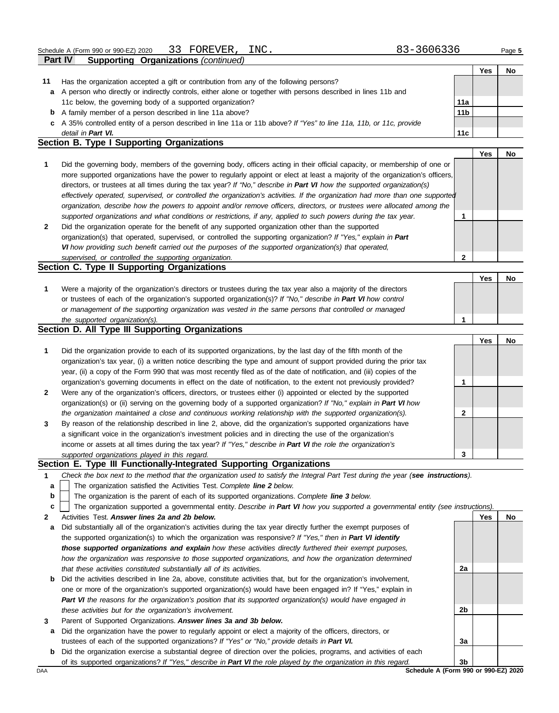|        | Part IV<br><b>Supporting Organizations (continued)</b>                                                                            |                 |            |    |
|--------|-----------------------------------------------------------------------------------------------------------------------------------|-----------------|------------|----|
|        |                                                                                                                                   |                 | <b>Yes</b> | No |
| 11     | Has the organization accepted a gift or contribution from any of the following persons?                                           |                 |            |    |
| а      | A person who directly or indirectly controls, either alone or together with persons described in lines 11b and                    |                 |            |    |
|        | 11c below, the governing body of a supported organization?                                                                        | 11a             |            |    |
| b      | A family member of a person described in line 11a above?                                                                          | 11 <sub>b</sub> |            |    |
|        |                                                                                                                                   |                 |            |    |
| c      | A 35% controlled entity of a person described in line 11a or 11b above? If "Yes" to line 11a, 11b, or 11c, provide                |                 |            |    |
|        | detail in Part VI.<br><b>Section B. Type I Supporting Organizations</b>                                                           | 11c             |            |    |
|        |                                                                                                                                   |                 |            |    |
|        |                                                                                                                                   |                 | <b>Yes</b> | No |
| 1      | Did the governing body, members of the governing body, officers acting in their official capacity, or membership of one or        |                 |            |    |
|        | more supported organizations have the power to regularly appoint or elect at least a majority of the organization's officers,     |                 |            |    |
|        | directors, or trustees at all times during the tax year? If "No," describe in Part VI how the supported organization(s)           |                 |            |    |
|        | effectively operated, supervised, or controlled the organization's activities. If the organization had more than one supported    |                 |            |    |
|        | organization, describe how the powers to appoint and/or remove officers, directors, or trustees were allocated among the          |                 |            |    |
|        | supported organizations and what conditions or restrictions, if any, applied to such powers during the tax year.                  | 1               |            |    |
| 2      | Did the organization operate for the benefit of any supported organization other than the supported                               |                 |            |    |
|        | organization(s) that operated, supervised, or controlled the supporting organization? If "Yes," explain in Part                   |                 |            |    |
|        | VI how providing such benefit carried out the purposes of the supported organization(s) that operated,                            |                 |            |    |
|        | supervised, or controlled the supporting organization.                                                                            | 2               |            |    |
|        | Section C. Type II Supporting Organizations                                                                                       |                 |            |    |
|        |                                                                                                                                   |                 | <b>Yes</b> | No |
| 1      | Were a majority of the organization's directors or trustees during the tax year also a majority of the directors                  |                 |            |    |
|        |                                                                                                                                   |                 |            |    |
|        | or trustees of each of the organization's supported organization(s)? If "No," describe in Part VI how control                     |                 |            |    |
|        | or management of the supporting organization was vested in the same persons that controlled or managed                            |                 |            |    |
|        | the supported organization(s).                                                                                                    | 1               |            |    |
|        | <b>Section D. All Type III Supporting Organizations</b>                                                                           |                 |            |    |
|        |                                                                                                                                   |                 | <b>Yes</b> | No |
| 1      | Did the organization provide to each of its supported organizations, by the last day of the fifth month of the                    |                 |            |    |
|        | organization's tax year, (i) a written notice describing the type and amount of support provided during the prior tax             |                 |            |    |
|        | year, (ii) a copy of the Form 990 that was most recently filed as of the date of notification, and (iii) copies of the            |                 |            |    |
|        | organization's governing documents in effect on the date of notification, to the extent not previously provided?                  | 1               |            |    |
| 2      | Were any of the organization's officers, directors, or trustees either (i) appointed or elected by the supported                  |                 |            |    |
|        | organization(s) or (ii) serving on the governing body of a supported organization? If "No," explain in Part VI how                |                 |            |    |
|        | the organization maintained a close and continuous working relationship with the supported organization(s).                       | 2               |            |    |
| 3      | By reason of the relationship described in line 2, above, did the organization's supported organizations have                     |                 |            |    |
|        | a significant voice in the organization's investment policies and in directing the use of the organization's                      |                 |            |    |
|        | income or assets at all times during the tax year? If "Yes," describe in Part VI the role the organization's                      |                 |            |    |
|        | supported organizations played in this regard.                                                                                    | 3               |            |    |
|        | Section E. Type III Functionally-Integrated Supporting Organizations                                                              |                 |            |    |
| 1      | Check the box next to the method that the organization used to satisfy the Integral Part Test during the year (see instructions). |                 |            |    |
|        | The organization satisfied the Activities Test. Complete line 2 below.                                                            |                 |            |    |
| a<br>b | The organization is the parent of each of its supported organizations. Complete line 3 below.                                     |                 |            |    |
|        |                                                                                                                                   |                 |            |    |
| c      | The organization supported a governmental entity. Describe in Part VI how you supported a governmental entity (see instructions). |                 |            |    |
| 2      | Activities Test. Answer lines 2a and 2b below.                                                                                    |                 | Yes        | No |
| а      | Did substantially all of the organization's activities during the tax year directly further the exempt purposes of                |                 |            |    |
|        | the supported organization(s) to which the organization was responsive? If "Yes," then in Part VI identify                        |                 |            |    |
|        | those supported organizations and explain how these activities directly furthered their exempt purposes,                          |                 |            |    |
|        | how the organization was responsive to those supported organizations, and how the organization determined                         |                 |            |    |
|        | that these activities constituted substantially all of its activities.                                                            | 2a              |            |    |
| b      | Did the activities described in line 2a, above, constitute activities that, but for the organization's involvement,               |                 |            |    |
|        | one or more of the organization's supported organization(s) would have been engaged in? If "Yes," explain in                      |                 |            |    |
|        | Part VI the reasons for the organization's position that its supported organization(s) would have engaged in                      |                 |            |    |
|        | these activities but for the organization's involvement.                                                                          | 2b              |            |    |
| 3      | Parent of Supported Organizations. Answer lines 3a and 3b below.                                                                  |                 |            |    |
| a      | Did the organization have the power to regularly appoint or elect a majority of the officers, directors, or                       |                 |            |    |
|        | trustees of each of the supported organizations? If "Yes" or "No," provide details in Part VI.                                    | 3a              |            |    |
| b      | Did the organization exercise a substantial degree of direction over the policies, programs, and activities of each               |                 |            |    |
|        | of its supported organizations? If "Yes," describe in Part VI the role played by the organization in this regard.                 | 3 <sub>b</sub>  |            |    |
| DAA    | Schedule A (Form 990 or 990-EZ) 2020                                                                                              |                 |            |    |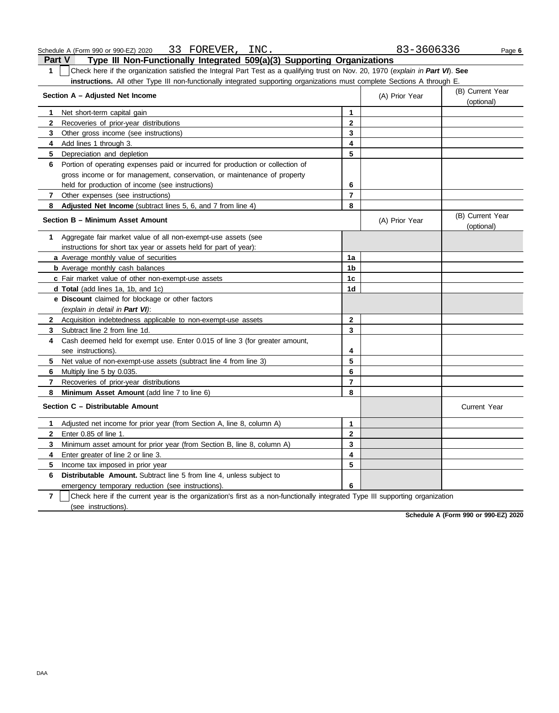| Part V                                                                                                                           | Type III Non-Functionally Integrated 509(a)(3) Supporting Organizations |  |                |                  |  |  |  |
|----------------------------------------------------------------------------------------------------------------------------------|-------------------------------------------------------------------------|--|----------------|------------------|--|--|--|
| Check here if the organization satisfied the Integral Part Test as a qualifying trust on Nov. 20, 1970 (explain in Part VI). See |                                                                         |  |                |                  |  |  |  |
| instructions. All other Type III non-functionally integrated supporting organizations must complete Sections A through E.        |                                                                         |  |                |                  |  |  |  |
| Section A - Adjusted Net Income                                                                                                  |                                                                         |  | (A) Prior Year | (B) Current Year |  |  |  |
|                                                                                                                                  |                                                                         |  |                | (optional)       |  |  |  |
|                                                                                                                                  | Net short-term capital gain                                             |  |                |                  |  |  |  |

| 2              | Recoveries of prior-year distributions                                                                                       | $\mathbf{2}$             |                |                                |  |  |  |  |
|----------------|------------------------------------------------------------------------------------------------------------------------------|--------------------------|----------------|--------------------------------|--|--|--|--|
| 3              | Other gross income (see instructions)                                                                                        | 3                        |                |                                |  |  |  |  |
| 4              | Add lines 1 through 3.                                                                                                       | 4                        |                |                                |  |  |  |  |
| 5              | Depreciation and depletion                                                                                                   | 5                        |                |                                |  |  |  |  |
| 6              | Portion of operating expenses paid or incurred for production or collection of                                               |                          |                |                                |  |  |  |  |
|                | gross income or for management, conservation, or maintenance of property                                                     |                          |                |                                |  |  |  |  |
|                | held for production of income (see instructions)                                                                             | 6                        |                |                                |  |  |  |  |
| 7              | Other expenses (see instructions)                                                                                            | $\overline{7}$           |                |                                |  |  |  |  |
| 8              | Adjusted Net Income (subtract lines 5, 6, and 7 from line 4)                                                                 | 8                        |                |                                |  |  |  |  |
|                | Section B - Minimum Asset Amount                                                                                             |                          | (A) Prior Year | (B) Current Year<br>(optional) |  |  |  |  |
| 1.             | Aggregate fair market value of all non-exempt-use assets (see                                                                |                          |                |                                |  |  |  |  |
|                | instructions for short tax year or assets held for part of year):                                                            |                          |                |                                |  |  |  |  |
|                | a Average monthly value of securities                                                                                        | 1a                       |                |                                |  |  |  |  |
|                | <b>b</b> Average monthly cash balances                                                                                       | 1 <sub>b</sub>           |                |                                |  |  |  |  |
|                | c Fair market value of other non-exempt-use assets                                                                           | 1 <sub>c</sub>           |                |                                |  |  |  |  |
|                | d Total (add lines 1a, 1b, and 1c)                                                                                           | 1d                       |                |                                |  |  |  |  |
|                | e Discount claimed for blockage or other factors                                                                             |                          |                |                                |  |  |  |  |
|                | (explain in detail in Part VI):                                                                                              |                          |                |                                |  |  |  |  |
|                | 2 Acquisition indebtedness applicable to non-exempt-use assets                                                               | $\mathbf{2}$             |                |                                |  |  |  |  |
| 3              | Subtract line 2 from line 1d.                                                                                                | 3                        |                |                                |  |  |  |  |
| 4              | Cash deemed held for exempt use. Enter 0.015 of line 3 (for greater amount,                                                  |                          |                |                                |  |  |  |  |
|                | see instructions).                                                                                                           | 4                        |                |                                |  |  |  |  |
| 5              | Net value of non-exempt-use assets (subtract line 4 from line 3)                                                             | 5                        |                |                                |  |  |  |  |
| 6.             | Multiply line 5 by 0.035.                                                                                                    | 6                        |                |                                |  |  |  |  |
| 7              | Recoveries of prior-year distributions                                                                                       | $\overline{\phantom{a}}$ |                |                                |  |  |  |  |
| 8              | Minimum Asset Amount (add line 7 to line 6)                                                                                  | 8                        |                |                                |  |  |  |  |
|                | Section C - Distributable Amount                                                                                             |                          |                | <b>Current Year</b>            |  |  |  |  |
| 1              | Adjusted net income for prior year (from Section A, line 8, column A)                                                        | 1                        |                |                                |  |  |  |  |
| $\mathbf{2}$   | Enter 0.85 of line 1.                                                                                                        | $\mathbf{2}$             |                |                                |  |  |  |  |
| 3              | Minimum asset amount for prior year (from Section B, line 8, column A)                                                       | 3                        |                |                                |  |  |  |  |
| 4              | Enter greater of line 2 or line 3.                                                                                           | 4                        |                |                                |  |  |  |  |
| 5              | Income tax imposed in prior year                                                                                             | 5                        |                |                                |  |  |  |  |
| 6              | Distributable Amount. Subtract line 5 from line 4, unless subject to                                                         |                          |                |                                |  |  |  |  |
|                | emergency temporary reduction (see instructions)                                                                             | 6                        |                |                                |  |  |  |  |
| $\overline{7}$ | Check here if the current year is the organization's first as a non-functionally integrated Type III supporting organization |                          |                |                                |  |  |  |  |
|                | (see instructions).                                                                                                          |                          |                |                                |  |  |  |  |

**Schedule A (Form 990 or 990-EZ) 2020**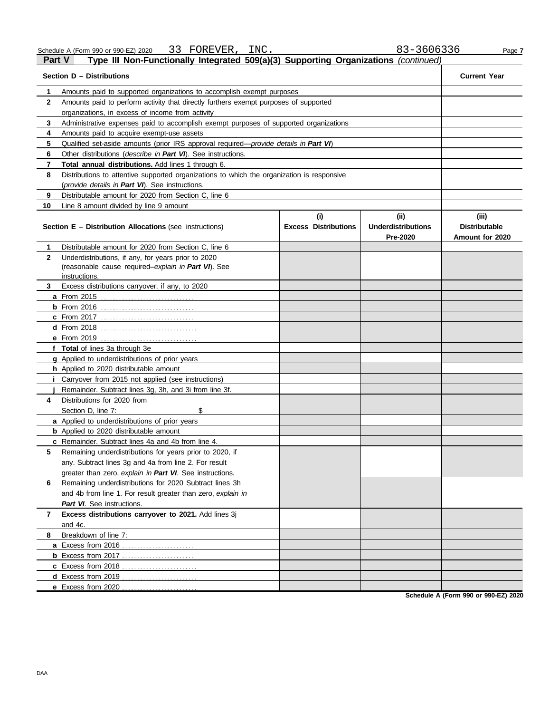| Schedule A (Form 990 or 990-EZ) 2020                                                          | 33 FOREVER, | INC. |  | 83-3606336 | Page 7              |
|-----------------------------------------------------------------------------------------------|-------------|------|--|------------|---------------------|
| Part V<br>Type III Non-Functionally Integrated 509(a)(3) Supporting Organizations (continued) |             |      |  |            |                     |
| Section D - Distributions                                                                     |             |      |  |            | <b>Current Year</b> |

|              | Section D - Distributions                                                                                                   |                                    |                                    |                               |  |  |  |  |  |  |  |
|--------------|-----------------------------------------------------------------------------------------------------------------------------|------------------------------------|------------------------------------|-------------------------------|--|--|--|--|--|--|--|
| 1            | Amounts paid to supported organizations to accomplish exempt purposes                                                       |                                    |                                    |                               |  |  |  |  |  |  |  |
| $\mathbf{2}$ | Amounts paid to perform activity that directly furthers exempt purposes of supported                                        |                                    |                                    |                               |  |  |  |  |  |  |  |
|              | organizations, in excess of income from activity                                                                            |                                    |                                    |                               |  |  |  |  |  |  |  |
| 3            | Administrative expenses paid to accomplish exempt purposes of supported organizations                                       |                                    |                                    |                               |  |  |  |  |  |  |  |
| 4            | Amounts paid to acquire exempt-use assets                                                                                   |                                    |                                    |                               |  |  |  |  |  |  |  |
| 5            | Qualified set-aside amounts (prior IRS approval required— <i>provide details in Part VI</i> )                               |                                    |                                    |                               |  |  |  |  |  |  |  |
| 6            | Other distributions (describe in Part VI). See instructions.                                                                |                                    |                                    |                               |  |  |  |  |  |  |  |
| 7            | Total annual distributions. Add lines 1 through 6.                                                                          |                                    |                                    |                               |  |  |  |  |  |  |  |
| 8            | Distributions to attentive supported organizations to which the organization is responsive                                  |                                    |                                    |                               |  |  |  |  |  |  |  |
|              | (provide details in Part VI). See instructions.                                                                             |                                    |                                    |                               |  |  |  |  |  |  |  |
| 9            | Distributable amount for 2020 from Section C, line 6                                                                        |                                    |                                    |                               |  |  |  |  |  |  |  |
| 10           | Line 8 amount divided by line 9 amount                                                                                      |                                    |                                    |                               |  |  |  |  |  |  |  |
|              | <b>Section E - Distribution Allocations (see instructions)</b>                                                              | (i)<br><b>Excess Distributions</b> | (iii)<br><b>Underdistributions</b> | (iii)<br><b>Distributable</b> |  |  |  |  |  |  |  |
|              |                                                                                                                             |                                    | Pre-2020                           | Amount for 2020               |  |  |  |  |  |  |  |
| 1            | Distributable amount for 2020 from Section C, line 6                                                                        |                                    |                                    |                               |  |  |  |  |  |  |  |
| $\mathbf{2}$ | Underdistributions, if any, for years prior to 2020<br>(reasonable cause required-explain in Part VI). See<br>instructions. |                                    |                                    |                               |  |  |  |  |  |  |  |
| 3            | Excess distributions carryover, if any, to 2020                                                                             |                                    |                                    |                               |  |  |  |  |  |  |  |
|              | <b>a</b> From 2015                                                                                                          |                                    |                                    |                               |  |  |  |  |  |  |  |
|              | $b$ From 2016                                                                                                               |                                    |                                    |                               |  |  |  |  |  |  |  |
|              | <b>c</b> From 2017                                                                                                          |                                    |                                    |                               |  |  |  |  |  |  |  |
|              | <b>d</b> From 2018                                                                                                          |                                    |                                    |                               |  |  |  |  |  |  |  |
|              | e From 2019                                                                                                                 |                                    |                                    |                               |  |  |  |  |  |  |  |
|              | f Total of lines 3a through 3e                                                                                              |                                    |                                    |                               |  |  |  |  |  |  |  |
|              | g Applied to underdistributions of prior years                                                                              |                                    |                                    |                               |  |  |  |  |  |  |  |
|              | h Applied to 2020 distributable amount                                                                                      |                                    |                                    |                               |  |  |  |  |  |  |  |
| Ť.           | Carryover from 2015 not applied (see instructions)                                                                          |                                    |                                    |                               |  |  |  |  |  |  |  |
|              | Remainder. Subtract lines 3g, 3h, and 3i from line 3f.                                                                      |                                    |                                    |                               |  |  |  |  |  |  |  |
| 4            | Distributions for 2020 from                                                                                                 |                                    |                                    |                               |  |  |  |  |  |  |  |
|              | Section D, line 7:<br>\$                                                                                                    |                                    |                                    |                               |  |  |  |  |  |  |  |
|              | a Applied to underdistributions of prior years                                                                              |                                    |                                    |                               |  |  |  |  |  |  |  |
|              | <b>b</b> Applied to 2020 distributable amount                                                                               |                                    |                                    |                               |  |  |  |  |  |  |  |
|              | c Remainder. Subtract lines 4a and 4b from line 4.                                                                          |                                    |                                    |                               |  |  |  |  |  |  |  |
| 5            | Remaining underdistributions for years prior to 2020, if                                                                    |                                    |                                    |                               |  |  |  |  |  |  |  |
|              | any. Subtract lines 3g and 4a from line 2. For result                                                                       |                                    |                                    |                               |  |  |  |  |  |  |  |
|              | greater than zero, explain in Part VI. See instructions.                                                                    |                                    |                                    |                               |  |  |  |  |  |  |  |
| 6            | Remaining underdistributions for 2020 Subtract lines 3h                                                                     |                                    |                                    |                               |  |  |  |  |  |  |  |
|              | and 4b from line 1. For result greater than zero, explain in                                                                |                                    |                                    |                               |  |  |  |  |  |  |  |
|              | Part VI. See instructions.                                                                                                  |                                    |                                    |                               |  |  |  |  |  |  |  |
| 7            | Excess distributions carryover to 2021. Add lines 3j                                                                        |                                    |                                    |                               |  |  |  |  |  |  |  |
|              | and 4c.                                                                                                                     |                                    |                                    |                               |  |  |  |  |  |  |  |
| 8            | Breakdown of line 7:                                                                                                        |                                    |                                    |                               |  |  |  |  |  |  |  |
|              | a Excess from 2016                                                                                                          |                                    |                                    |                               |  |  |  |  |  |  |  |
|              | <b>b</b> Excess from 2017                                                                                                   |                                    |                                    |                               |  |  |  |  |  |  |  |
|              | c Excess from 2018                                                                                                          |                                    |                                    |                               |  |  |  |  |  |  |  |
|              | d Excess from 2019                                                                                                          |                                    |                                    |                               |  |  |  |  |  |  |  |
|              | e Excess from 2020                                                                                                          |                                    |                                    |                               |  |  |  |  |  |  |  |

**Schedule A (Form 990 or 990-EZ) 2020**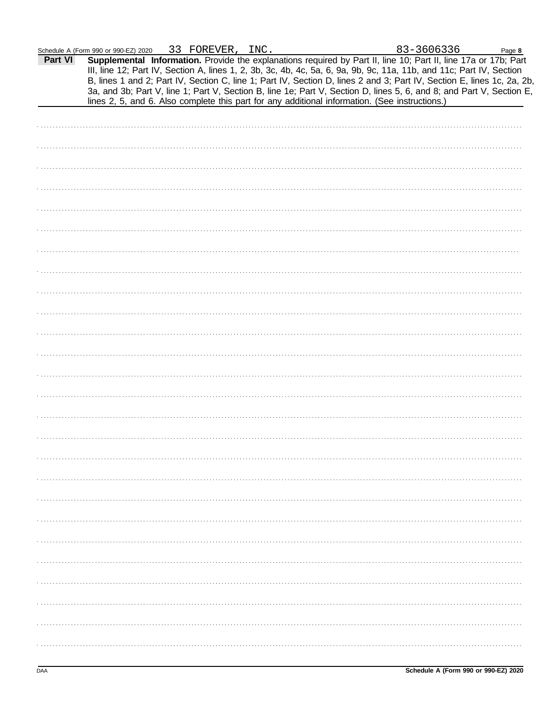$83 - 3606336$ 

 $\ddot{\phantom{0}}$ 

| Part VI | Schedule A (Form 990 or 990-EZ) 2020<br><u>JJ PURBVER, INC.</u><br><u>סככסטסכ-כס</u><br>Page 8<br>Supplemental Information. Provide the explanations required by Part II, line 10; Part II, line 17a or 17b; Part<br>III, line 12; Part IV, Section A, lines 1, 2, 3b, 3c, 4b, 4c, 5a, 6, 9a, 9b, 9c, 11a, 11b, and 11c; Part IV, Section<br>B, lines 1 and 2; Part IV, Section C, line 1; Part IV, Section D, lines 2 and 3; Part IV, Section E, lines 1c, 2a, 2b,<br>3a, and 3b; Part V, line 1; Part V, Section B, line 1e; Part V, Section D, lines 5, 6, and 8; and Part V, Section E,<br>lines 2, 5, and 6. Also complete this part for any additional information. (See instructions.) |
|---------|-----------------------------------------------------------------------------------------------------------------------------------------------------------------------------------------------------------------------------------------------------------------------------------------------------------------------------------------------------------------------------------------------------------------------------------------------------------------------------------------------------------------------------------------------------------------------------------------------------------------------------------------------------------------------------------------------|
|         |                                                                                                                                                                                                                                                                                                                                                                                                                                                                                                                                                                                                                                                                                               |
|         |                                                                                                                                                                                                                                                                                                                                                                                                                                                                                                                                                                                                                                                                                               |
|         |                                                                                                                                                                                                                                                                                                                                                                                                                                                                                                                                                                                                                                                                                               |
|         |                                                                                                                                                                                                                                                                                                                                                                                                                                                                                                                                                                                                                                                                                               |
|         |                                                                                                                                                                                                                                                                                                                                                                                                                                                                                                                                                                                                                                                                                               |
|         |                                                                                                                                                                                                                                                                                                                                                                                                                                                                                                                                                                                                                                                                                               |
|         |                                                                                                                                                                                                                                                                                                                                                                                                                                                                                                                                                                                                                                                                                               |
|         |                                                                                                                                                                                                                                                                                                                                                                                                                                                                                                                                                                                                                                                                                               |
|         |                                                                                                                                                                                                                                                                                                                                                                                                                                                                                                                                                                                                                                                                                               |
|         |                                                                                                                                                                                                                                                                                                                                                                                                                                                                                                                                                                                                                                                                                               |
|         |                                                                                                                                                                                                                                                                                                                                                                                                                                                                                                                                                                                                                                                                                               |
|         |                                                                                                                                                                                                                                                                                                                                                                                                                                                                                                                                                                                                                                                                                               |
|         |                                                                                                                                                                                                                                                                                                                                                                                                                                                                                                                                                                                                                                                                                               |
|         |                                                                                                                                                                                                                                                                                                                                                                                                                                                                                                                                                                                                                                                                                               |
|         |                                                                                                                                                                                                                                                                                                                                                                                                                                                                                                                                                                                                                                                                                               |
|         |                                                                                                                                                                                                                                                                                                                                                                                                                                                                                                                                                                                                                                                                                               |
|         |                                                                                                                                                                                                                                                                                                                                                                                                                                                                                                                                                                                                                                                                                               |
|         |                                                                                                                                                                                                                                                                                                                                                                                                                                                                                                                                                                                                                                                                                               |
|         |                                                                                                                                                                                                                                                                                                                                                                                                                                                                                                                                                                                                                                                                                               |
|         |                                                                                                                                                                                                                                                                                                                                                                                                                                                                                                                                                                                                                                                                                               |
|         |                                                                                                                                                                                                                                                                                                                                                                                                                                                                                                                                                                                                                                                                                               |
|         |                                                                                                                                                                                                                                                                                                                                                                                                                                                                                                                                                                                                                                                                                               |
|         |                                                                                                                                                                                                                                                                                                                                                                                                                                                                                                                                                                                                                                                                                               |
|         |                                                                                                                                                                                                                                                                                                                                                                                                                                                                                                                                                                                                                                                                                               |
|         |                                                                                                                                                                                                                                                                                                                                                                                                                                                                                                                                                                                                                                                                                               |
|         |                                                                                                                                                                                                                                                                                                                                                                                                                                                                                                                                                                                                                                                                                               |
|         |                                                                                                                                                                                                                                                                                                                                                                                                                                                                                                                                                                                                                                                                                               |
|         |                                                                                                                                                                                                                                                                                                                                                                                                                                                                                                                                                                                                                                                                                               |
|         |                                                                                                                                                                                                                                                                                                                                                                                                                                                                                                                                                                                                                                                                                               |
|         |                                                                                                                                                                                                                                                                                                                                                                                                                                                                                                                                                                                                                                                                                               |
|         |                                                                                                                                                                                                                                                                                                                                                                                                                                                                                                                                                                                                                                                                                               |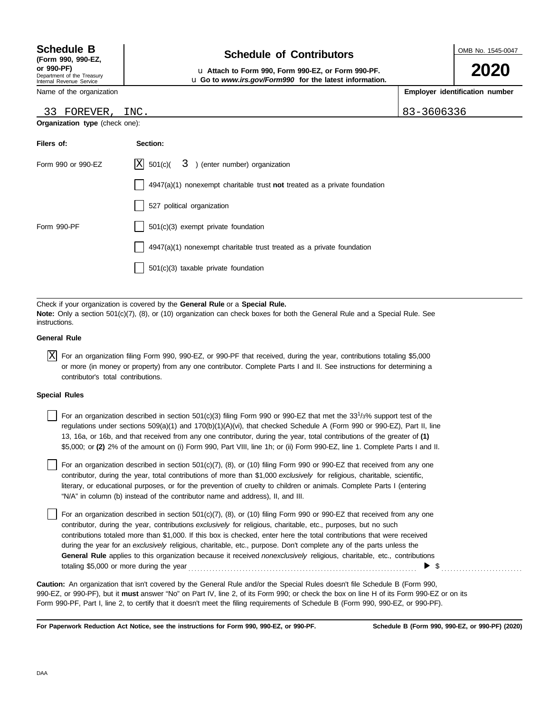## Department of the Treasury **(Form 990, 990-EZ,**

Internal Revenue Service Name of the organization

### **Schedule of Contributors Schedule B**

OMB No. 1545-0047

**2020**

**or 990-PF)** u **Attach to Form 990, Form 990-EZ, or Form 990-PF.** u **Go to** *www.irs.gov/Form990* **for the latest information.**

**Employer identification number**

| 33 FOREVER,                    | INC.                                                                      | 83-3606336 |
|--------------------------------|---------------------------------------------------------------------------|------------|
| Organization type (check one): |                                                                           |            |
| Filers of:                     | Section:                                                                  |            |
| Form 990 or 990-EZ             | $ X $ 501(c)(<br>3 ) (enter number) organization                          |            |
|                                | 4947(a)(1) nonexempt charitable trust not treated as a private foundation |            |
|                                | 527 political organization                                                |            |
| Form 990-PF                    | 501(c)(3) exempt private foundation                                       |            |
|                                | 4947(a)(1) nonexempt charitable trust treated as a private foundation     |            |
|                                | 501(c)(3) taxable private foundation                                      |            |
|                                |                                                                           |            |

Check if your organization is covered by the **General Rule** or a **Special Rule. Note:** Only a section 501(c)(7), (8), or (10) organization can check boxes for both the General Rule and a Special Rule. See **instructions** 

#### **General Rule**

 $\overline{X}$  For an organization filing Form 990, 990-EZ, or 990-PF that received, during the year, contributions totaling \$5,000 or more (in money or property) from any one contributor. Complete Parts I and II. See instructions for determining a contributor's total contributions.

#### **Special Rules**

| For an organization described in section 501(c)(3) filing Form 990 or 990-EZ that met the 33 <sup>1</sup> /3% support test of the |
|-----------------------------------------------------------------------------------------------------------------------------------|
| regulations under sections 509(a)(1) and 170(b)(1)(A)(vi), that checked Schedule A (Form 990 or 990-EZ), Part II, line            |
| 13, 16a, or 16b, and that received from any one contributor, during the year, total contributions of the greater of (1)           |
| \$5,000; or (2) 2% of the amount on (i) Form 990, Part VIII, line 1h; or (ii) Form 990-EZ, line 1. Complete Parts I and II.       |

literary, or educational purposes, or for the prevention of cruelty to children or animals. Complete Parts I (entering For an organization described in section 501(c)(7), (8), or (10) filing Form 990 or 990-EZ that received from any one contributor, during the year, total contributions of more than \$1,000 *exclusively* for religious, charitable, scientific, "N/A" in column (b) instead of the contributor name and address), II, and III.

For an organization described in section 501(c)(7), (8), or (10) filing Form 990 or 990-EZ that received from any one contributor, during the year, contributions *exclusively* for religious, charitable, etc., purposes, but no such contributions totaled more than \$1,000. If this box is checked, enter here the total contributions that were received during the year for an *exclusively* religious, charitable, etc., purpose. Don't complete any of the parts unless the **General Rule** applies to this organization because it received *nonexclusively* religious, charitable, etc., contributions totaling \$5,000 or more during the year . . . . . . . . . . . . . . . . . . . . . . . . . . . . . . . . . . . . . . . . . . . . . . . . . . . . . . . . . . . . . . . . . . . . . . . . . . . .  $\blacktriangleright$  \$

990-EZ, or 990-PF), but it **must** answer "No" on Part IV, line 2, of its Form 990; or check the box on line H of its Form 990-EZ or on its Form 990-PF, Part I, line 2, to certify that it doesn't meet the filing requirements of Schedule B (Form 990, 990-EZ, or 990-PF). **Caution:** An organization that isn't covered by the General Rule and/or the Special Rules doesn't file Schedule B (Form 990,

**For Paperwork Reduction Act Notice, see the instructions for Form 990, 990-EZ, or 990-PF.**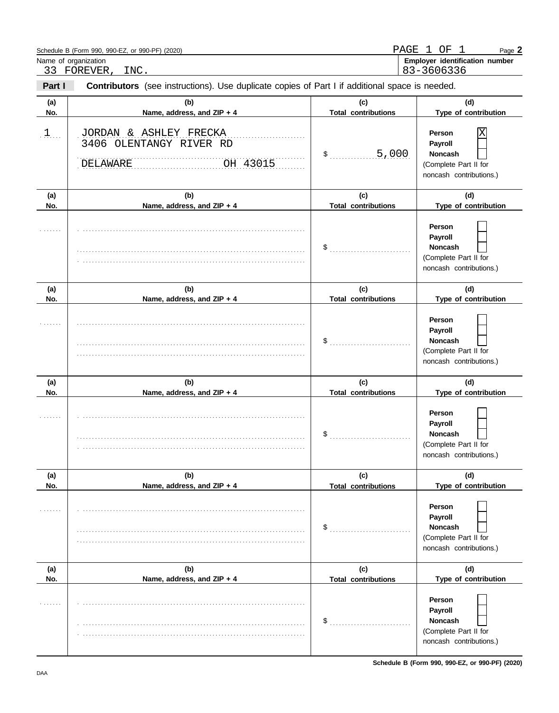|                      | Schedule B (Form 990, 990-EZ, or 990-PF) (2020)                                                                       | PAGE                              | $\mathbf{1}$<br>ΟF<br>-1<br>Page 2                                                           |
|----------------------|-----------------------------------------------------------------------------------------------------------------------|-----------------------------------|----------------------------------------------------------------------------------------------|
|                      | Name of organization                                                                                                  |                                   | Employer identification number                                                               |
| Part I               | 33 FOREVER,<br>INC.<br>Contributors (see instructions). Use duplicate copies of Part I if additional space is needed. |                                   | 83-3606336                                                                                   |
| (a)<br>No.           | (b)<br>Name, address, and ZIP + 4                                                                                     | (c)<br><b>Total contributions</b> | (d)<br>Type of contribution                                                                  |
| $\cdot$ 1. $\cdot$ . | JORDAN & ASHLEY FRECKA<br>3406 OLENTANGY RIVER RD<br>OH 43015<br>DELAWARE                                             | 5,000<br>\$                       | Χ<br>Person<br>Payroll<br><b>Noncash</b><br>(Complete Part II for<br>noncash contributions.) |
| (a)<br>No.           | (b)<br>Name, address, and ZIP + 4                                                                                     | (c)<br><b>Total contributions</b> | (d)<br>Type of contribution                                                                  |
|                      |                                                                                                                       | \$                                | Person<br>Payroll<br><b>Noncash</b><br>(Complete Part II for<br>noncash contributions.)      |
| (a)<br>No.           | (b)<br>Name, address, and ZIP + 4                                                                                     | (c)<br><b>Total contributions</b> | (d)<br>Type of contribution                                                                  |
|                      |                                                                                                                       |                                   | Person<br>Payroll<br><b>Noncash</b><br>(Complete Part II for<br>noncash contributions.)      |
| (a)<br>No.           | (b)<br>Name, address, and ZIP + 4                                                                                     | (c)<br><b>Total contributions</b> | (d)<br>Type of contribution                                                                  |
|                      |                                                                                                                       | \$                                | Person<br>Payroll<br>Noncash<br>(Complete Part II for<br>noncash contributions.)             |
| (a)                  | (b)<br>Name, address, and ZIP + 4                                                                                     | (c)<br><b>Total contributions</b> | (d)<br>Type of contribution                                                                  |
| No.                  |                                                                                                                       | \$                                | Person<br>Payroll<br>Noncash<br>(Complete Part II for<br>noncash contributions.)             |
| (a)<br>No.           | (b)<br>Name, address, and ZIP + 4                                                                                     | (c)<br><b>Total contributions</b> | (d)<br>Type of contribution                                                                  |
|                      |                                                                                                                       | \$                                | Person<br>Payroll<br>Noncash<br>(Complete Part II for<br>noncash contributions.)             |

**Schedule B (Form 990, 990-EZ, or 990-PF) (2020)**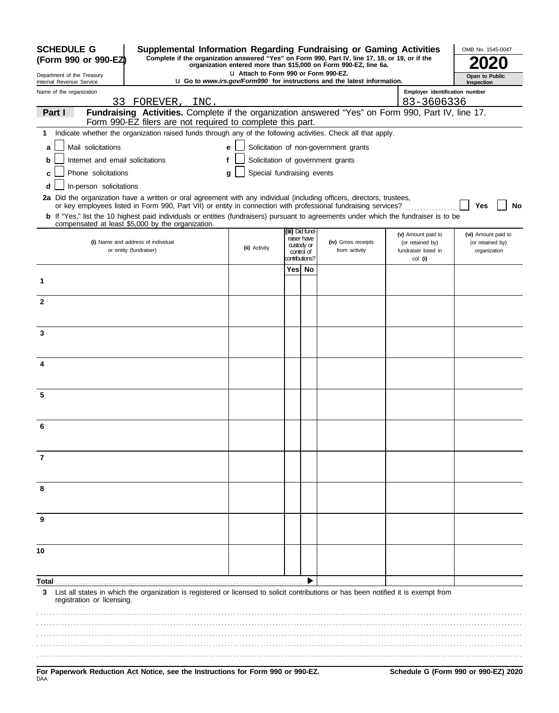| <b>SCHEDULE G</b>                                      | Supplemental Information Regarding Fundraising or Gaming Activities                                                                                                                                                                      |                                      |                                |                                                                                  |                                          | OMB No. 1545-0047                |
|--------------------------------------------------------|------------------------------------------------------------------------------------------------------------------------------------------------------------------------------------------------------------------------------------------|--------------------------------------|--------------------------------|----------------------------------------------------------------------------------|------------------------------------------|----------------------------------|
| (Form 990 or 990-EZ)                                   | Complete if the organization answered "Yes" on Form 990, Part IV, line 17, 18, or 19, or if the                                                                                                                                          |                                      |                                | organization entered more than \$15,000 on Form 990-EZ, line 6a.                 |                                          |                                  |
| Department of the Treasury<br>Internal Revenue Service |                                                                                                                                                                                                                                          | U Attach to Form 990 or Form 990-EZ. |                                | <b>LI Go to www.irs.gov/Form990 for instructions and the latest information.</b> |                                          | Open to Public<br>Inspection     |
| Name of the organization                               |                                                                                                                                                                                                                                          |                                      |                                |                                                                                  | Employer identification number           |                                  |
|                                                        | 33 FOREVER, INC.                                                                                                                                                                                                                         |                                      |                                |                                                                                  | 83-3606336                               |                                  |
| Part I                                                 | Fundraising Activities. Complete if the organization answered "Yes" on Form 990, Part IV, line 17.<br>Form 990-EZ filers are not required to complete this part.                                                                         |                                      |                                |                                                                                  |                                          |                                  |
| 1                                                      | Indicate whether the organization raised funds through any of the following activities. Check all that apply.                                                                                                                            |                                      |                                |                                                                                  |                                          |                                  |
| Mail solicitations<br>a                                |                                                                                                                                                                                                                                          | e                                    |                                | Solicitation of non-government grants                                            |                                          |                                  |
| Internet and email solicitations<br>b                  |                                                                                                                                                                                                                                          |                                      |                                | Solicitation of government grants                                                |                                          |                                  |
| Phone solicitations<br>c                               |                                                                                                                                                                                                                                          | Special fundraising events           |                                |                                                                                  |                                          |                                  |
|                                                        |                                                                                                                                                                                                                                          | g                                    |                                |                                                                                  |                                          |                                  |
| In-person solicitations<br>d                           |                                                                                                                                                                                                                                          |                                      |                                |                                                                                  |                                          |                                  |
|                                                        | 2a Did the organization have a written or oral agreement with any individual (including officers, directors, trustees,<br>or key employees listed in Form 990, Part VII) or entity in connection with professional fundraising services? |                                      |                                |                                                                                  |                                          | Yes<br>No                        |
|                                                        | <b>b</b> If "Yes," list the 10 highest paid individuals or entities (fundraisers) pursuant to agreements under which the fundraiser is to be<br>compensated at least \$5,000 by the organization.                                        |                                      |                                |                                                                                  |                                          |                                  |
|                                                        |                                                                                                                                                                                                                                          |                                      | (iii) Did fund-<br>raiser have |                                                                                  | (v) Amount paid to                       | (vi) Amount paid to              |
|                                                        | (i) Name and address of individual<br>or entity (fundraiser)                                                                                                                                                                             | (ii) Activity                        | custody or                     | (iv) Gross receipts<br>from activity                                             | (or retained by)<br>fundraiser listed in | (or retained by)<br>organization |
|                                                        |                                                                                                                                                                                                                                          |                                      | control of<br>contributions?   |                                                                                  | col. (i)                                 |                                  |
|                                                        |                                                                                                                                                                                                                                          |                                      | Yes  No                        |                                                                                  |                                          |                                  |
| 1                                                      |                                                                                                                                                                                                                                          |                                      |                                |                                                                                  |                                          |                                  |
| $\mathbf{2}$                                           |                                                                                                                                                                                                                                          |                                      |                                |                                                                                  |                                          |                                  |
|                                                        |                                                                                                                                                                                                                                          |                                      |                                |                                                                                  |                                          |                                  |
|                                                        |                                                                                                                                                                                                                                          |                                      |                                |                                                                                  |                                          |                                  |
| 3                                                      |                                                                                                                                                                                                                                          |                                      |                                |                                                                                  |                                          |                                  |
|                                                        |                                                                                                                                                                                                                                          |                                      |                                |                                                                                  |                                          |                                  |
| 4                                                      |                                                                                                                                                                                                                                          |                                      |                                |                                                                                  |                                          |                                  |
|                                                        |                                                                                                                                                                                                                                          |                                      |                                |                                                                                  |                                          |                                  |
|                                                        |                                                                                                                                                                                                                                          |                                      |                                |                                                                                  |                                          |                                  |
| 5                                                      |                                                                                                                                                                                                                                          |                                      |                                |                                                                                  |                                          |                                  |
|                                                        |                                                                                                                                                                                                                                          |                                      |                                |                                                                                  |                                          |                                  |
|                                                        |                                                                                                                                                                                                                                          |                                      |                                |                                                                                  |                                          |                                  |
|                                                        |                                                                                                                                                                                                                                          |                                      |                                |                                                                                  |                                          |                                  |
|                                                        |                                                                                                                                                                                                                                          |                                      |                                |                                                                                  |                                          |                                  |
| 7                                                      |                                                                                                                                                                                                                                          |                                      |                                |                                                                                  |                                          |                                  |
|                                                        |                                                                                                                                                                                                                                          |                                      |                                |                                                                                  |                                          |                                  |
| 8                                                      |                                                                                                                                                                                                                                          |                                      |                                |                                                                                  |                                          |                                  |
|                                                        |                                                                                                                                                                                                                                          |                                      |                                |                                                                                  |                                          |                                  |
|                                                        |                                                                                                                                                                                                                                          |                                      |                                |                                                                                  |                                          |                                  |
| 9                                                      |                                                                                                                                                                                                                                          |                                      |                                |                                                                                  |                                          |                                  |
|                                                        |                                                                                                                                                                                                                                          |                                      |                                |                                                                                  |                                          |                                  |
| 10                                                     |                                                                                                                                                                                                                                          |                                      |                                |                                                                                  |                                          |                                  |
|                                                        |                                                                                                                                                                                                                                          |                                      |                                |                                                                                  |                                          |                                  |
| Total                                                  |                                                                                                                                                                                                                                          |                                      |                                |                                                                                  |                                          |                                  |
| 3                                                      | List all states in which the organization is registered or licensed to solicit contributions or has been notified it is exempt from                                                                                                      |                                      |                                |                                                                                  |                                          |                                  |
| registration or licensing.                             |                                                                                                                                                                                                                                          |                                      |                                |                                                                                  |                                          |                                  |
|                                                        |                                                                                                                                                                                                                                          |                                      |                                |                                                                                  |                                          |                                  |
|                                                        |                                                                                                                                                                                                                                          |                                      |                                |                                                                                  |                                          |                                  |
|                                                        |                                                                                                                                                                                                                                          |                                      |                                |                                                                                  |                                          |                                  |
|                                                        |                                                                                                                                                                                                                                          |                                      |                                |                                                                                  |                                          |                                  |
|                                                        |                                                                                                                                                                                                                                          |                                      |                                |                                                                                  |                                          |                                  |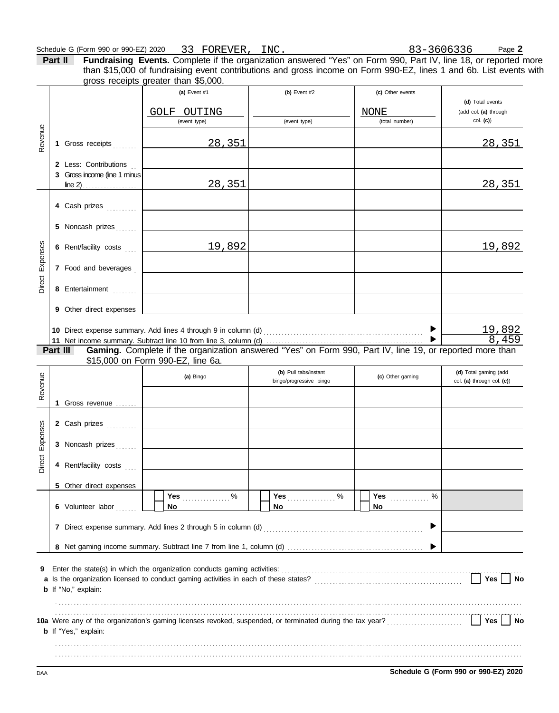#### Schedule G (Form 990 or 990-EZ) 2020 Page **2** 33 FOREVER, INC.

**Part II Fundraising Events.** Complete if the organization answered "Yes" on Form 990, Part IV, line 18, or reported more gross receipts greater than \$5,000. than \$15,000 of fundraising event contributions and gross income on Form 990-EZ, lines 1 and 6b. List events with

|                 |          |                                                       | (a) Event $#1$<br>GOLF OUTING<br>(event type)                                                             | (b) Event $#2$<br>(event type) | (c) Other events<br>NONE<br>(total number) | (d) Total events<br>(add col. (a) through<br>$col.$ (c)) |
|-----------------|----------|-------------------------------------------------------|-----------------------------------------------------------------------------------------------------------|--------------------------------|--------------------------------------------|----------------------------------------------------------|
| Revenue         |          | 1 Gross receipts                                      | <u>28,351</u>                                                                                             |                                |                                            | <u>28,351</u>                                            |
|                 |          | 2 Less: Contributions<br>3 Gross income (line 1 minus |                                                                                                           |                                |                                            |                                                          |
|                 |          |                                                       | 28,351                                                                                                    |                                |                                            | <u>28,351</u>                                            |
|                 |          | 4 Cash prizes                                         |                                                                                                           |                                |                                            |                                                          |
|                 |          | 5 Noncash prizes                                      |                                                                                                           |                                |                                            |                                                          |
|                 |          | 6 Rent/facility costs                                 | 19,892                                                                                                    |                                |                                            | 19,892                                                   |
| Direct Expenses |          | 7 Food and beverages                                  |                                                                                                           |                                |                                            |                                                          |
|                 |          | 8 Entertainment                                       | the control of the control of the control of the control of the control of                                |                                |                                            |                                                          |
|                 |          | 9 Other direct expenses                               |                                                                                                           |                                |                                            |                                                          |
|                 |          |                                                       |                                                                                                           |                                |                                            |                                                          |
|                 |          |                                                       |                                                                                                           |                                |                                            | $\frac{19,892}{8,459}$                                   |
|                 | Part III |                                                       | Gaming. Complete if the organization answered "Yes" on Form 990, Part IV, line 19, or reported more than  |                                |                                            |                                                          |
|                 |          |                                                       | \$15,000 on Form 990-EZ, line 6a.                                                                         | (b) Pull tabs/instant          |                                            | (d) Total gaming (add                                    |
|                 |          |                                                       | (a) Bingo                                                                                                 | bingo/progressive bingo        | (c) Other gaming                           | col. (a) through col. (c))                               |
| Revenue         |          |                                                       |                                                                                                           |                                |                                            |                                                          |
|                 |          | 1 Gross revenue                                       |                                                                                                           |                                |                                            |                                                          |
|                 |          | 2 Cash prizes                                         |                                                                                                           |                                |                                            |                                                          |
|                 |          | 3 Noncash prizes                                      |                                                                                                           |                                |                                            |                                                          |
| Direct Expenses |          | 4 Rent/facility costs                                 |                                                                                                           |                                |                                            |                                                          |
|                 |          | 5 Other direct expenses                               |                                                                                                           |                                |                                            |                                                          |
|                 |          |                                                       |                                                                                                           | Yes $%$                        | %<br><b>Yes</b>                            |                                                          |
|                 |          | 6 Volunteer labor                                     | No                                                                                                        | <b>No</b>                      | No.                                        |                                                          |
|                 |          |                                                       |                                                                                                           |                                | ▶                                          |                                                          |
|                 |          |                                                       |                                                                                                           |                                |                                            |                                                          |
| 9               |          | <b>b</b> If "No," explain:                            |                                                                                                           |                                |                                            | <b>Yes</b><br>No                                         |
|                 |          |                                                       |                                                                                                           |                                |                                            |                                                          |
|                 |          | <b>b</b> If "Yes," explain:                           | 10a Were any of the organization's gaming licenses revoked, suspended, or terminated during the tax year? |                                |                                            | Yes  <br>No                                              |
|                 |          |                                                       |                                                                                                           |                                |                                            |                                                          |

DAA **Schedule G (Form 990 or 990-EZ) 2020**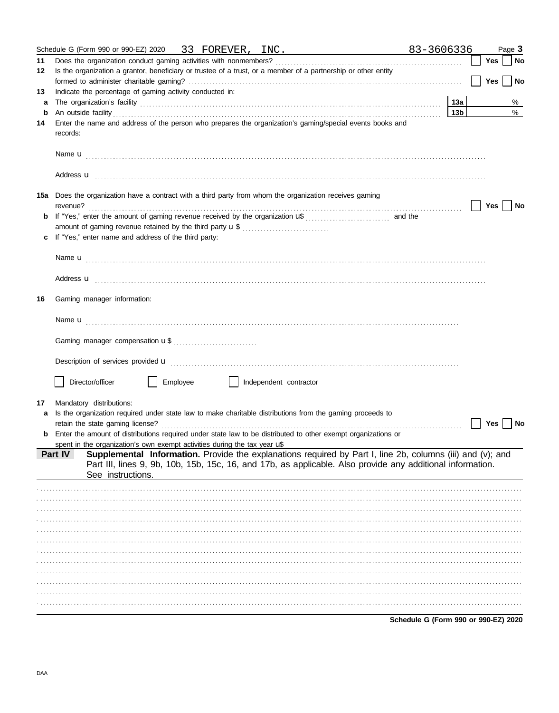|    |          | Schedule G (Form 990 or 990-EZ) 2020 33 FOREVER, INC.                                                                                                                                                                                         |          |  |                        |  | 83-3606336                           |                 |            | Page 3 |
|----|----------|-----------------------------------------------------------------------------------------------------------------------------------------------------------------------------------------------------------------------------------------------|----------|--|------------------------|--|--------------------------------------|-----------------|------------|--------|
| 11 |          |                                                                                                                                                                                                                                               |          |  |                        |  |                                      |                 | Yes        | No     |
| 12 |          | Is the organization a grantor, beneficiary or trustee of a trust, or a member of a partnership or other entity                                                                                                                                |          |  |                        |  |                                      |                 |            |        |
|    |          |                                                                                                                                                                                                                                               |          |  |                        |  |                                      |                 | <b>Yes</b> | No     |
| 13 |          | Indicate the percentage of gaming activity conducted in:                                                                                                                                                                                      |          |  |                        |  |                                      |                 |            |        |
| a  |          |                                                                                                                                                                                                                                               |          |  |                        |  |                                      | 13a             |            | %      |
| b  |          |                                                                                                                                                                                                                                               |          |  |                        |  |                                      | 13 <sub>b</sub> |            | $\%$   |
| 14 | records: | Enter the name and address of the person who prepares the organization's gaming/special events books and                                                                                                                                      |          |  |                        |  |                                      |                 |            |        |
|    |          |                                                                                                                                                                                                                                               |          |  |                        |  |                                      |                 |            |        |
|    |          | Address u contract and the contract of the contract of the contract of the contract of the contract of the contract of the contract of the contract of the contract of the contract of the contract of the contract of the con                |          |  |                        |  |                                      |                 |            |        |
|    | revenue? | 15a Does the organization have a contract with a third party from whom the organization receives gaming                                                                                                                                       |          |  |                        |  |                                      |                 | Yes        | No     |
|    |          |                                                                                                                                                                                                                                               |          |  |                        |  |                                      |                 |            |        |
|    |          | amount of gaming revenue retained by the third party <b>u</b> \$                                                                                                                                                                              |          |  |                        |  |                                      |                 |            |        |
|    |          | If "Yes," enter name and address of the third party:                                                                                                                                                                                          |          |  |                        |  |                                      |                 |            |        |
|    |          |                                                                                                                                                                                                                                               |          |  |                        |  |                                      |                 |            |        |
|    |          | Address <b>u</b> example and the contract of the contract of the contract of the contract of the contract of the contract of the contract of the contract of the contract of the contract of the contract of the contract of the co           |          |  |                        |  |                                      |                 |            |        |
| 16 |          | Gaming manager information:                                                                                                                                                                                                                   |          |  |                        |  |                                      |                 |            |        |
|    |          |                                                                                                                                                                                                                                               |          |  |                        |  |                                      |                 |            |        |
|    |          |                                                                                                                                                                                                                                               |          |  |                        |  |                                      |                 |            |        |
|    |          | Description of services provided <b>u</b> electron contract the contract of services and contract the contract of services provided <b>u</b>                                                                                                  |          |  |                        |  |                                      |                 |            |        |
|    |          |                                                                                                                                                                                                                                               |          |  |                        |  |                                      |                 |            |        |
|    |          | Director/officer                                                                                                                                                                                                                              | Employee |  | Independent contractor |  |                                      |                 |            |        |
| 17 |          | Mandatory distributions:                                                                                                                                                                                                                      |          |  |                        |  |                                      |                 |            |        |
|    |          | Is the organization required under state law to make charitable distributions from the gaming proceeds to                                                                                                                                     |          |  |                        |  |                                      |                 |            |        |
|    |          |                                                                                                                                                                                                                                               |          |  |                        |  |                                      |                 | Yes        | No     |
|    |          | <b>b</b> Enter the amount of distributions required under state law to be distributed to other exempt organizations or                                                                                                                        |          |  |                        |  |                                      |                 |            |        |
|    |          | spent in the organization's own exempt activities during the tax year $\mathcal{L}$                                                                                                                                                           |          |  |                        |  |                                      |                 |            |        |
|    | Part IV  | Supplemental Information. Provide the explanations required by Part I, line 2b, columns (iii) and (v); and<br>Part III, lines 9, 9b, 10b, 15b, 15c, 16, and 17b, as applicable. Also provide any additional information.<br>See instructions. |          |  |                        |  |                                      |                 |            |        |
|    |          |                                                                                                                                                                                                                                               |          |  |                        |  |                                      |                 |            |        |
|    |          |                                                                                                                                                                                                                                               |          |  |                        |  |                                      |                 |            |        |
|    |          |                                                                                                                                                                                                                                               |          |  |                        |  |                                      |                 |            |        |
|    |          |                                                                                                                                                                                                                                               |          |  |                        |  |                                      |                 |            |        |
|    |          |                                                                                                                                                                                                                                               |          |  |                        |  |                                      |                 |            |        |
|    |          |                                                                                                                                                                                                                                               |          |  |                        |  |                                      |                 |            |        |
|    |          |                                                                                                                                                                                                                                               |          |  |                        |  |                                      |                 |            |        |
|    |          |                                                                                                                                                                                                                                               |          |  |                        |  |                                      |                 |            |        |
|    |          |                                                                                                                                                                                                                                               |          |  |                        |  |                                      |                 |            |        |
|    |          |                                                                                                                                                                                                                                               |          |  |                        |  |                                      |                 |            |        |
|    |          |                                                                                                                                                                                                                                               |          |  |                        |  |                                      |                 |            |        |
|    |          |                                                                                                                                                                                                                                               |          |  |                        |  |                                      |                 |            |        |
|    |          |                                                                                                                                                                                                                                               |          |  |                        |  | Schedule G (Form 990 or 990-EZ) 2020 |                 |            |        |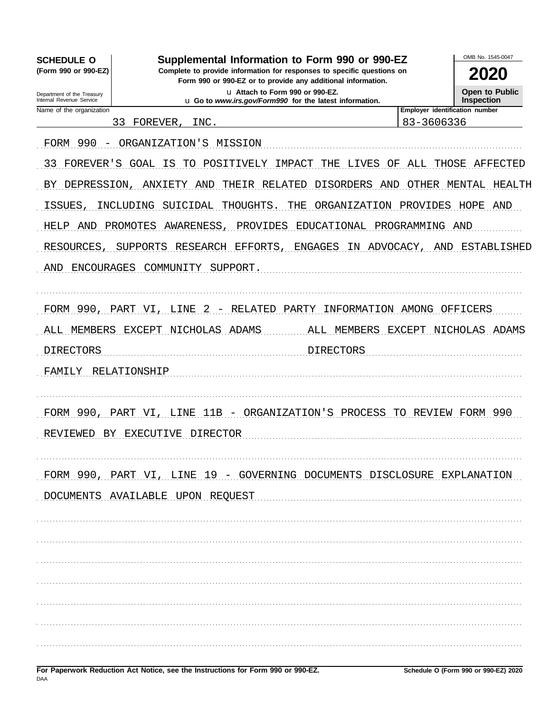| <b>SCHEDULE O</b><br>(Form 990 or 990-EZ)<br>Department of the Treasury<br>Internal Revenue Service | OMB No. 1545-0047<br>2020<br>Open to Public<br>Inspection               |                                |                    |
|-----------------------------------------------------------------------------------------------------|-------------------------------------------------------------------------|--------------------------------|--------------------|
| Name of the organization                                                                            | L Go to www.irs.gov/Form990 for the latest information.                 | Employer identification number |                    |
|                                                                                                     | FOREVER,<br>33<br>INC.                                                  | 83-3606336                     |                    |
| FORM 990<br>$\overline{\phantom{0}}$                                                                | ORGANIZATION'S MISSION                                                  |                                |                    |
| FOREVER'S<br>33                                                                                     | POSITIVELY IMPACT<br>GOAL<br>ΙS<br>THE<br>LIVES<br>TО<br>OF             |                                | ALL THOSE AFFECTED |
| BY DEPRESSION,                                                                                      | THEIR RELATED<br>DISORDERS<br>ANXIETY<br>AND<br>AND                     | OTHER                          | MENTAL<br>HEALTH   |
| ISSUES,                                                                                             | SUICIDAL<br>THOUGHTS<br>THE<br>ORGANIZATION PROVIDES<br>INCLUDING       |                                | HOPE<br>AND        |
| <b>HELP</b><br>AND                                                                                  | PROMOTES<br>AWARENESS,<br>PROVIDES<br>EDUCATIONAL PROGRAMMING AND       |                                |                    |
| RESOURCES                                                                                           | SUPPORTS RESEARCH EFFORTS,<br>ENGAGES<br>ADVOCACY,<br>ΙN.               | AND                            | ESTABLISHED        |
| AND                                                                                                 | ENCOURAGES COMMUNITY SUPPORT.                                           |                                |                    |
|                                                                                                     |                                                                         |                                |                    |
| FORM 990, PART VI,                                                                                  | RELATED<br>PARTY<br>INFORMATION AMONG OFFICERS<br>LINE<br>-2<br>$\sim$  |                                |                    |
| MEMBERS<br>ALL                                                                                      | EXCEPT NICHOLAS ADAMS<br>ALL MEMBERS                                    | EXCEPT                         | NICHOLAS ADAMS     |
| DIRECTORS                                                                                           | DIRECTORS                                                               |                                |                    |
| FAMILY RELATIONSHIP                                                                                 |                                                                         |                                |                    |
|                                                                                                     |                                                                         |                                |                    |
| FORM 990, PART                                                                                      | 11B<br>LINE<br>ORGANIZATION'S<br>PROCESS<br>-V T<br>'TO                 | REVIEW                         | -990<br>FORM       |
|                                                                                                     | EWED BY EXECUTIVE DIRECTOR                                              |                                |                    |
|                                                                                                     |                                                                         |                                |                    |
|                                                                                                     | FORM 990, PART VI, LINE 19 - GOVERNING DOCUMENTS DISCLOSURE EXPLANATION |                                |                    |
|                                                                                                     | DOCUMENTS AVAILABLE UPON REQUEST                                        |                                |                    |
|                                                                                                     |                                                                         |                                |                    |
|                                                                                                     |                                                                         |                                |                    |
|                                                                                                     |                                                                         |                                |                    |
|                                                                                                     |                                                                         |                                |                    |
|                                                                                                     |                                                                         |                                |                    |
|                                                                                                     |                                                                         |                                |                    |
|                                                                                                     |                                                                         |                                |                    |
|                                                                                                     |                                                                         |                                |                    |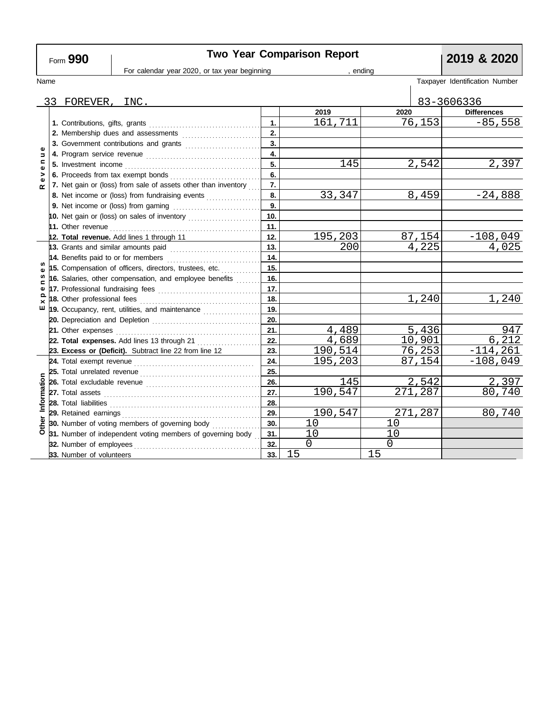| Form 990                  |  |                             | <b>Two Year Comparison Report</b>                                                                                                                                                                                                  |     | 2019 & 2020 |          |         |            |                                |
|---------------------------|--|-----------------------------|------------------------------------------------------------------------------------------------------------------------------------------------------------------------------------------------------------------------------------|-----|-------------|----------|---------|------------|--------------------------------|
|                           |  |                             | For calendar year 2020, or tax year beginning                                                                                                                                                                                      |     | ending      |          |         |            |                                |
| Name                      |  |                             |                                                                                                                                                                                                                                    |     |             |          |         |            | Taxpayer Identification Number |
|                           |  |                             |                                                                                                                                                                                                                                    |     |             |          |         |            |                                |
|                           |  | 33 FOREVER, INC.            |                                                                                                                                                                                                                                    |     |             |          |         | 83-3606336 |                                |
|                           |  |                             |                                                                                                                                                                                                                                    |     | 2019        | 2020     |         |            | <b>Differences</b>             |
|                           |  |                             |                                                                                                                                                                                                                                    | 1.  | 161,711     |          | 76,153  |            | $-85,558$                      |
|                           |  |                             | 2. Membership dues and assessments                                                                                                                                                                                                 | 2.  |             |          |         |            |                                |
| Φ                         |  |                             | 3. Government contributions and grants                                                                                                                                                                                             | 3.  |             |          |         |            |                                |
| $\Rightarrow$             |  |                             |                                                                                                                                                                                                                                    | 4.  |             |          |         |            |                                |
| $\mathbf{C}$<br>$\bullet$ |  |                             |                                                                                                                                                                                                                                    | 5.  | 145         |          | 2,542   |            | 2,397                          |
| >                         |  |                             |                                                                                                                                                                                                                                    | 6.  |             |          |         |            |                                |
| œ                         |  |                             | 7. Net gain or (loss) from sale of assets other than inventory                                                                                                                                                                     | 7.  |             |          |         |            |                                |
|                           |  |                             | 8. Net income or (loss) from fundraising events                                                                                                                                                                                    | 8.  | 33,347      |          | 8,459   |            | $-24,888$                      |
|                           |  |                             |                                                                                                                                                                                                                                    | 9.  |             |          |         |            |                                |
|                           |  |                             | 10. Net gain or (loss) on sales of inventory $\ldots$                                                                                                                                                                              | 10. |             |          |         |            |                                |
|                           |  |                             |                                                                                                                                                                                                                                    | 11. |             |          |         |            |                                |
|                           |  |                             | 12. Total revenue. Add lines 1 through 11                                                                                                                                                                                          | 12. | 195,203     |          | 87,154  |            | $-108,049$                     |
|                           |  |                             | 13. Grants and similar amounts paid                                                                                                                                                                                                | 13. | 200         |          | 4,225   |            | 4,025                          |
|                           |  |                             | 14. Benefits paid to or for members                                                                                                                                                                                                | 14. |             |          |         |            |                                |
| ഗ                         |  |                             | 15. Compensation of officers, directors, trustees, etc.                                                                                                                                                                            | 15. |             |          |         |            |                                |
| w<br>⊆                    |  |                             | 16. Salaries, other compensation, and employee benefits                                                                                                                                                                            | 16. |             |          |         |            |                                |
| Φ                         |  |                             |                                                                                                                                                                                                                                    | 17. |             |          |         |            |                                |
| $\Omega$<br>$\times$      |  | 18. Other professional fees |                                                                                                                                                                                                                                    | 18. |             |          | 1,240   |            | 1,240                          |
| ш                         |  |                             | 19. Occupancy, rent, utilities, and maintenance <i>maintenance</i>                                                                                                                                                                 | 19. |             |          |         |            |                                |
|                           |  |                             |                                                                                                                                                                                                                                    | 20. |             |          |         |            |                                |
|                           |  |                             |                                                                                                                                                                                                                                    | 21. | 4,489       |          | 5,436   |            | 947                            |
|                           |  |                             | 22. Total expenses. Add lines 13 through 21                                                                                                                                                                                        | 22. | 4,689       |          | 10,901  |            | 6,212                          |
|                           |  |                             | 23. Excess or (Deficit). Subtract line 22 from line 12                                                                                                                                                                             | 23. | 190,514     |          | 76,253  |            | $-114, 261$                    |
|                           |  |                             |                                                                                                                                                                                                                                    | 24. | 195,203     |          | 87,154  |            | $-108,049$                     |
|                           |  |                             | 25. Total unrelated revenue <i>communically contained</i> and the set of the set of the set of the set of the set of the set of the set of the set of the set of the set of the set of the set of the set of the set of the set of | 25. |             |          |         |            |                                |
|                           |  |                             |                                                                                                                                                                                                                                    | 26. | 145         |          | 2,542   |            | 2,397                          |
|                           |  |                             |                                                                                                                                                                                                                                    | 27. | 190,547     |          | 271,287 |            | 80,740                         |
| Information               |  |                             |                                                                                                                                                                                                                                    | 28. |             |          |         |            |                                |
|                           |  |                             |                                                                                                                                                                                                                                    | 29. | 190,547     |          | 271,287 |            | 80,740                         |
|                           |  |                             | 30. Number of voting members of governing body                                                                                                                                                                                     | 30. | 10          | 10       |         |            |                                |
|                           |  |                             | $\overline{6}$ 31. Number of independent voting members of governing body                                                                                                                                                          | 31. |             | 10       |         |            |                                |
|                           |  | 32. Number of employees     |                                                                                                                                                                                                                                    | 32. | $\mathbf 0$ | $\Omega$ |         |            |                                |
|                           |  | 33. Number of volunteers    |                                                                                                                                                                                                                                    | 33. | 15          | 15       |         |            |                                |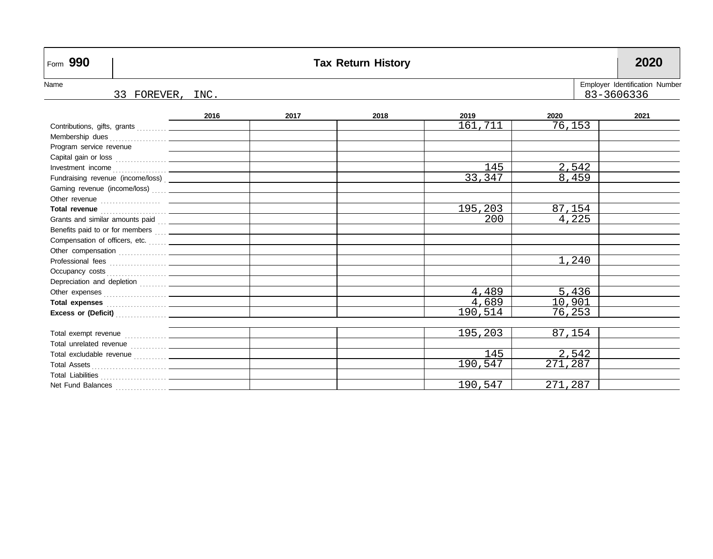| Form 990                                                       |                                                                     |      |      | <b>Tax Return History</b> |         |         | 2020 |  |  |  |
|----------------------------------------------------------------|---------------------------------------------------------------------|------|------|---------------------------|---------|---------|------|--|--|--|
| Name                                                           | Employer Identification Number<br>83-3606336<br>33 FOREVER,<br>INC. |      |      |                           |         |         |      |  |  |  |
|                                                                |                                                                     | 2016 | 2017 | 2018                      | 2019    | 2020    | 2021 |  |  |  |
|                                                                |                                                                     |      |      |                           | 161,711 | 76,153  |      |  |  |  |
|                                                                |                                                                     |      |      |                           |         |         |      |  |  |  |
| Program service revenue                                        |                                                                     |      |      |                           |         |         |      |  |  |  |
|                                                                |                                                                     |      |      |                           |         |         |      |  |  |  |
|                                                                |                                                                     |      |      |                           | 145     | 2,542   |      |  |  |  |
|                                                                |                                                                     |      |      |                           | 33,347  | 8,459   |      |  |  |  |
| Gaming revenue (income/loss)  _____________                    |                                                                     |      |      |                           |         |         |      |  |  |  |
|                                                                |                                                                     |      |      |                           |         |         |      |  |  |  |
|                                                                |                                                                     |      |      |                           | 195,203 | 87,154  |      |  |  |  |
|                                                                |                                                                     |      |      |                           | 200     | 4,225   |      |  |  |  |
|                                                                |                                                                     |      |      |                           |         |         |      |  |  |  |
|                                                                |                                                                     |      |      |                           |         |         |      |  |  |  |
|                                                                |                                                                     |      |      |                           |         |         |      |  |  |  |
|                                                                |                                                                     |      |      |                           |         | 1,240   |      |  |  |  |
|                                                                |                                                                     |      |      |                           |         |         |      |  |  |  |
|                                                                |                                                                     |      |      |                           |         |         |      |  |  |  |
|                                                                |                                                                     |      |      |                           | 4,489   | 5,436   |      |  |  |  |
| Total expenses <b>Manual Accord Professor Accord Professor</b> |                                                                     |      |      |                           | 4,689   | 10,901  |      |  |  |  |
|                                                                |                                                                     |      |      |                           | 190,514 | 76,253  |      |  |  |  |
|                                                                |                                                                     |      |      |                           |         |         |      |  |  |  |
|                                                                |                                                                     |      |      |                           | 195,203 | 87,154  |      |  |  |  |
|                                                                |                                                                     |      |      |                           |         |         |      |  |  |  |
|                                                                |                                                                     |      |      |                           | 145     | 2,542   |      |  |  |  |
|                                                                |                                                                     |      |      |                           | 190,547 | 271,287 |      |  |  |  |
|                                                                |                                                                     |      |      |                           |         |         |      |  |  |  |
|                                                                |                                                                     |      |      |                           | 190,547 | 271,287 |      |  |  |  |

 $\mathsf{r}$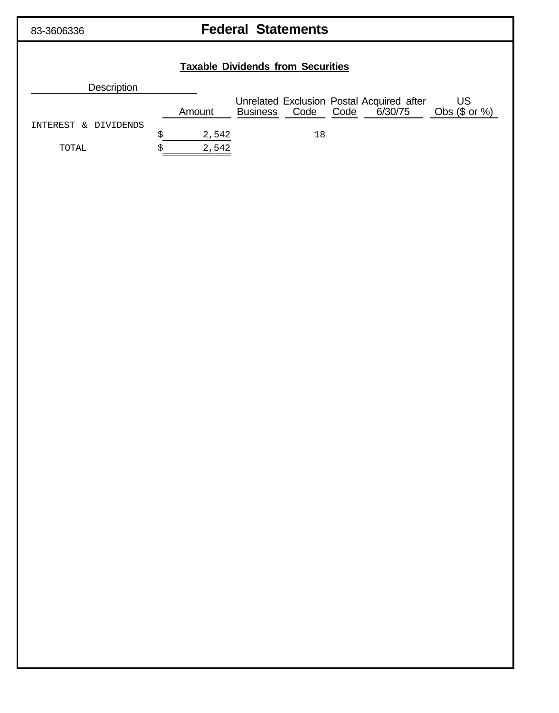## 83-3606336 **Federal Statements**

# **Taxable Dividends from Securities Description** Unrelated Exclusion Postal Acquired after US Amount Business Code Code 6/30/75 Obs (\$ or %) INTEREST & DIVIDENDS  $\sqrt{2,542}$  18 TOTAL  $$ 2,542$